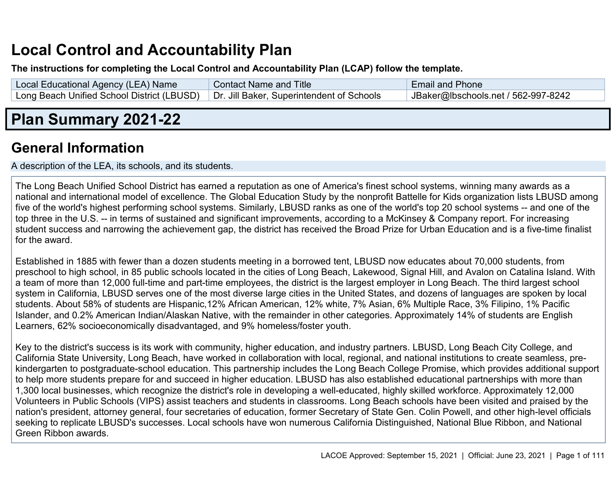# **Local Control and Accountability Plan**

#### **The instructions for completing the Local Control and Accountability Plan (LCAP) follow the template.**

| Local Educational Agency (LEA) Name                                                    | <b>Contact Name and Title</b> | <b>Email and Phone</b>              |
|----------------------------------------------------------------------------------------|-------------------------------|-------------------------------------|
| Long Beach Unified School District (LBUSD)   Dr. Jill Baker, Superintendent of Schools |                               | JBaker@lbschools.net / 562-997-8242 |

# **Plan Summary 2021-22**

# **General Information**

A description of the LEA, its schools, and its students.

The Long Beach Unified School District has earned a reputation as one of America's finest school systems, winning many awards as a national and international model of excellence. The Global Education Study by the nonprofit Battelle for Kids organization lists LBUSD among five of the world's highest performing school systems. Similarly, LBUSD ranks as one of the world's top 20 school systems -- and one of the top three in the U.S. -- in terms of sustained and significant improvements, according to a McKinsey & Company report. For increasing student success and narrowing the achievement gap, the district has received the Broad Prize for Urban Education and is a five-time finalist for the award.

Established in 1885 with fewer than a dozen students meeting in a borrowed tent, LBUSD now educates about 70,000 students, from preschool to high school, in 85 public schools located in the cities of Long Beach, Lakewood, Signal Hill, and Avalon on Catalina Island. With a team of more than 12,000 full-time and part-time employees, the district is the largest employer in Long Beach. The third largest school system in California, LBUSD serves one of the most diverse large cities in the United States, and dozens of languages are spoken by local students. About 58% of students are Hispanic,12% African American, 12% white, 7% Asian, 6% Multiple Race, 3% Filipino, 1% Pacific Islander, and 0.2% American Indian/Alaskan Native, with the remainder in other categories. Approximately 14% of students are English Learners, 62% socioeconomically disadvantaged, and 9% homeless/foster youth.

Key to the district's success is its work with community, higher education, and industry partners. LBUSD, Long Beach City College, and California State University, Long Beach, have worked in collaboration with local, regional, and national institutions to create seamless, prekindergarten to postgraduate-school education. This partnership includes the Long Beach College Promise, which provides additional support to help more students prepare for and succeed in higher education. LBUSD has also established educational partnerships with more than 1,300 local businesses, which recognize the district's role in developing a well-educated, highly skilled workforce. Approximately 12,000 Volunteers in Public Schools (VIPS) assist teachers and students in classrooms. Long Beach schools have been visited and praised by the nation's president, attorney general, four secretaries of education, former Secretary of State Gen. Colin Powell, and other high-level officials seeking to replicate LBUSD's successes. Local schools have won numerous California Distinguished, National Blue Ribbon, and National Green Ribbon awards.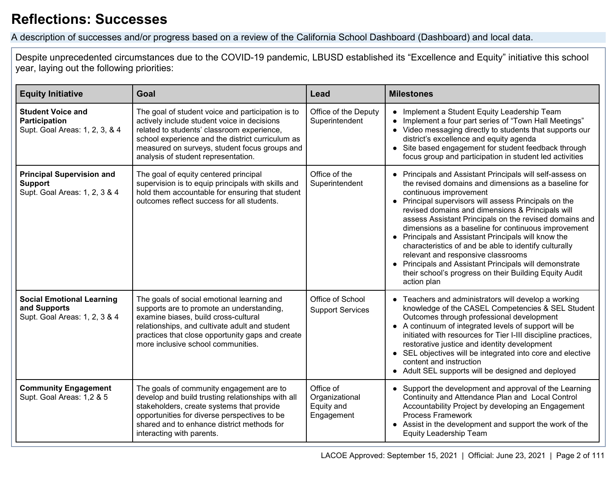# **Reflections: Successes**

A description of successes and/or progress based on a review of the California School Dashboard (Dashboard) and local data.

Despite unprecedented circumstances due to the COVID-19 pandemic, LBUSD established its "Excellence and Equity" initiative this school year, laying out the following priorities:

| <b>Equity Initiative</b>                                                            | Goal                                                                                                                                                                                                                                                                                       | Lead                                                    | <b>Milestones</b>                                                                                                                                                                                                                                                                                                                                                                                                                                                                                                                                                                                                                                                  |  |
|-------------------------------------------------------------------------------------|--------------------------------------------------------------------------------------------------------------------------------------------------------------------------------------------------------------------------------------------------------------------------------------------|---------------------------------------------------------|--------------------------------------------------------------------------------------------------------------------------------------------------------------------------------------------------------------------------------------------------------------------------------------------------------------------------------------------------------------------------------------------------------------------------------------------------------------------------------------------------------------------------------------------------------------------------------------------------------------------------------------------------------------------|--|
| <b>Student Voice and</b><br>Participation<br>Supt. Goal Areas: 1, 2, 3, & 4         | The goal of student voice and participation is to<br>actively include student voice in decisions<br>related to students' classroom experience,<br>school experience and the district curriculum as<br>measured on surveys, student focus groups and<br>analysis of student representation. | Office of the Deputy<br>Superintendent                  | • Implement a Student Equity Leadership Team<br>Implement a four part series of "Town Hall Meetings"<br>• Video messaging directly to students that supports our<br>district's excellence and equity agenda<br>• Site based engagement for student feedback through<br>focus group and participation in student led activities                                                                                                                                                                                                                                                                                                                                     |  |
| <b>Principal Supervision and</b><br><b>Support</b><br>Supt. Goal Areas: 1, 2, 3 & 4 | The goal of equity centered principal<br>supervision is to equip principals with skills and<br>hold them accountable for ensuring that student<br>outcomes reflect success for all students.                                                                                               | Office of the<br>Superintendent                         | • Principals and Assistant Principals will self-assess on<br>the revised domains and dimensions as a baseline for<br>continuous improvement<br>• Principal supervisors will assess Principals on the<br>revised domains and dimensions & Principals will<br>assess Assistant Principals on the revised domains and<br>dimensions as a baseline for continuous improvement<br>• Principals and Assistant Principals will know the<br>characteristics of and be able to identify culturally<br>relevant and responsive classrooms<br>• Principals and Assistant Principals will demonstrate<br>their school's progress on their Building Equity Audit<br>action plan |  |
| <b>Social Emotional Learning</b><br>and Supports<br>Supt. Goal Areas: 1, 2, 3 & 4   | The goals of social emotional learning and<br>supports are to promote an understanding,<br>examine biases, build cross-cultural<br>relationships, and cultivate adult and student<br>practices that close opportunity gaps and create<br>more inclusive school communities.                | Office of School<br><b>Support Services</b>             | • Teachers and administrators will develop a working<br>knowledge of the CASEL Competencies & SEL Student<br>Outcomes through professional development<br>• A continuum of integrated levels of support will be<br>initiated with resources for Tier I-III discipline practices,<br>restorative justice and identity development<br>• SEL objectives will be integrated into core and elective<br>content and instruction<br>• Adult SEL supports will be designed and deployed                                                                                                                                                                                    |  |
| <b>Community Engagement</b><br>Supt. Goal Areas: 1,2 & 5                            | The goals of community engagement are to<br>develop and build trusting relationships with all<br>stakeholders, create systems that provide<br>opportunities for diverse perspectives to be<br>shared and to enhance district methods for<br>interacting with parents.                      | Office of<br>Organizational<br>Equity and<br>Engagement | • Support the development and approval of the Learning<br>Continuity and Attendance Plan and Local Control<br>Accountability Project by developing an Engagement<br><b>Process Framework</b><br>• Assist in the development and support the work of the<br><b>Equity Leadership Team</b>                                                                                                                                                                                                                                                                                                                                                                           |  |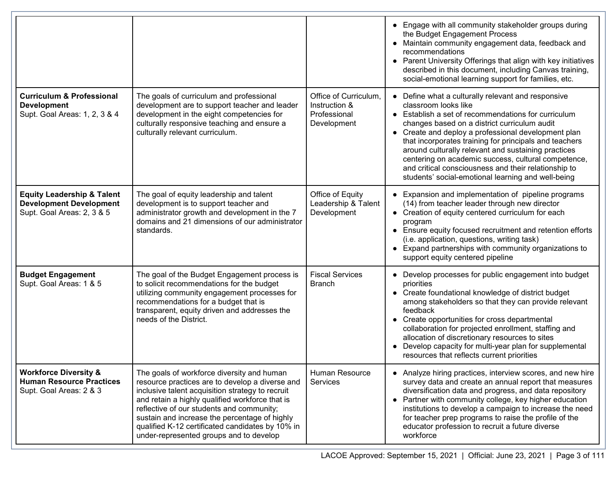|                                                                                                       |                                                                                                                                                                                                                                                                                                                                                                                                   |                                                                       | • Engage with all community stakeholder groups during<br>the Budget Engagement Process<br>• Maintain community engagement data, feedback and<br>recommendations<br>• Parent University Offerings that align with key initiatives<br>described in this document, including Canvas training,<br>social-emotional learning support for families, etc.                                                                                                                                                                             |
|-------------------------------------------------------------------------------------------------------|---------------------------------------------------------------------------------------------------------------------------------------------------------------------------------------------------------------------------------------------------------------------------------------------------------------------------------------------------------------------------------------------------|-----------------------------------------------------------------------|--------------------------------------------------------------------------------------------------------------------------------------------------------------------------------------------------------------------------------------------------------------------------------------------------------------------------------------------------------------------------------------------------------------------------------------------------------------------------------------------------------------------------------|
| <b>Curriculum &amp; Professional</b><br><b>Development</b><br>Supt. Goal Areas: 1, 2, 3 & 4           | The goals of curriculum and professional<br>development are to support teacher and leader<br>development in the eight competencies for<br>culturally responsive teaching and ensure a<br>culturally relevant curriculum.                                                                                                                                                                          | Office of Curriculum,<br>Instruction &<br>Professional<br>Development | • Define what a culturally relevant and responsive<br>classroom looks like<br>• Establish a set of recommendations for curriculum<br>changes based on a district curriculum audit<br>• Create and deploy a professional development plan<br>that incorporates training for principals and teachers<br>around culturally relevant and sustaining practices<br>centering on academic success, cultural competence,<br>and critical consciousness and their relationship to<br>students' social-emotional learning and well-being |
| <b>Equity Leadership &amp; Talent</b><br><b>Development Development</b><br>Supt. Goal Areas: 2, 3 & 5 | The goal of equity leadership and talent<br>development is to support teacher and<br>administrator growth and development in the 7<br>domains and 21 dimensions of our administrator<br>standards.                                                                                                                                                                                                | Office of Equity<br>Leadership & Talent<br>Development                | • Expansion and implementation of pipeline programs<br>(14) from teacher leader through new director<br>• Creation of equity centered curriculum for each<br>program<br>• Ensure equity focused recruitment and retention efforts<br>(i.e. application, questions, writing task)<br>• Expand partnerships with community organizations to<br>support equity centered pipeline                                                                                                                                                  |
| <b>Budget Engagement</b><br>Supt. Goal Areas: 1 & 5                                                   | The goal of the Budget Engagement process is<br>to solicit recommendations for the budget<br>utilizing community engagement processes for<br>recommendations for a budget that is<br>transparent, equity driven and addresses the<br>needs of the District.                                                                                                                                       | <b>Fiscal Services</b><br><b>Branch</b>                               | • Develop processes for public engagement into budget<br>priorities<br>• Create foundational knowledge of district budget<br>among stakeholders so that they can provide relevant<br>feedback<br>• Create opportunities for cross departmental<br>collaboration for projected enrollment, staffing and<br>allocation of discretionary resources to sites<br>• Develop capacity for multi-year plan for supplemental<br>resources that reflects current priorities                                                              |
| <b>Workforce Diversity &amp;</b><br><b>Human Resource Practices</b><br>Supt. Goal Areas: 2 & 3        | The goals of workforce diversity and human<br>resource practices are to develop a diverse and<br>inclusive talent acquisition strategy to recruit<br>and retain a highly qualified workforce that is<br>reflective of our students and community;<br>sustain and increase the percentage of highly<br>qualified K-12 certificated candidates by 10% in<br>under-represented groups and to develop | Human Resource<br>Services                                            | • Analyze hiring practices, interview scores, and new hire<br>survey data and create an annual report that measures<br>diversification data and progress, and data repository<br>• Partner with community college, key higher education<br>institutions to develop a campaign to increase the need<br>for teacher prep programs to raise the profile of the<br>educator profession to recruit a future diverse<br>workforce                                                                                                    |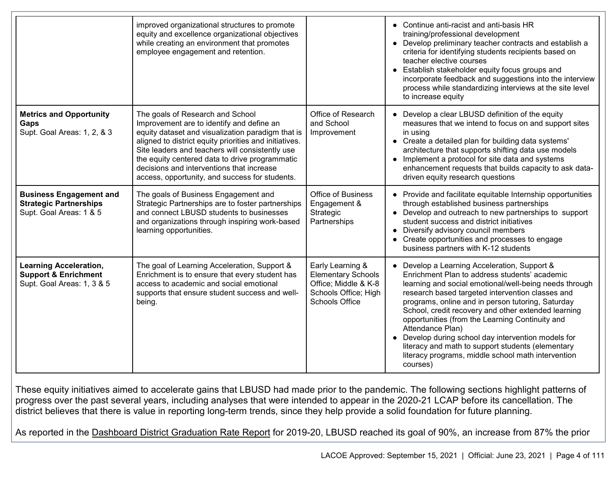|                                                                                                | improved organizational structures to promote<br>equity and excellence organizational objectives<br>while creating an environment that promotes<br>employee engagement and retention.                                                                                                                                                                                                            |                                                                                                                        | • Continue anti-racist and anti-basis HR<br>training/professional development<br>• Develop preliminary teacher contracts and establish a<br>criteria for identifying students recipients based on<br>teacher elective courses<br>• Establish stakeholder equity focus groups and<br>incorporate feedback and suggestions into the interview<br>process while standardizing interviews at the site level<br>to increase equity                                                                                                                                                |
|------------------------------------------------------------------------------------------------|--------------------------------------------------------------------------------------------------------------------------------------------------------------------------------------------------------------------------------------------------------------------------------------------------------------------------------------------------------------------------------------------------|------------------------------------------------------------------------------------------------------------------------|------------------------------------------------------------------------------------------------------------------------------------------------------------------------------------------------------------------------------------------------------------------------------------------------------------------------------------------------------------------------------------------------------------------------------------------------------------------------------------------------------------------------------------------------------------------------------|
| <b>Metrics and Opportunity</b><br>Gaps<br>Supt. Goal Areas: 1, 2, & 3                          | The goals of Research and School<br>Improvement are to identify and define an<br>equity dataset and visualization paradigm that is<br>aligned to district equity priorities and initiatives.<br>Site leaders and teachers will consistently use<br>the equity centered data to drive programmatic<br>decisions and interventions that increase<br>access, opportunity, and success for students. | Office of Research<br>and School<br>Improvement                                                                        | • Develop a clear LBUSD definition of the equity<br>measures that we intend to focus on and support sites<br>in using<br>• Create a detailed plan for building data systems'<br>architecture that supports shifting data use models<br>• Implement a protocol for site data and systems<br>enhancement requests that builds capacity to ask data-<br>driven equity research questions                                                                                                                                                                                        |
| <b>Business Engagement and</b><br><b>Strategic Partnerships</b><br>Supt. Goal Areas: 1 & 5     | The goals of Business Engagement and<br>Strategic Partnerships are to foster partnerships<br>and connect LBUSD students to businesses<br>and organizations through inspiring work-based<br>learning opportunities.                                                                                                                                                                               | <b>Office of Business</b><br>Engagement &<br>Strategic<br>Partnerships                                                 | • Provide and facilitate equitable Internship opportunities<br>through established business partnerships<br>• Develop and outreach to new partnerships to support<br>student success and district initiatives<br>• Diversify advisory council members<br>• Create opportunities and processes to engage<br>business partners with K-12 students                                                                                                                                                                                                                              |
| <b>Learning Acceleration,</b><br><b>Support &amp; Enrichment</b><br>Supt. Goal Areas: 1, 3 & 5 | The goal of Learning Acceleration, Support &<br>Enrichment is to ensure that every student has<br>access to academic and social emotional<br>supports that ensure student success and well-<br>being.                                                                                                                                                                                            | Early Learning &<br><b>Elementary Schools</b><br>Office; Middle & K-8<br>Schools Office; High<br><b>Schools Office</b> | • Develop a Learning Acceleration, Support &<br>Enrichment Plan to address students' academic<br>learning and social emotional/well-being needs through<br>research based targeted intervention classes and<br>programs, online and in person tutoring, Saturday<br>School, credit recovery and other extended learning<br>opportunities (from the Learning Continuity and<br>Attendance Plan)<br>• Develop during school day intervention models for<br>literacy and math to support students (elementary<br>literacy programs, middle school math intervention<br>courses) |

These equity initiatives aimed to accelerate gains that LBUSD had made prior to the pandemic. The following sections highlight patterns of progress over the past several years, including analyses that were intended to appear in the 2020-21 LCAP before its cancellation. The district believes that there is value in reporting long-term trends, since they help provide a solid foundation for future planning.

As reported in the [Dashboard District Graduation Rate Report](https://www6.cde.ca.gov/californiamodel/gradreport?&year=2020&cdcode=1964725&scode=&reporttype=schools) for 2019-20, LBUSD reached its goal of 90%, an increase from 87% the prior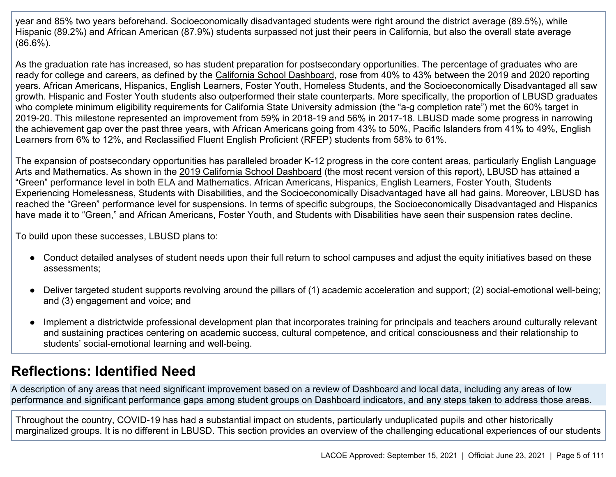year and 85% two years beforehand. Socioeconomically disadvantaged students were right around the district average (89.5%), while Hispanic (89.2%) and African American (87.9%) students surpassed not just their peers in California, but also the overall state average (86.6%).

As the graduation rate has increased, so has student preparation for postsecondary opportunities. The percentage of graduates who are ready for college and careers, as defined by the [California School Dashboard,](https://www6.cde.ca.gov/californiamodel/ccireport?&year=2020&cdcode=1964725&scode=&reporttype=schools) rose from 40% to 43% between the 2019 and 2020 reporting years. African Americans, Hispanics, English Learners, Foster Youth, Homeless Students, and the Socioeconomically Disadvantaged all saw growth. Hispanic and Foster Youth students also outperformed their state counterparts. More specifically, the proportion of LBUSD graduates who complete minimum eligibility requirements for California State University admission (the "a-g completion rate") met the 60% target in 2019-20. This milestone represented an improvement from 59% in 2018-19 and 56% in 2017-18. LBUSD made some progress in narrowing the achievement gap over the past three years, with African Americans going from 43% to 50%, Pacific Islanders from 41% to 49%, English Learners from 6% to 12%, and Reclassified Fluent English Proficient (RFEP) students from 58% to 61%.

The expansion of postsecondary opportunities has paralleled broader K-12 progress in the core content areas, particularly English Language Arts and Mathematics. As shown in the [2019 California School Dashboard](https://www.caschooldashboard.org/reports/19647250000000/2019) (the most recent version of this report), LBUSD has attained a "Green" performance level in both ELA and Mathematics. African Americans, Hispanics, English Learners, Foster Youth, Students Experiencing Homelessness, Students with Disabilities, and the Socioeconomically Disadvantaged have all had gains. Moreover, LBUSD has reached the "Green" performance level for suspensions. In terms of specific subgroups, the Socioeconomically Disadvantaged and Hispanics have made it to "Green," and African Americans, Foster Youth, and Students with Disabilities have seen their suspension rates decline.

To build upon these successes, LBUSD plans to:

- Conduct detailed analyses of student needs upon their full return to school campuses and adjust the equity initiatives based on these assessments;
- Deliver targeted student supports revolving around the pillars of (1) academic acceleration and support; (2) social-emotional well-being; and (3) engagement and voice; and
- Implement a districtwide professional development plan that incorporates training for principals and teachers around culturally relevant and sustaining practices centering on academic success, cultural competence, and critical consciousness and their relationship to students' social-emotional learning and well-being.

# **Reflections: Identified Need**

A description of any areas that need significant improvement based on a review of Dashboard and local data, including any areas of low performance and significant performance gaps among student groups on Dashboard indicators, and any steps taken to address those areas.

Throughout the country, COVID-19 has had a substantial impact on students, particularly unduplicated pupils and other historically marginalized groups. It is no different in LBUSD. This section provides an overview of the challenging educational experiences of our students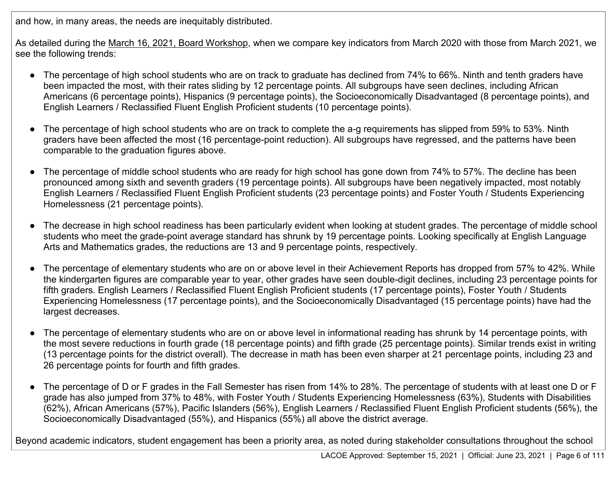and how, in many areas, the needs are inequitably distributed.

As detailed during the [March 16, 2021, Board Workshop,](https://www.youtube.com/watch?v=1hmp2kXjTXo) when we compare key indicators from March 2020 with those from March 2021, we see the following trends:

- The percentage of high school students who are on track to graduate has declined from 74% to 66%. Ninth and tenth graders have been impacted the most, with their rates sliding by 12 percentage points. All subgroups have seen declines, including African Americans (6 percentage points), Hispanics (9 percentage points), the Socioeconomically Disadvantaged (8 percentage points), and English Learners / Reclassified Fluent English Proficient students (10 percentage points).
- The percentage of high school students who are on track to complete the a-g requirements has slipped from 59% to 53%. Ninth graders have been affected the most (16 percentage-point reduction). All subgroups have regressed, and the patterns have been comparable to the graduation figures above.
- The percentage of middle school students who are ready for high school has gone down from 74% to 57%. The decline has been pronounced among sixth and seventh graders (19 percentage points). All subgroups have been negatively impacted, most notably English Learners / Reclassified Fluent English Proficient students (23 percentage points) and Foster Youth / Students Experiencing Homelessness (21 percentage points).
- The decrease in high school readiness has been particularly evident when looking at student grades. The percentage of middle school students who meet the grade-point average standard has shrunk by 19 percentage points. Looking specifically at English Language Arts and Mathematics grades, the reductions are 13 and 9 percentage points, respectively.
- The percentage of elementary students who are on or above level in their Achievement Reports has dropped from 57% to 42%. While the kindergarten figures are comparable year to year, other grades have seen double-digit declines, including 23 percentage points for fifth graders. English Learners / Reclassified Fluent English Proficient students (17 percentage points), Foster Youth / Students Experiencing Homelessness (17 percentage points), and the Socioeconomically Disadvantaged (15 percentage points) have had the largest decreases.
- The percentage of elementary students who are on or above level in informational reading has shrunk by 14 percentage points, with the most severe reductions in fourth grade (18 percentage points) and fifth grade (25 percentage points). Similar trends exist in writing (13 percentage points for the district overall). The decrease in math has been even sharper at 21 percentage points, including 23 and 26 percentage points for fourth and fifth grades.
- The percentage of D or F grades in the Fall Semester has risen from 14% to 28%. The percentage of students with at least one D or F grade has also jumped from 37% to 48%, with Foster Youth / Students Experiencing Homelessness (63%), Students with Disabilities (62%), African Americans (57%), Pacific Islanders (56%), English Learners / Reclassified Fluent English Proficient students (56%), the Socioeconomically Disadvantaged (55%), and Hispanics (55%) all above the district average.

Beyond academic indicators, student engagement has been a priority area, as noted during stakeholder consultations throughout the school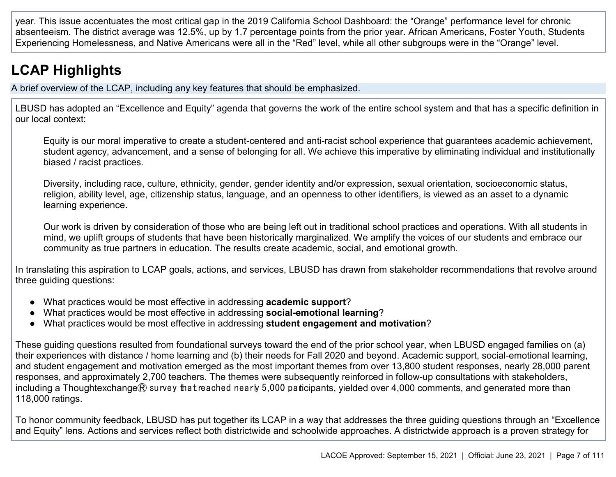year. This issue accentuates the most critical gap in the 2019 California School Dashboard: the "Orange" performance level for chronic absenteeism. The district average was 12.5%, up by 1.7 percentage points from the prior year. African Americans, Foster Youth, Students Experiencing Homelessness, and Native Americans were all in the "Red" level, while all other subgroups were in the "Orange" level.

# **LCAP Highlights**

A brief overview of the LCAP, including any key features that should be emphasized.

LBUSD has adopted an "Excellence and Equity" agenda that governs the work of the entire school system and that has a specific definition in our local context:

Equity is our moral imperative to create a student-centered and anti-racist school experience that guarantees academic achievement, student agency, advancement, and a sense of belonging for all. We achieve this imperative by eliminating individual and institutionally biased / racist practices.

Diversity, including race, culture, ethnicity, gender, gender identity and/or expression, sexual orientation, socioeconomic status, religion, ability level, age, citizenship status, language, and an openness to other identifiers, is viewed as an asset to a dynamic learning experience.

Our work is driven by consideration of those who are being left out in traditional school practices and operations. With all students in mind, we uplift groups of students that have been historically marginalized. We amplify the voices of our students and embrace our community as true partners in education. The results create academic, social, and emotional growth.

In translating this aspiration to LCAP goals, actions, and services, LBUSD has drawn from stakeholder recommendations that revolve around three guiding questions:

- What practices would be most effective in addressing **academic support**?
- What practices would be most effective in addressing **social-emotional learning**?
- What practices would be most effective in addressing **student engagement and motivation**?

These guiding questions resulted from foundational surveys toward the end of the prior school year, when LBUSD engaged families on (a) their experiences with distance / home learning and (b) their needs for Fall 2020 and beyond. Academic support, social-emotional learning, and student engagement and motivation emerged as the most important themes from over 13,800 student responses, nearly 28,000 parent responses, and approximately 2,700 teachers. The themes were subsequently reinforced in follow-up consultations with stakeholders, including a Thoughtexchange® survey that reached nearly 5,000 paticipants, yielded over 4,000 comments, and generated more than 118,000 ratings.

To honor community feedback, LBUSD has put together its LCAP in a way that addresses the three guiding questions through an "Excellence and Equity" lens. Actions and services reflect both districtwide and schoolwide approaches. A districtwide approach is a proven strategy for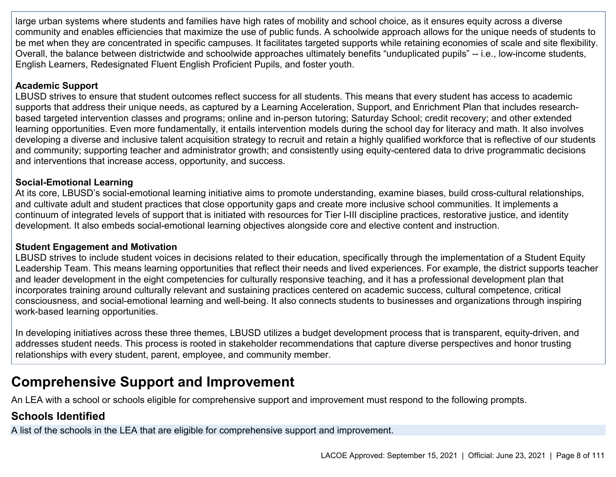large urban systems where students and families have high rates of mobility and school choice, as it ensures equity across a diverse community and enables efficiencies that maximize the use of public funds. A schoolwide approach allows for the unique needs of students to be met when they are concentrated in specific campuses. It facilitates targeted supports while retaining economies of scale and site flexibility. Overall, the balance between districtwide and schoolwide approaches ultimately benefits "unduplicated pupils" -- i.e., low-income students, English Learners, Redesignated Fluent English Proficient Pupils, and foster youth.

#### **Academic Support**

LBUSD strives to ensure that student outcomes reflect success for all students. This means that every student has access to academic supports that address their unique needs, as captured by a Learning Acceleration, Support, and Enrichment Plan that includes researchbased targeted intervention classes and programs; online and in-person tutoring; Saturday School; credit recovery; and other extended learning opportunities. Even more fundamentally, it entails intervention models during the school day for literacy and math. It also involves developing a diverse and inclusive talent acquisition strategy to recruit and retain a highly qualified workforce that is reflective of our students and community; supporting teacher and administrator growth; and consistently using equity-centered data to drive programmatic decisions and interventions that increase access, opportunity, and success.

#### **Social-Emotional Learning**

At its core, LBUSD's social-emotional learning initiative aims to promote understanding, examine biases, build cross-cultural relationships, and cultivate adult and student practices that close opportunity gaps and create more inclusive school communities. It implements a continuum of integrated levels of support that is initiated with resources for Tier I-III discipline practices, restorative justice, and identity development. It also embeds social-emotional learning objectives alongside core and elective content and instruction.

#### **Student Engagement and Motivation**

LBUSD strives to include student voices in decisions related to their education, specifically through the implementation of a Student Equity Leadership Team. This means learning opportunities that reflect their needs and lived experiences. For example, the district supports teacher and leader development in the eight competencies for culturally responsive teaching, and it has a professional development plan that incorporates training around culturally relevant and sustaining practices centered on academic success, cultural competence, critical consciousness, and social-emotional learning and well-being. It also connects students to businesses and organizations through inspiring work-based learning opportunities.

In developing initiatives across these three themes, LBUSD utilizes a budget development process that is transparent, equity-driven, and addresses student needs. This process is rooted in stakeholder recommendations that capture diverse perspectives and honor trusting relationships with every student, parent, employee, and community member.

# **Comprehensive Support and Improvement**

An LEA with a school or schools eligible for comprehensive support and improvement must respond to the following prompts.

### **Schools Identified**

A list of the schools in the LEA that are eligible for comprehensive support and improvement.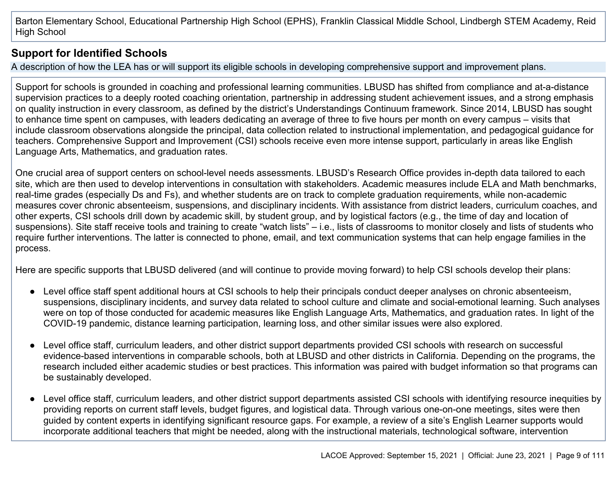Barton Elementary School, Educational Partnership High School (EPHS), Franklin Classical Middle School, Lindbergh STEM Academy, Reid High School

### **Support for Identified Schools**

A description of how the LEA has or will support its eligible schools in developing comprehensive support and improvement plans.

Support for schools is grounded in coaching and professional learning communities. LBUSD has shifted from compliance and at-a-distance supervision practices to a deeply rooted coaching orientation, partnership in addressing student achievement issues, and a strong emphasis on quality instruction in every classroom, as defined by the district's Understandings Continuum framework. Since 2014, LBUSD has sought to enhance time spent on campuses, with leaders dedicating an average of three to five hours per month on every campus – visits that include classroom observations alongside the principal, data collection related to instructional implementation, and pedagogical guidance for teachers. Comprehensive Support and Improvement (CSI) schools receive even more intense support, particularly in areas like English Language Arts, Mathematics, and graduation rates.

One crucial area of support centers on school-level needs assessments. LBUSD's Research Office provides in-depth data tailored to each site, which are then used to develop interventions in consultation with stakeholders. Academic measures include ELA and Math benchmarks, real-time grades (especially Ds and Fs), and whether students are on track to complete graduation requirements, while non-academic measures cover chronic absenteeism, suspensions, and disciplinary incidents. With assistance from district leaders, curriculum coaches, and other experts, CSI schools drill down by academic skill, by student group, and by logistical factors (e.g., the time of day and location of suspensions). Site staff receive tools and training to create "watch lists" – i.e., lists of classrooms to monitor closely and lists of students who require further interventions. The latter is connected to phone, email, and text communication systems that can help engage families in the process.

Here are specific supports that LBUSD delivered (and will continue to provide moving forward) to help CSI schools develop their plans:

- Level office staff spent additional hours at CSI schools to help their principals conduct deeper analyses on chronic absenteeism, suspensions, disciplinary incidents, and survey data related to school culture and climate and social-emotional learning. Such analyses were on top of those conducted for academic measures like English Language Arts, Mathematics, and graduation rates. In light of the COVID-19 pandemic, distance learning participation, learning loss, and other similar issues were also explored.
- Level office staff, curriculum leaders, and other district support departments provided CSI schools with research on successful evidence-based interventions in comparable schools, both at LBUSD and other districts in California. Depending on the programs, the research included either academic studies or best practices. This information was paired with budget information so that programs can be sustainably developed.
- Level office staff, curriculum leaders, and other district support departments assisted CSI schools with identifying resource inequities by providing reports on current staff levels, budget figures, and logistical data. Through various one-on-one meetings, sites were then guided by content experts in identifying significant resource gaps. For example, a review of a site's English Learner supports would incorporate additional teachers that might be needed, along with the instructional materials, technological software, intervention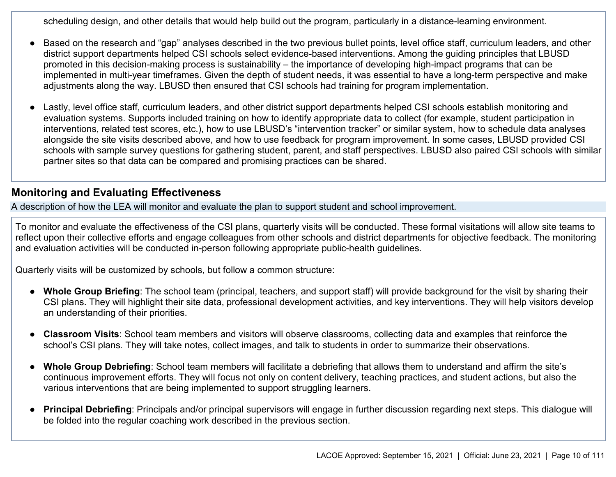scheduling design, and other details that would help build out the program, particularly in a distance-learning environment.

- Based on the research and "gap" analyses described in the two previous bullet points, level office staff, curriculum leaders, and other district support departments helped CSI schools select evidence-based interventions. Among the guiding principles that LBUSD promoted in this decision-making process is sustainability – the importance of developing high-impact programs that can be implemented in multi-year timeframes. Given the depth of student needs, it was essential to have a long-term perspective and make adjustments along the way. LBUSD then ensured that CSI schools had training for program implementation.
- Lastly, level office staff, curriculum leaders, and other district support departments helped CSI schools establish monitoring and evaluation systems. Supports included training on how to identify appropriate data to collect (for example, student participation in interventions, related test scores, etc.), how to use LBUSD's "intervention tracker" or similar system, how to schedule data analyses alongside the site visits described above, and how to use feedback for program improvement. In some cases, LBUSD provided CSI schools with sample survey questions for gathering student, parent, and staff perspectives. LBUSD also paired CSI schools with similar partner sites so that data can be compared and promising practices can be shared.

#### **Monitoring and Evaluating Effectiveness**

A description of how the LEA will monitor and evaluate the plan to support student and school improvement.

To monitor and evaluate the effectiveness of the CSI plans, quarterly visits will be conducted. These formal visitations will allow site teams to reflect upon their collective efforts and engage colleagues from other schools and district departments for objective feedback. The monitoring and evaluation activities will be conducted in-person following appropriate public-health guidelines.

Quarterly visits will be customized by schools, but follow a common structure:

- **Whole Group Briefing**: The school team (principal, teachers, and support staff) will provide background for the visit by sharing their CSI plans. They will highlight their site data, professional development activities, and key interventions. They will help visitors develop an understanding of their priorities.
- **Classroom Visits**: School team members and visitors will observe classrooms, collecting data and examples that reinforce the school's CSI plans. They will take notes, collect images, and talk to students in order to summarize their observations.
- Whole Group Debriefing: School team members will facilitate a debriefing that allows them to understand and affirm the site's continuous improvement efforts. They will focus not only on content delivery, teaching practices, and student actions, but also the various interventions that are being implemented to support struggling learners.
- Principal Debriefing: Principals and/or principal supervisors will engage in further discussion regarding next steps. This dialogue will be folded into the regular coaching work described in the previous section.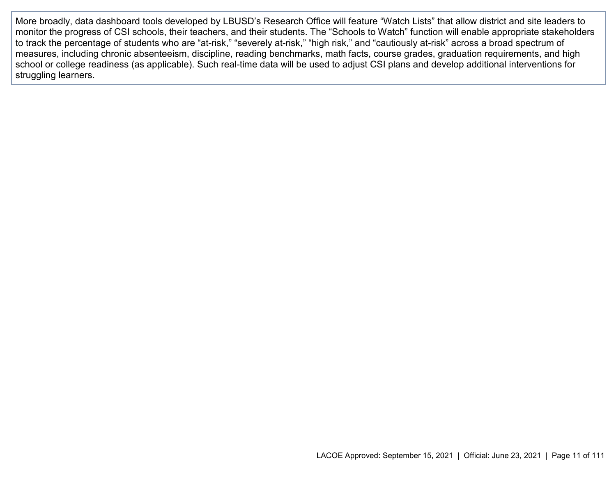More broadly, data dashboard tools developed by LBUSD's Research Office will feature "Watch Lists" that allow district and site leaders to monitor the progress of CSI schools, their teachers, and their students. The "Schools to Watch" function will enable appropriate stakeholders to track the percentage of students who are "at-risk," "severely at-risk," "high risk," and "cautiously at-risk" across a broad spectrum of measures, including chronic absenteeism, discipline, reading benchmarks, math facts, course grades, graduation requirements, and high school or college readiness (as applicable). Such real-time data will be used to adjust CSI plans and develop additional interventions for struggling learners.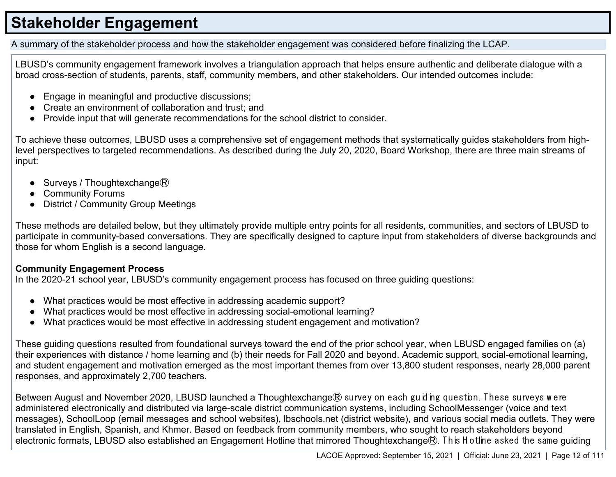# **Stakeholder Engagement**

A summary of the stakeholder process and how the stakeholder engagement was considered before finalizing the LCAP.

LBUSD's community engagement framework involves a triangulation approach that helps ensure authentic and deliberate dialogue with a broad cross-section of students, parents, staff, community members, and other stakeholders. Our intended outcomes include:

- Engage in meaningful and productive discussions;
- Create an environment of collaboration and trust; and
- Provide input that will generate recommendations for the school district to consider.

To achieve these outcomes, LBUSD uses a comprehensive set of engagement methods that systematically guides stakeholders from highlevel perspectives to targeted recommendations. As described during the July 20, 2020, Board Workshop, there are three main streams of input:

- Surveys / Thoughtexchange $R$
- **Community Forums**
- **District / Community Group Meetings**

These methods are detailed below, but they ultimately provide multiple entry points for all residents, communities, and sectors of LBUSD to participate in community-based conversations. They are specifically designed to capture input from stakeholders of diverse backgrounds and those for whom English is a second language.

#### **Community Engagement Process**

In the 2020-21 school year, LBUSD's community engagement process has focused on three guiding questions:

- What practices would be most effective in addressing academic support?
- What practices would be most effective in addressing social-emotional learning?
- What practices would be most effective in addressing student engagement and motivation?

These guiding questions resulted from foundational surveys toward the end of the prior school year, when LBUSD engaged families on (a) their experiences with distance / home learning and (b) their needs for Fall 2020 and beyond. Academic support, social-emotional learning, and student engagement and motivation emerged as the most important themes from over 13,800 student responses, nearly 28,000 parent responses, and approximately 2,700 teachers.

Between August and November 2020, LBUSD launched a Thoughtexchange® survey on each guiding question. These surveys were administered electronically and distributed via large-scale district communication systems, including SchoolMessenger (voice and text messages), SchoolLoop (email messages and school websites), lbschools.net (district website), and various social media outlets. They were translated in English, Spanish, and Khmer. Based on feedback from community members, who sought to reach stakeholders beyond electronic formats, LBUSD also established an Engagement Hotline that mirrored Thoughtexchange®. This Hotline asked the same guiding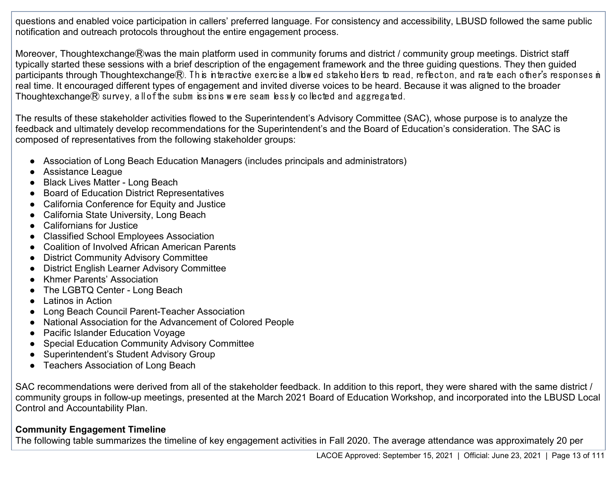questions and enabled voice participation in callers' preferred language. For consistency and accessibility, LBUSD followed the same public notification and outreach protocols throughout the entire engagement process.

Moreover, Thoughtexchange®was the main platform used in community forums and district / community group meetings. District staff typically started these sessions with a brief description of the engagement framework and the three guiding questions. They then guided participants through Thoughtexchange $R$ . This interactive exercise allowed stakeholders to read, reflect on, and rate each other's responses in real time. It encouraged different types of engagement and invited diverse voices to be heard. Because it was aligned to the broader Thoughtexchange $\mathcal{R}$  survey, all of the subm issions were seam lessly collected and aggregated.

The results of these stakeholder activities flowed to the Superintendent's Advisory Committee (SAC), whose purpose is to analyze the feedback and ultimately develop recommendations for the Superintendent's and the Board of Education's consideration. The SAC is composed of representatives from the following stakeholder groups:

- Association of Long Beach Education Managers (includes principals and administrators)
- Assistance League
- Black Lives Matter Long Beach
- Board of Education District Representatives
- California Conference for Equity and Justice
- California State University, Long Beach
- Californians for Justice
- Classified School Employees Association
- Coalition of Involved African American Parents
- District Community Advisory Committee
- District English Learner Advisory Committee
- Khmer Parents' Association
- The LGBTQ Center Long Beach
- Latinos in Action
- Long Beach Council Parent-Teacher Association
- National Association for the Advancement of Colored People
- Pacific Islander Education Voyage
- Special Education Community Advisory Committee
- Superintendent's Student Advisory Group
- Teachers Association of Long Beach

SAC recommendations were derived from all of the stakeholder feedback. In addition to this report, they were shared with the same district / community groups in follow-up meetings, presented at the March 2021 Board of Education Workshop, and incorporated into the LBUSD Local Control and Accountability Plan.

#### **Community Engagement Timeline**

The following table summarizes the timeline of key engagement activities in Fall 2020. The average attendance was approximately 20 per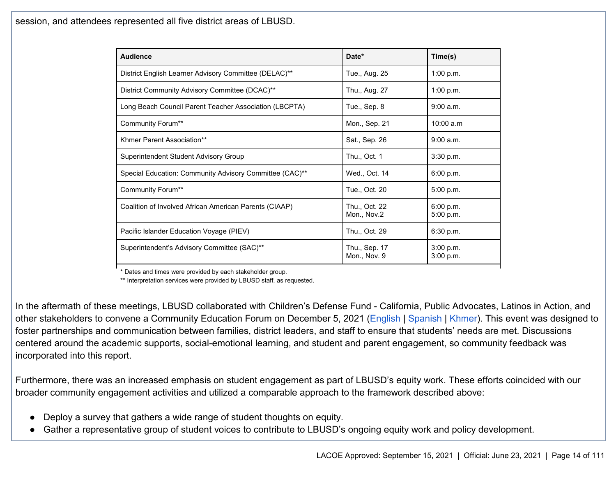session, and attendees represented all five district areas of LBUSD.

| <b>Audience</b>                                         | Date*                         | Time(s)                |
|---------------------------------------------------------|-------------------------------|------------------------|
| District English Learner Advisory Committee (DELAC)**   | Tue., Aug. 25                 | 1:00 p.m.              |
| District Community Advisory Committee (DCAC)**          | Thu., Aug. 27                 | 1:00 p.m.              |
| Long Beach Council Parent Teacher Association (LBCPTA)  | Tue., Sep. 8                  | 9:00 a.m.              |
| <b>Community Forum**</b>                                | Mon., Sep. 21                 | 10:00 a.m              |
| Khmer Parent Association**                              | Sat., Sep. 26                 | 9:00 a.m.              |
| Superintendent Student Advisory Group                   | Thu., Oct. 1                  | 3:30 p.m.              |
| Special Education: Community Advisory Committee (CAC)** | Wed., Oct. 14                 | 6:00 p.m.              |
| Community Forum**                                       | Tue., Oct. 20                 | 5:00 p.m.              |
| Coalition of Involved African American Parents (CIAAP)  | Thu., Oct. 22<br>Mon., Nov.2  | 6:00 p.m.<br>5:00 p.m. |
| Pacific Islander Education Voyage (PIEV)                | Thu., Oct. 29                 | 6:30 p.m.              |
| Superintendent's Advisory Committee (SAC)**             | Thu., Sep. 17<br>Mon., Nov. 9 | 3:00 p.m.<br>3:00 p.m. |

\* Dates and times were provided by each stakeholder group.

\*\* Interpretation services were provided by LBUSD staff, as requested.

In the aftermath of these meetings, LBUSD collaborated with Children's Defense Fund - California, Public Advocates, Latinos in Action, and other stakeholders to convene a Community Education Forum on December 5, 2021 [\(English](https://www.youtube.com/watch?v=kQD7U6uLpWs) | [Spanish](https://www.youtube.com/watch?v=ICSh7PUcvnc) | [Khmer\)](https://www.youtube.com/watch?v=RmhD0ectHF0). This event was designed to foster partnerships and communication between families, district leaders, and staff to ensure that students' needs are met. Discussions centered around the academic supports, social-emotional learning, and student and parent engagement, so community feedback was incorporated into this report.

Furthermore, there was an increased emphasis on student engagement as part of LBUSD's equity work. These efforts coincided with our broader community engagement activities and utilized a comparable approach to the framework described above:

- Deploy a survey that gathers a wide range of student thoughts on equity.
- Gather a representative group of student voices to contribute to LBUSD's ongoing equity work and policy development.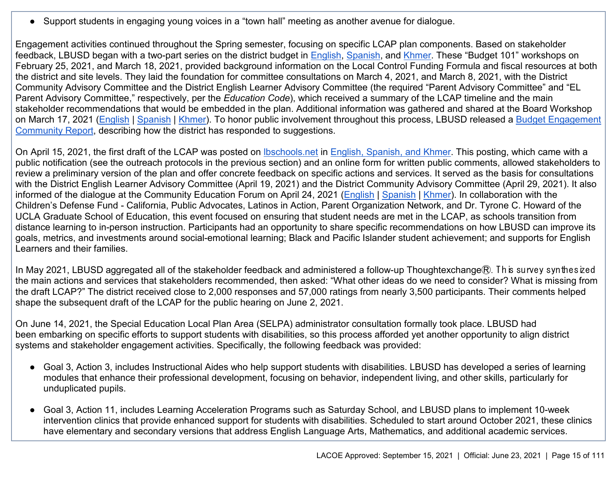● Support students in engaging young voices in a "town hall" meeting as another avenue for dialogue.

Engagement activities continued throughout the Spring semester, focusing on specific LCAP plan components. Based on stakeholder feedback, LBUSD began with a two-part series on the district budget in **English, Spanish**, and [Khmer.](https://www.youtube.com/watch?v=YJXkwRlJwlc&list=PLT2B7s9URQvLGRPyPVrP72dRmy0JL0I5m&index=30) These "Budget 101" workshops on February 25, 2021, and March 18, 2021, provided background information on the Local Control Funding Formula and fiscal resources at both the district and site levels. They laid the foundation for committee consultations on March 4, 2021, and March 8, 2021, with the District Community Advisory Committee and the District English Learner Advisory Committee (the required "Parent Advisory Committee" and "EL Parent Advisory Committee," respectively, per the *Education Code*), which received a summary of the LCAP timeline and the main stakeholder recommendations that would be embedded in the plan. Additional information was gathered and shared at the Board Workshop on March 17, 2021 [\(English](https://www.youtube.com/watch?v=MFdLovh91Bc) | [Spanish](https://www.youtube.com/watch?v=aJW2bPbxQaM) | [Khmer\)](https://www.youtube.com/watch?v=Z5dOSBj4Yfk). To honor public involvement throughout this process, LBUSD released a Budget Engagement [Community Report,](https://www.lbschools.net/Departments/Local_Control/) describing how the district has responded to suggestions.

On April 15, 2021, the first draft of the LCAP was posted on Ibschools.net in [English, Spanish, and Khmer.](https://www.lbschools.net/Departments/Local_Control/) This posting, which came with a public notification (see the outreach protocols in the previous section) and an online form for written public comments, allowed stakeholders to review a preliminary version of the plan and offer concrete feedback on specific actions and services. It served as the basis for consultations with the District English Learner Advisory Committee (April 19, 2021) and the District Community Advisory Committee (April 29, 2021). It also informed of the dialogue at the Community Education Forum on April 24, 2021 [\(English](https://www.youtube.com/watch?v=iktOP5AhS5Q) | [Spanish](https://www.youtube.com/watch?v=JABHhVxanAQ) | [Khmer\)](https://www.youtube.com/watch?v=EIOWwrayOnI). In collaboration with the Children's Defense Fund - California, Public Advocates, Latinos in Action, Parent Organization Network, and Dr. Tyrone C. Howard of the UCLA Graduate School of Education, this event focused on ensuring that student needs are met in the LCAP, as schools transition from distance learning to in-person instruction. Participants had an opportunity to share specific recommendations on how LBUSD can improve its goals, metrics, and investments around social-emotional learning; Black and Pacific Islander student achievement; and supports for English Learners and their families.

In May 2021, LBUSD aggregated all of the stakeholder feedback and administered a follow-up Thoughtexchange $R$ . This survey synthesized the main actions and services that stakeholders recommended, then asked: "What other ideas do we need to consider? What is missing from the draft LCAP?" The district received close to 2,000 responses and 57,000 ratings from nearly 3,500 participants. Their comments helped shape the subsequent draft of the LCAP for the public hearing on June 2, 2021.

On June 14, 2021, the Special Education Local Plan Area (SELPA) administrator consultation formally took place. LBUSD had been embarking on specific efforts to support students with disabilities, so this process afforded yet another opportunity to align district systems and stakeholder engagement activities. Specifically, the following feedback was provided:

- Goal 3, Action 3, includes Instructional Aides who help support students with disabilities. LBUSD has developed a series of learning modules that enhance their professional development, focusing on behavior, independent living, and other skills, particularly for unduplicated pupils.
- Goal 3, Action 11, includes Learning Acceleration Programs such as Saturday School, and LBUSD plans to implement 10-week intervention clinics that provide enhanced support for students with disabilities. Scheduled to start around October 2021, these clinics have elementary and secondary versions that address English Language Arts, Mathematics, and additional academic services.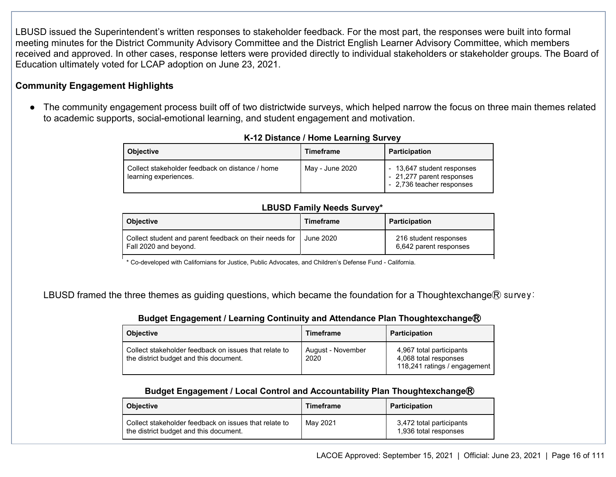LBUSD issued the Superintendent's written responses to stakeholder feedback. For the most part, the responses were built into formal meeting minutes for the District Community Advisory Committee and the District English Learner Advisory Committee, which members received and approved. In other cases, response letters were provided directly to individual stakeholders or stakeholder groups. The Board of Education ultimately voted for LCAP adoption on June 23, 2021.

#### **Community Engagement Highlights**

● The community engagement process built off of two districtwide surveys, which helped narrow the focus on three main themes related to academic supports, social-emotional learning, and student engagement and motivation.

| <b>Objective</b>                                                         | <b>Timeframe</b> | <b>Participation</b>                                                                 |
|--------------------------------------------------------------------------|------------------|--------------------------------------------------------------------------------------|
| Collect stakeholder feedback on distance / home<br>learning experiences. | May - June 2020  | - 13,647 student responses<br>- 21,277 parent responses<br>- 2,736 teacher responses |

#### **K-12 Distance / Home Learning Survey**

#### **LBUSD Family Needs Survey\***

| <b>Objective</b>                                                                | <b>Timeframe</b> | <b>Participation</b>                            |
|---------------------------------------------------------------------------------|------------------|-------------------------------------------------|
| Collect student and parent feedback on their needs for<br>Fall 2020 and beyond. | June 2020        | 216 student responses<br>6,642 parent responses |

\* Co-developed with Californians for Justice, Public Advocates, and Children's Defense Fund - California.

LBUSD framed the three themes as guiding questions, which became the foundation for a Thoughtexchange $\mathbb R$  survey:

#### **Budget Engagement / Learning Continuity and Attendance Plan Thoughtexchange<sup>®</sup>**

| <b>Objective</b>                                                                                | <b>Timeframe</b>          | <b>Participation</b>                                                              |
|-------------------------------------------------------------------------------------------------|---------------------------|-----------------------------------------------------------------------------------|
| Collect stakeholder feedback on issues that relate to<br>the district budget and this document. | August - November<br>2020 | 4,967 total participants<br>4,068 total responses<br>118,241 ratings / engagement |

#### **Budget Engagement / Local Control and Accountability Plan Thoughtexchange<sup>®</sup>**

| <b>Obiective</b>                                                                                | <b>Timeframe</b> | <b>Participation</b>                              |
|-------------------------------------------------------------------------------------------------|------------------|---------------------------------------------------|
| Collect stakeholder feedback on issues that relate to<br>the district budget and this document. | May 2021         | 3,472 total participants<br>1,936 total responses |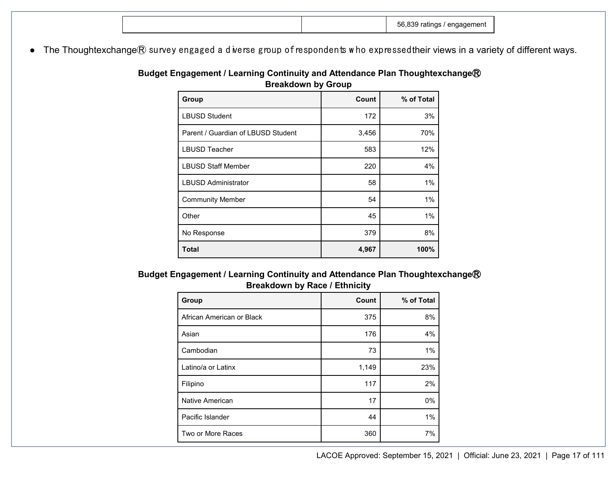|  |  |  | nr.<br>чнены<br>. .<br>__ |  |
|--|--|--|---------------------------|--|
|--|--|--|---------------------------|--|

● The Thoughtexchange® survey engaged a diverse group of respondents who expressedtheir views in a variety of different ways.

| Budget Engagement / Learning Continuity and Attendance Plan Thoughtexchange $\textcircledR}$ |
|----------------------------------------------------------------------------------------------|
| <b>Breakdown by Group</b>                                                                    |

| Group                              | Count | % of Total |
|------------------------------------|-------|------------|
| <b>LBUSD Student</b>               | 172   | 3%         |
| Parent / Guardian of LBUSD Student | 3,456 | 70%        |
| <b>LBUSD Teacher</b>               | 583   | 12%        |
| <b>LBUSD Staff Member</b>          | 220   | 4%         |
| <b>LBUSD Administrator</b>         | 58    | 1%         |
| <b>Community Member</b>            | 54    | 1%         |
| Other                              | 45    | 1%         |
| No Response                        | 379   | 8%         |
| <b>Total</b>                       | 4,967 | 100%       |

**Budget Engagement / Learning Continuity and Attendance Plan Thoughtexchange® Breakdown by Race / Ethnicity**

| Group                     | Count | % of Total |
|---------------------------|-------|------------|
| African American or Black | 375   | 8%         |
| Asian                     | 176   | 4%         |
| Cambodian                 | 73    | $1\%$      |
| Latino/a or Latinx        | 1,149 | 23%        |
| Filipino                  | 117   | 2%         |
| Native American           | 17    | $0\%$      |
| Pacific Islander          | 44    | $1\%$      |
| Two or More Races         | 360   | 7%         |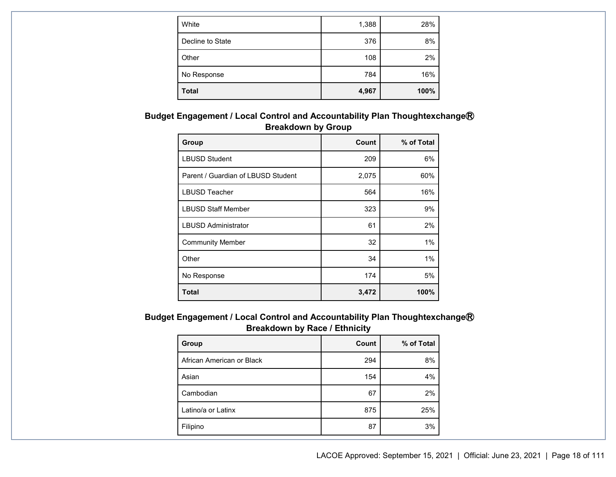| White            | 1,388 | 28%  |
|------------------|-------|------|
| Decline to State | 376   | 8%   |
| Other            | 108   | 2%   |
| No Response      | 784   | 16%  |
| <b>Total</b>     | 4,967 | 100% |

**Budget Engagement / Local Control and Accountability Plan Thoughtexchange<sup>®</sup> Breakdown by Group**

| Group                              | Count | % of Total |
|------------------------------------|-------|------------|
| <b>LBUSD Student</b>               | 209   | 6%         |
| Parent / Guardian of LBUSD Student | 2,075 | 60%        |
| <b>LBUSD Teacher</b>               | 564   | 16%        |
| <b>LBUSD Staff Member</b>          | 323   | 9%         |
| <b>LBUSD Administrator</b>         | 61    | 2%         |
| <b>Community Member</b>            | 32    | 1%         |
| Other                              | 34    | 1%         |
| No Response                        | 174   | 5%         |
| <b>Total</b>                       | 3,472 | 100%       |

**Budget Engagement / Local Control and Accountability Plan Thoughtexchange<sup>®</sup> Breakdown by Race / Ethnicity**

| Group                     | Count | % of Total |
|---------------------------|-------|------------|
| African American or Black | 294   | 8%         |
| Asian                     | 154   | 4%         |
| Cambodian                 | 67    | 2%         |
| Latino/a or Latinx        | 875   | 25%        |
| Filipino                  | 87    | 3%         |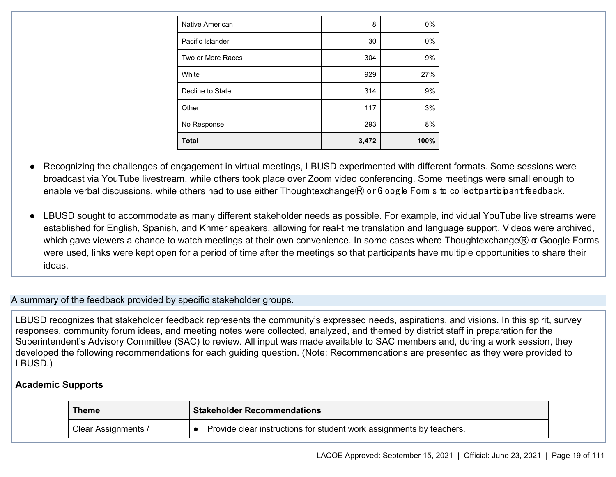| Native American   | 8     | 0%   |
|-------------------|-------|------|
| Pacific Islander  | 30    | 0%   |
| Two or More Races | 304   | 9%   |
| White             | 929   | 27%  |
| Decline to State  | 314   | 9%   |
| Other             | 117   | 3%   |
| No Response       | 293   | 8%   |
| <b>Total</b>      | 3,472 | 100% |

Recognizing the challenges of engagement in virtual meetings, LBUSD experimented with different formats. Some sessions were broadcast via YouTube livestream, while others took place over Zoom video conferencing. Some meetings were small enough to enable verbal discussions, while others had to use either Thoughtexchange $R$  or G oogle Fom s to collect participant feedback.

LBUSD sought to accommodate as many different stakeholder needs as possible. For example, individual YouTube live streams were established for English, Spanish, and Khmer speakers, allowing for real-time translation and language support. Videos were archived, which gave viewers a chance to watch meetings at their own convenience. In some cases where Thoughtexchange $\mathbb R$  or Google Forms were used, links were kept open for a period of time after the meetings so that participants have multiple opportunities to share their ideas.

#### A summary of the feedback provided by specific stakeholder groups.

LBUSD recognizes that stakeholder feedback represents the community's expressed needs, aspirations, and visions. In this spirit, survey responses, community forum ideas, and meeting notes were collected, analyzed, and themed by district staff in preparation for the Superintendent's Advisory Committee (SAC) to review. All input was made available to SAC members and, during a work session, they developed the following recommendations for each guiding question. (Note: Recommendations are presented as they were provided to LBUSD.)

#### **Academic Supports**

| Theme               | <b>Stakeholder Recommendations</b>                                   |
|---------------------|----------------------------------------------------------------------|
| Clear Assignments / | Provide clear instructions for student work assignments by teachers. |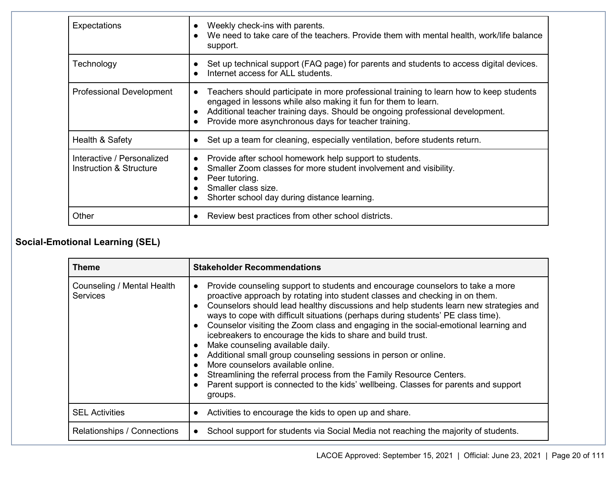| <b>Expectations</b>                                   | Weekly check-ins with parents.<br>We need to take care of the teachers. Provide them with mental health, work/life balance<br>support.                                                                                                                                                                                       |
|-------------------------------------------------------|------------------------------------------------------------------------------------------------------------------------------------------------------------------------------------------------------------------------------------------------------------------------------------------------------------------------------|
| Technology                                            | Set up technical support (FAQ page) for parents and students to access digital devices.<br>Internet access for ALL students.<br>$\bullet$                                                                                                                                                                                    |
| <b>Professional Development</b>                       | Teachers should participate in more professional training to learn how to keep students<br>$\bullet$<br>engaged in lessons while also making it fun for them to learn.<br>Additional teacher training days. Should be ongoing professional development.<br>Provide more asynchronous days for teacher training.<br>$\bullet$ |
| Health & Safety                                       | Set up a team for cleaning, especially ventilation, before students return.                                                                                                                                                                                                                                                  |
| Interactive / Personalized<br>Instruction & Structure | Provide after school homework help support to students.<br>$\bullet$<br>Smaller Zoom classes for more student involvement and visibility.<br>$\bullet$<br>Peer tutoring.<br>c<br>Smaller class size.<br>Shorter school day during distance learning.                                                                         |
| Other                                                 | Review best practices from other school districts.                                                                                                                                                                                                                                                                           |

### **Social-Emotional Learning (SEL)**

| <b>Theme</b>                                  | <b>Stakeholder Recommendations</b>                                                                                                                                                                                                                                                                                                                                                                                                                                                                                                                                                                                                                                                                                                                                                                                                                                                                                |
|-----------------------------------------------|-------------------------------------------------------------------------------------------------------------------------------------------------------------------------------------------------------------------------------------------------------------------------------------------------------------------------------------------------------------------------------------------------------------------------------------------------------------------------------------------------------------------------------------------------------------------------------------------------------------------------------------------------------------------------------------------------------------------------------------------------------------------------------------------------------------------------------------------------------------------------------------------------------------------|
| Counseling / Mental Health<br><b>Services</b> | Provide counseling support to students and encourage counselors to take a more<br>$\bullet$<br>proactive approach by rotating into student classes and checking in on them.<br>Counselors should lead healthy discussions and help students learn new strategies and<br>$\bullet$<br>ways to cope with difficult situations (perhaps during students' PE class time).<br>Counselor visiting the Zoom class and engaging in the social-emotional learning and<br>$\bullet$<br>icebreakers to encourage the kids to share and build trust.<br>Make counseling available daily.<br>$\bullet$<br>Additional small group counseling sessions in person or online.<br>$\bullet$<br>More counselors available online.<br>$\bullet$<br>Streamlining the referral process from the Family Resource Centers.<br>Parent support is connected to the kids' wellbeing. Classes for parents and support<br>$\bullet$<br>groups. |
| <b>SEL Activities</b>                         | Activities to encourage the kids to open up and share.<br>$\bullet$                                                                                                                                                                                                                                                                                                                                                                                                                                                                                                                                                                                                                                                                                                                                                                                                                                               |
| Relationships / Connections                   | School support for students via Social Media not reaching the majority of students.                                                                                                                                                                                                                                                                                                                                                                                                                                                                                                                                                                                                                                                                                                                                                                                                                               |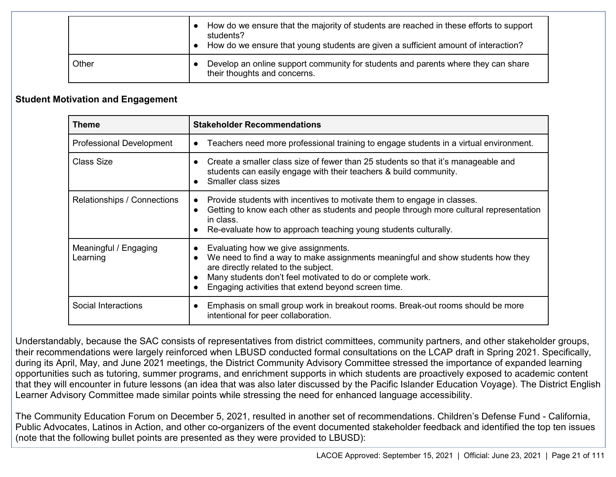|       | How do we ensure that the majority of students are reached in these efforts to support<br>students?<br>How do we ensure that young students are given a sufficient amount of interaction? |
|-------|-------------------------------------------------------------------------------------------------------------------------------------------------------------------------------------------|
| Other | Develop an online support community for students and parents where they can share<br>their thoughts and concerns.                                                                         |

#### **Student Motivation and Engagement**

| <b>Theme</b>                      | <b>Stakeholder Recommendations</b>                                                                                                                                                                                                                                                                                         |
|-----------------------------------|----------------------------------------------------------------------------------------------------------------------------------------------------------------------------------------------------------------------------------------------------------------------------------------------------------------------------|
| <b>Professional Development</b>   | Teachers need more professional training to engage students in a virtual environment.<br>$\bullet$                                                                                                                                                                                                                         |
| Class Size                        | Create a smaller class size of fewer than 25 students so that it's manageable and<br>$\bullet$<br>students can easily engage with their teachers & build community.<br>Smaller class sizes<br>$\bullet$                                                                                                                    |
| Relationships / Connections       | Provide students with incentives to motivate them to engage in classes.<br>$\bullet$<br>Getting to know each other as students and people through more cultural representation<br>$\bullet$<br>in class.<br>Re-evaluate how to approach teaching young students culturally.                                                |
| Meaningful / Engaging<br>Learning | Evaluating how we give assignments.<br>$\bullet$<br>We need to find a way to make assignments meaningful and show students how they<br>$\bullet$<br>are directly related to the subject.<br>Many students don't feel motivated to do or complete work.<br>$\bullet$<br>Engaging activities that extend beyond screen time. |
| Social Interactions               | Emphasis on small group work in breakout rooms. Break-out rooms should be more<br>$\bullet$<br>intentional for peer collaboration.                                                                                                                                                                                         |

Understandably, because the SAC consists of representatives from district committees, community partners, and other stakeholder groups, their recommendations were largely reinforced when LBUSD conducted formal consultations on the LCAP draft in Spring 2021. Specifically, during its April, May, and June 2021 meetings, the District Community Advisory Committee stressed the importance of expanded learning opportunities such as tutoring, summer programs, and enrichment supports in which students are proactively exposed to academic content that they will encounter in future lessons (an idea that was also later discussed by the Pacific Islander Education Voyage). The District English Learner Advisory Committee made similar points while stressing the need for enhanced language accessibility.

The Community Education Forum on December 5, 2021, resulted in another set of recommendations. Children's Defense Fund - California, Public Advocates, Latinos in Action, and other co-organizers of the event documented stakeholder feedback and identified the top ten issues (note that the following bullet points are presented as they were provided to LBUSD):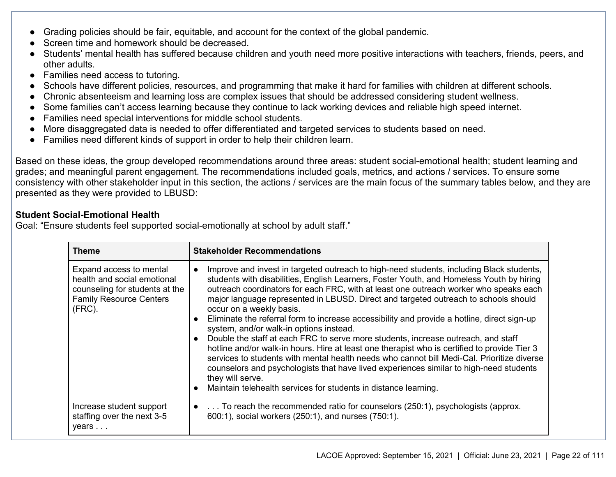- Grading policies should be fair, equitable, and account for the context of the global pandemic.
- Screen time and homework should be decreased.
- Students' mental health has suffered because children and youth need more positive interactions with teachers, friends, peers, and other adults.
- Families need access to tutoring.
- Schools have different policies, resources, and programming that make it hard for families with children at different schools.
- Chronic absenteeism and learning loss are complex issues that should be addressed considering student wellness.
- Some families can't access learning because they continue to lack working devices and reliable high speed internet.
- Families need special interventions for middle school students.
- More disaggregated data is needed to offer differentiated and targeted services to students based on need.
- Families need different kinds of support in order to help their children learn.

Based on these ideas, the group developed recommendations around three areas: student social-emotional health; student learning and grades; and meaningful parent engagement. The recommendations included goals, metrics, and actions / services. To ensure some consistency with other stakeholder input in this section, the actions / services are the main focus of the summary tables below, and they are presented as they were provided to LBUSD:

#### **Student Social-Emotional Health**

Goal: "Ensure students feel supported social-emotionally at school by adult staff."

| <b>Theme</b>                                                                                                                            | <b>Stakeholder Recommendations</b>                                                                                                                                                                                                                                                                                                                                                                                                                                                                                                                                                                                                                                                                                                                                                                                                                                                                                                                                                                                                                                 |
|-----------------------------------------------------------------------------------------------------------------------------------------|--------------------------------------------------------------------------------------------------------------------------------------------------------------------------------------------------------------------------------------------------------------------------------------------------------------------------------------------------------------------------------------------------------------------------------------------------------------------------------------------------------------------------------------------------------------------------------------------------------------------------------------------------------------------------------------------------------------------------------------------------------------------------------------------------------------------------------------------------------------------------------------------------------------------------------------------------------------------------------------------------------------------------------------------------------------------|
| Expand access to mental<br>health and social emotional<br>counseling for students at the<br><b>Family Resource Centers</b><br>$(FRC)$ . | Improve and invest in targeted outreach to high-need students, including Black students,<br>$\bullet$<br>students with disabilities, English Learners, Foster Youth, and Homeless Youth by hiring<br>outreach coordinators for each FRC, with at least one outreach worker who speaks each<br>major language represented in LBUSD. Direct and targeted outreach to schools should<br>occur on a weekly basis.<br>Eliminate the referral form to increase accessibility and provide a hotline, direct sign-up<br>$\bullet$<br>system, and/or walk-in options instead.<br>Double the staff at each FRC to serve more students, increase outreach, and staff<br>$\bullet$<br>hotline and/or walk-in hours. Hire at least one therapist who is certified to provide Tier 3<br>services to students with mental health needs who cannot bill Medi-Cal. Prioritize diverse<br>counselors and psychologists that have lived experiences similar to high-need students<br>they will serve.<br>Maintain telehealth services for students in distance learning.<br>$\bullet$ |
| Increase student support<br>staffing over the next 3-5<br>years                                                                         | To reach the recommended ratio for counselors (250:1), psychologists (approx.<br>$\bullet$<br>600:1), social workers (250:1), and nurses (750:1).                                                                                                                                                                                                                                                                                                                                                                                                                                                                                                                                                                                                                                                                                                                                                                                                                                                                                                                  |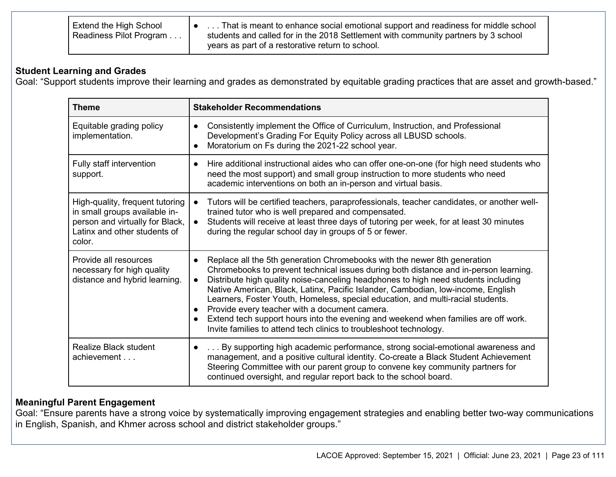| <b>Extend the High School</b><br>Readiness Pilot Program | That is meant to enhance social emotional support and readiness for middle school<br>students and called for in the 2018 Settlement with community partners by 3 school<br>years as part of a restorative return to school. |
|----------------------------------------------------------|-----------------------------------------------------------------------------------------------------------------------------------------------------------------------------------------------------------------------------|
|                                                          |                                                                                                                                                                                                                             |

#### **Student Learning and Grades**

Goal: "Support students improve their learning and grades as demonstrated by equitable grading practices that are asset and growth-based."

| <b>Theme</b>                                                                                                                                  | <b>Stakeholder Recommendations</b>                                                                                                                                                                                                                                                                                                                                                                                                                                                                                                                                                                                                                                                |  |  |  |
|-----------------------------------------------------------------------------------------------------------------------------------------------|-----------------------------------------------------------------------------------------------------------------------------------------------------------------------------------------------------------------------------------------------------------------------------------------------------------------------------------------------------------------------------------------------------------------------------------------------------------------------------------------------------------------------------------------------------------------------------------------------------------------------------------------------------------------------------------|--|--|--|
| Equitable grading policy<br>implementation.                                                                                                   | Consistently implement the Office of Curriculum, Instruction, and Professional<br>$\bullet$<br>Development's Grading For Equity Policy across all LBUSD schools.<br>Moratorium on Fs during the 2021-22 school year.<br>$\bullet$                                                                                                                                                                                                                                                                                                                                                                                                                                                 |  |  |  |
| Fully staff intervention<br>support.                                                                                                          | Hire additional instructional aides who can offer one-on-one (for high need students who<br>$\bullet$<br>need the most support) and small group instruction to more students who need<br>academic interventions on both an in-person and virtual basis.                                                                                                                                                                                                                                                                                                                                                                                                                           |  |  |  |
| High-quality, frequent tutoring<br>in small groups available in-<br>person and virtually for Black,<br>Latinx and other students of<br>color. | Tutors will be certified teachers, paraprofessionals, teacher candidates, or another well-<br>trained tutor who is well prepared and compensated.<br>Students will receive at least three days of tutoring per week, for at least 30 minutes<br>$\bullet$<br>during the regular school day in groups of 5 or fewer.                                                                                                                                                                                                                                                                                                                                                               |  |  |  |
| Provide all resources<br>necessary for high quality<br>distance and hybrid learning.                                                          | Replace all the 5th generation Chromebooks with the newer 8th generation<br>$\bullet$<br>Chromebooks to prevent technical issues during both distance and in-person learning.<br>Distribute high quality noise-canceling headphones to high need students including<br>Native American, Black, Latinx, Pacific Islander, Cambodian, Iow-income, English<br>Learners, Foster Youth, Homeless, special education, and multi-racial students.<br>Provide every teacher with a document camera.<br>$\bullet$<br>Extend tech support hours into the evening and weekend when families are off work.<br>$\bullet$<br>Invite families to attend tech clinics to troubleshoot technology. |  |  |  |
| <b>Realize Black student</b><br>achievement                                                                                                   | By supporting high academic performance, strong social-emotional awareness and<br>$\bullet$<br>management, and a positive cultural identity. Co-create a Black Student Achievement<br>Steering Committee with our parent group to convene key community partners for<br>continued oversight, and regular report back to the school board.                                                                                                                                                                                                                                                                                                                                         |  |  |  |

#### **Meaningful Parent Engagement**

Goal: "Ensure parents have a strong voice by systematically improving engagement strategies and enabling better two-way communications in English, Spanish, and Khmer across school and district stakeholder groups."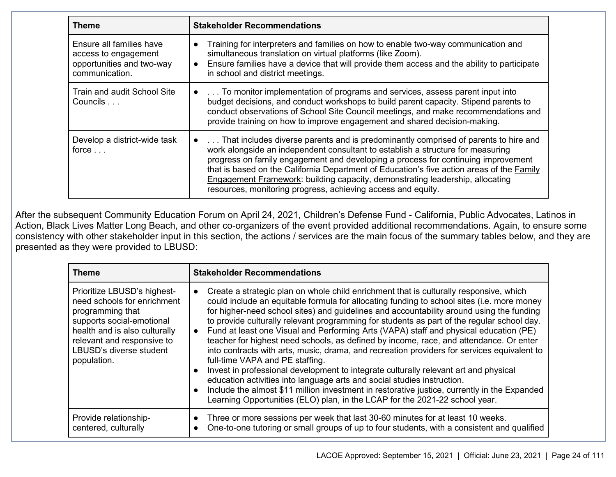| <b>Theme</b>                                                                                    | <b>Stakeholder Recommendations</b>                                                                                                                                                                                                                                                                                                                                                                                                                                                                                     |  |  |  |
|-------------------------------------------------------------------------------------------------|------------------------------------------------------------------------------------------------------------------------------------------------------------------------------------------------------------------------------------------------------------------------------------------------------------------------------------------------------------------------------------------------------------------------------------------------------------------------------------------------------------------------|--|--|--|
| Ensure all families have<br>access to engagement<br>opportunities and two-way<br>communication. | Training for interpreters and families on how to enable two-way communication and<br>$\bullet$<br>simultaneous translation on virtual platforms (like Zoom).<br>Ensure families have a device that will provide them access and the ability to participate<br>$\bullet$<br>in school and district meetings.                                                                                                                                                                                                            |  |  |  |
| Train and audit School Site<br>Councils                                                         | To monitor implementation of programs and services, assess parent input into<br>budget decisions, and conduct workshops to build parent capacity. Stipend parents to<br>conduct observations of School Site Council meetings, and make recommendations and<br>provide training on how to improve engagement and shared decision-making.                                                                                                                                                                                |  |  |  |
| Develop a district-wide task<br>force $\ldots$                                                  | That includes diverse parents and is predominantly comprised of parents to hire and<br>$\bullet$<br>work alongside an independent consultant to establish a structure for measuring<br>progress on family engagement and developing a process for continuing improvement<br>that is based on the California Department of Education's five action areas of the Family<br>Engagement Framework: building capacity, demonstrating leadership, allocating<br>resources, monitoring progress, achieving access and equity. |  |  |  |

After the subsequent Community Education Forum on April 24, 2021, Children's Defense Fund - California, Public Advocates, Latinos in Action, Black Lives Matter Long Beach, and other co-organizers of the event provided additional recommendations. Again, to ensure some consistency with other stakeholder input in this section, the actions / services are the main focus of the summary tables below, and they are presented as they were provided to LBUSD:

| Theme                                                                                                                                                                                                                | <b>Stakeholder Recommendations</b>                                                                                                                                                                                                                                                                                                                                                                                                                                                                                                                                                                                                                                                                                                                                                                                                                                                                                                                                                                                                                                                                        |
|----------------------------------------------------------------------------------------------------------------------------------------------------------------------------------------------------------------------|-----------------------------------------------------------------------------------------------------------------------------------------------------------------------------------------------------------------------------------------------------------------------------------------------------------------------------------------------------------------------------------------------------------------------------------------------------------------------------------------------------------------------------------------------------------------------------------------------------------------------------------------------------------------------------------------------------------------------------------------------------------------------------------------------------------------------------------------------------------------------------------------------------------------------------------------------------------------------------------------------------------------------------------------------------------------------------------------------------------|
| Prioritize LBUSD's highest-<br>need schools for enrichment<br>programming that<br>supports social-emotional<br>health and is also culturally<br>relevant and responsive to<br>LBUSD's diverse student<br>population. | Create a strategic plan on whole child enrichment that is culturally responsive, which<br>$\bullet$<br>could include an equitable formula for allocating funding to school sites (i.e. more money<br>for higher-need school sites) and guidelines and accountability around using the funding<br>to provide culturally relevant programming for students as part of the regular school day.<br>Fund at least one Visual and Performing Arts (VAPA) staff and physical education (PE)<br>$\bullet$<br>teacher for highest need schools, as defined by income, race, and attendance. Or enter<br>into contracts with arts, music, drama, and recreation providers for services equivalent to<br>full-time VAPA and PE staffing.<br>Invest in professional development to integrate culturally relevant art and physical<br>$\bullet$<br>education activities into language arts and social studies instruction.<br>Include the almost \$11 million investment in restorative justice, currently in the Expanded<br>$\bullet$<br>Learning Opportunities (ELO) plan, in the LCAP for the 2021-22 school year. |
| Provide relationship-<br>centered, culturally                                                                                                                                                                        | Three or more sessions per week that last 30-60 minutes for at least 10 weeks.<br>One-to-one tutoring or small groups of up to four students, with a consistent and qualified                                                                                                                                                                                                                                                                                                                                                                                                                                                                                                                                                                                                                                                                                                                                                                                                                                                                                                                             |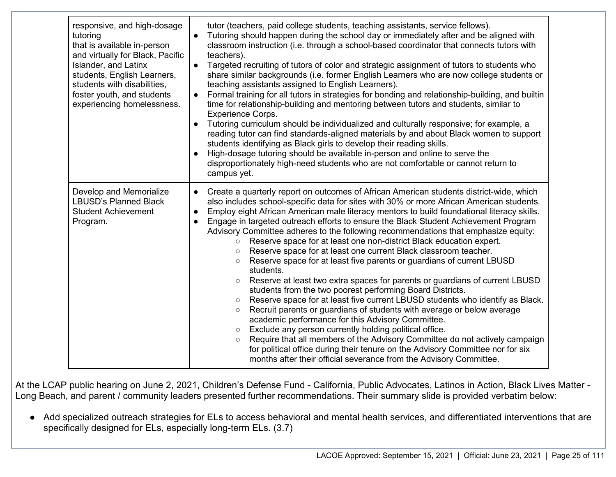| responsive, and high-dosage<br>tutoring<br>that is available in-person<br>and virtually for Black, Pacific<br><b>Islander, and Latinx</b><br>students, English Learners,<br>students with disabilities,<br>foster youth, and students<br>experiencing homelessness. | tutor (teachers, paid college students, teaching assistants, service fellows).<br>Tutoring should happen during the school day or immediately after and be aligned with<br>classroom instruction (i.e. through a school-based coordinator that connects tutors with<br>teachers).<br>Targeted recruiting of tutors of color and strategic assignment of tutors to students who<br>$\bullet$<br>share similar backgrounds (i.e. former English Learners who are now college students or<br>teaching assistants assigned to English Learners).<br>Formal training for all tutors in strategies for bonding and relationship-building, and builtin<br>$\bullet$<br>time for relationship-building and mentoring between tutors and students, similar to<br><b>Experience Corps.</b><br>Tutoring curriculum should be individualized and culturally responsive; for example, a<br>reading tutor can find standards-aligned materials by and about Black women to support<br>students identifying as Black girls to develop their reading skills.<br>High-dosage tutoring should be available in-person and online to serve the<br>disproportionately high-need students who are not comfortable or cannot return to<br>campus yet.                                                                                                                                                                                                                          |
|---------------------------------------------------------------------------------------------------------------------------------------------------------------------------------------------------------------------------------------------------------------------|---------------------------------------------------------------------------------------------------------------------------------------------------------------------------------------------------------------------------------------------------------------------------------------------------------------------------------------------------------------------------------------------------------------------------------------------------------------------------------------------------------------------------------------------------------------------------------------------------------------------------------------------------------------------------------------------------------------------------------------------------------------------------------------------------------------------------------------------------------------------------------------------------------------------------------------------------------------------------------------------------------------------------------------------------------------------------------------------------------------------------------------------------------------------------------------------------------------------------------------------------------------------------------------------------------------------------------------------------------------------------------------------------------------------------------------------------------|
| Develop and Memorialize<br><b>LBUSD's Planned Black</b><br><b>Student Achievement</b><br>Program.                                                                                                                                                                   | Create a quarterly report on outcomes of African American students district-wide, which<br>$\bullet$<br>also includes school-specific data for sites with 30% or more African American students.<br>Employ eight African American male literacy mentors to build foundational literacy skills.<br>$\bullet$<br>Engage in targeted outreach efforts to ensure the Black Student Achievement Program<br>Advisory Committee adheres to the following recommendations that emphasize equity:<br>Reserve space for at least one non-district Black education expert.<br>$\circ$<br>Reserve space for at least one current Black classroom teacher.<br>$\circ$<br>Reserve space for at least five parents or guardians of current LBUSD<br>$\circ$<br>students.<br>Reserve at least two extra spaces for parents or guardians of current LBUSD<br>students from the two poorest performing Board Districts.<br>Reserve space for at least five current LBUSD students who identify as Black.<br>$\circ$<br>Recruit parents or guardians of students with average or below average<br>$\circ$<br>academic performance for this Advisory Committee.<br>Exclude any person currently holding political office.<br>Require that all members of the Advisory Committee do not actively campaign<br>$\circ$<br>for political office during their tenure on the Advisory Committee nor for six<br>months after their official severance from the Advisory Committee. |

At the LCAP public hearing on June 2, 2021, Children's Defense Fund - California, Public Advocates, Latinos in Action, Black Lives Matter - Long Beach, and parent / community leaders presented further recommendations. Their summary slide is provided verbatim below:

● Add specialized outreach strategies for ELs to access behavioral and mental health services, and differentiated interventions that are specifically designed for ELs, especially long-term ELs. (3.7)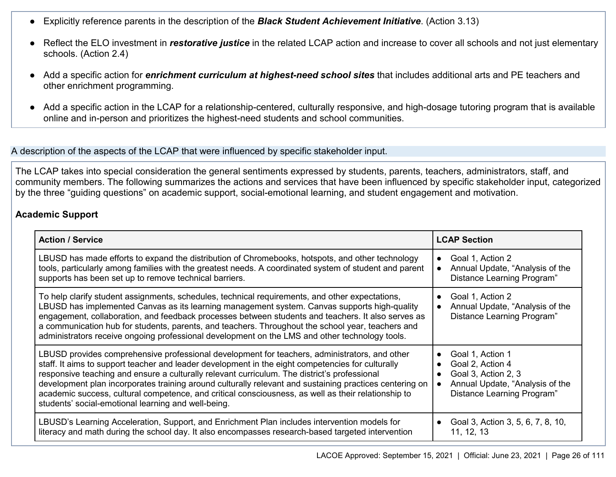- Explicitly reference parents in the description of the *Black Student Achievement Initiative*. (Action 3.13)
- Reflect the ELO investment in *restorative justice* in the related LCAP action and increase to cover all schools and not just elementary schools. (Action 2.4)
- Add a specific action for *enrichment curriculum at highest-need school sites* that includes additional arts and PE teachers and other enrichment programming.
- Add a specific action in the LCAP for a relationship-centered, culturally responsive, and high-dosage tutoring program that is available online and in-person and prioritizes the highest-need students and school communities.

A description of the aspects of the LCAP that were influenced by specific stakeholder input.

The LCAP takes into special consideration the general sentiments expressed by students, parents, teachers, administrators, staff, and community members. The following summarizes the actions and services that have been influenced by specific stakeholder input, categorized by the three "guiding questions" on academic support, social-emotional learning, and student engagement and motivation.

#### **Academic Support**

| <b>Action / Service</b>                                                                                                                                                                                                                                                                                                                                                                                                                                                                                                                                                     | <b>LCAP Section</b>                                                                                                                       |  |
|-----------------------------------------------------------------------------------------------------------------------------------------------------------------------------------------------------------------------------------------------------------------------------------------------------------------------------------------------------------------------------------------------------------------------------------------------------------------------------------------------------------------------------------------------------------------------------|-------------------------------------------------------------------------------------------------------------------------------------------|--|
| LBUSD has made efforts to expand the distribution of Chromebooks, hotspots, and other technology<br>tools, particularly among families with the greatest needs. A coordinated system of student and parent<br>supports has been set up to remove technical barriers.                                                                                                                                                                                                                                                                                                        | Goal 1, Action 2<br>$\bullet$<br>Annual Update, "Analysis of the<br>Distance Learning Program"                                            |  |
| To help clarify student assignments, schedules, technical requirements, and other expectations,<br>LBUSD has implemented Canvas as its learning management system. Canvas supports high-quality<br>engagement, collaboration, and feedback processes between students and teachers. It also serves as<br>a communication hub for students, parents, and teachers. Throughout the school year, teachers and<br>administrators receive ongoing professional development on the LMS and other technology tools.                                                                | Goal 1, Action 2<br>Annual Update, "Analysis of the<br>Distance Learning Program"                                                         |  |
| LBUSD provides comprehensive professional development for teachers, administrators, and other<br>staff. It aims to support teacher and leader development in the eight competencies for culturally<br>responsive teaching and ensure a culturally relevant curriculum. The district's professional<br>development plan incorporates training around culturally relevant and sustaining practices centering on<br>academic success, cultural competence, and critical consciousness, as well as their relationship to<br>students' social-emotional learning and well-being. | Goal 1, Action 1<br>$\bullet$<br>Goal 2, Action 4<br>Goal 3, Action 2, 3<br>Annual Update, "Analysis of the<br>Distance Learning Program" |  |
| LBUSD's Learning Acceleration, Support, and Enrichment Plan includes intervention models for<br>literacy and math during the school day. It also encompasses research-based targeted intervention                                                                                                                                                                                                                                                                                                                                                                           | Goal 3, Action 3, 5, 6, 7, 8, 10,<br>$\bullet$<br>11, 12, 13                                                                              |  |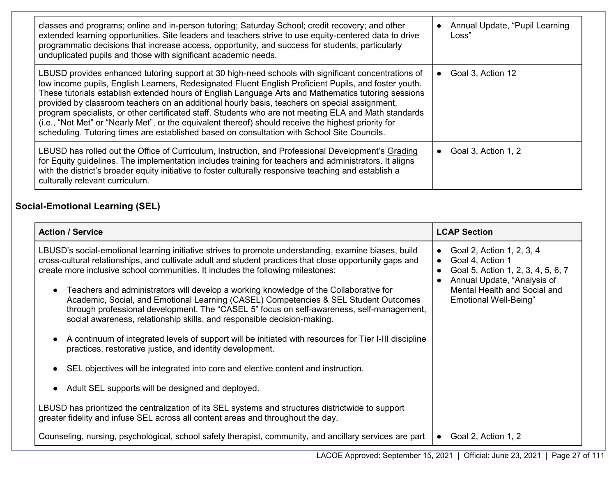| classes and programs; online and in-person tutoring; Saturday School; credit recovery; and other<br>extended learning opportunities. Site leaders and teachers strive to use equity-centered data to drive<br>programmatic decisions that increase access, opportunity, and success for students, particularly<br>unduplicated pupils and those with significant academic needs.                                                                                                                                                                                                                                                                                                                                                     | Annual Update, "Pupil Learning<br>Loss" |
|--------------------------------------------------------------------------------------------------------------------------------------------------------------------------------------------------------------------------------------------------------------------------------------------------------------------------------------------------------------------------------------------------------------------------------------------------------------------------------------------------------------------------------------------------------------------------------------------------------------------------------------------------------------------------------------------------------------------------------------|-----------------------------------------|
| LBUSD provides enhanced tutoring support at 30 high-need schools with significant concentrations of<br>low income pupils, English Learners, Redesignated Fluent English Proficient Pupils, and foster youth.<br>These tutorials establish extended hours of English Language Arts and Mathematics tutoring sessions<br>provided by classroom teachers on an additional hourly basis, teachers on special assignment,<br>program specialists, or other certificated staff. Students who are not meeting ELA and Math standards<br>(i.e., "Not Met" or "Nearly Met", or the equivalent thereof) should receive the highest priority for<br>scheduling. Tutoring times are established based on consultation with School Site Councils. | Goal 3, Action 12<br>$\bullet$          |
| LBUSD has rolled out the Office of Curriculum, Instruction, and Professional Development's Grading<br>for Equity guidelines. The implementation includes training for teachers and administrators. It aligns<br>with the district's broader equity initiative to foster culturally responsive teaching and establish a<br>culturally relevant curriculum.                                                                                                                                                                                                                                                                                                                                                                            | Goal 3, Action 1, 2<br>$\bullet$        |

### **Social-Emotional Learning (SEL)**

| <b>Action / Service</b>                                                                                                                                                                                                                                                                                                                                                                                                                                                                                                                                                                                                                                                                                                                                                                                                                                                                                                                                                                                                                                                                                                                                                | <b>LCAP Section</b>                                                                                                                                                                                          |
|------------------------------------------------------------------------------------------------------------------------------------------------------------------------------------------------------------------------------------------------------------------------------------------------------------------------------------------------------------------------------------------------------------------------------------------------------------------------------------------------------------------------------------------------------------------------------------------------------------------------------------------------------------------------------------------------------------------------------------------------------------------------------------------------------------------------------------------------------------------------------------------------------------------------------------------------------------------------------------------------------------------------------------------------------------------------------------------------------------------------------------------------------------------------|--------------------------------------------------------------------------------------------------------------------------------------------------------------------------------------------------------------|
| LBUSD's social-emotional learning initiative strives to promote understanding, examine biases, build<br>cross-cultural relationships, and cultivate adult and student practices that close opportunity gaps and<br>create more inclusive school communities. It includes the following milestones:<br>Teachers and administrators will develop a working knowledge of the Collaborative for<br>Academic, Social, and Emotional Learning (CASEL) Competencies & SEL Student Outcomes<br>through professional development. The "CASEL 5" focus on self-awareness, self-management,<br>social awareness, relationship skills, and responsible decision-making.<br>A continuum of integrated levels of support will be initiated with resources for Tier I-III discipline<br>practices, restorative justice, and identity development.<br>SEL objectives will be integrated into core and elective content and instruction.<br>Adult SEL supports will be designed and deployed.<br>LBUSD has prioritized the centralization of its SEL systems and structures districtwide to support<br>greater fidelity and infuse SEL across all content areas and throughout the day. | Goal 2, Action 1, 2, 3, 4<br>$\bullet$<br>Goal 4, Action 1<br>$\bullet$<br>Goal 5, Action 1, 2, 3, 4, 5, 6, 7<br>Annual Update, "Analysis of<br>Mental Health and Social and<br><b>Emotional Well-Being"</b> |
| Counseling, nursing, psychological, school safety therapist, community, and ancillary services are part                                                                                                                                                                                                                                                                                                                                                                                                                                                                                                                                                                                                                                                                                                                                                                                                                                                                                                                                                                                                                                                                | Goal 2, Action 1, 2                                                                                                                                                                                          |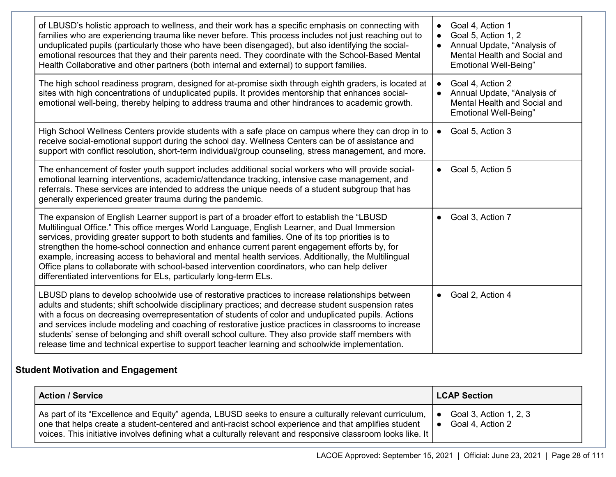| of LBUSD's holistic approach to wellness, and their work has a specific emphasis on connecting with<br>families who are experiencing trauma like never before. This process includes not just reaching out to<br>unduplicated pupils (particularly those who have been disengaged), but also identifying the social-<br>emotional resources that they and their parents need. They coordinate with the School-Based Mental<br>Health Collaborative and other partners (both internal and external) to support families.                                                                                                                                                        | Goal 4, Action 1<br>Goal 5, Action 1, 2<br>Annual Update, "Analysis of<br>$\bullet$<br>Mental Health and Social and<br><b>Emotional Well-Being"</b> |
|--------------------------------------------------------------------------------------------------------------------------------------------------------------------------------------------------------------------------------------------------------------------------------------------------------------------------------------------------------------------------------------------------------------------------------------------------------------------------------------------------------------------------------------------------------------------------------------------------------------------------------------------------------------------------------|-----------------------------------------------------------------------------------------------------------------------------------------------------|
| The high school readiness program, designed for at-promise sixth through eighth graders, is located at<br>sites with high concentrations of unduplicated pupils. It provides mentorship that enhances social-<br>emotional well-being, thereby helping to address trauma and other hindrances to academic growth.                                                                                                                                                                                                                                                                                                                                                              | Goal 4, Action 2<br>Annual Update, "Analysis of<br>Mental Health and Social and<br><b>Emotional Well-Being"</b>                                     |
| High School Wellness Centers provide students with a safe place on campus where they can drop in to<br>receive social-emotional support during the school day. Wellness Centers can be of assistance and<br>support with conflict resolution, short-term individual/group counseling, stress management, and more.                                                                                                                                                                                                                                                                                                                                                             | Goal 5, Action 3<br>$\bullet$                                                                                                                       |
| The enhancement of foster youth support includes additional social workers who will provide social-<br>emotional learning interventions, academic/attendance tracking, intensive case management, and<br>referrals. These services are intended to address the unique needs of a student subgroup that has<br>generally experienced greater trauma during the pandemic.                                                                                                                                                                                                                                                                                                        | Goal 5, Action 5<br>$\bullet$                                                                                                                       |
| The expansion of English Learner support is part of a broader effort to establish the "LBUSD<br>Multilingual Office." This office merges World Language, English Learner, and Dual Immersion<br>services, providing greater support to both students and families. One of its top priorities is to<br>strengthen the home-school connection and enhance current parent engagement efforts by, for<br>example, increasing access to behavioral and mental health services. Additionally, the Multilingual<br>Office plans to collaborate with school-based intervention coordinators, who can help deliver<br>differentiated interventions for ELs, particularly long-term ELs. | Goal 3, Action 7                                                                                                                                    |
| LBUSD plans to develop schoolwide use of restorative practices to increase relationships between<br>adults and students; shift schoolwide disciplinary practices; and decrease student suspension rates<br>with a focus on decreasing overrepresentation of students of color and unduplicated pupils. Actions<br>and services include modeling and coaching of restorative justice practices in classrooms to increase<br>students' sense of belonging and shift overall school culture. They also provide staff members with<br>release time and technical expertise to support teacher learning and schoolwide implementation.                                              | Goal 2, Action 4<br>$\bullet$                                                                                                                       |

## **Student Motivation and Engagement**

| <b>Action / Service</b>                                                                                      | <b>LCAP Section</b>    |
|--------------------------------------------------------------------------------------------------------------|------------------------|
| As part of its "Excellence and Equity" agenda, LBUSD seeks to ensure a culturally relevant curriculum,       | Goal 3, Action 1, 2, 3 |
| one that helps create a student-centered and anti-racist school experience and that amplifies student        | $\bullet$              |
| voices. This initiative involves defining what a culturally relevant and responsive classroom looks like. It | Goal 4, Action 2       |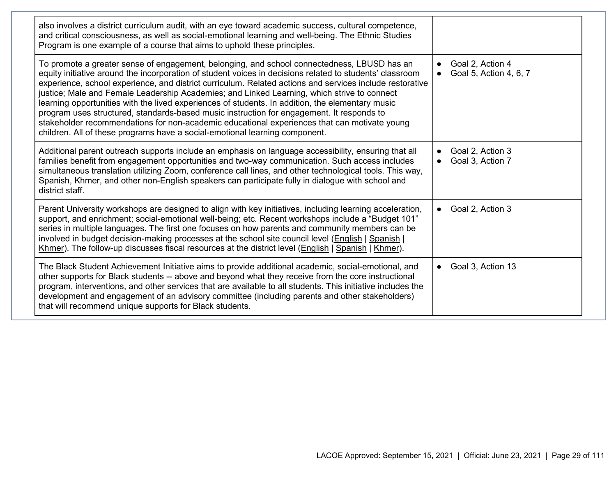| also involves a district curriculum audit, with an eye toward academic success, cultural competence,<br>and critical consciousness, as well as social-emotional learning and well-being. The Ethnic Studies<br>Program is one example of a course that aims to uphold these principles.                                                                                                                                                                                                                                                                                                                                                                                                                                                                                                            |                                                   |
|----------------------------------------------------------------------------------------------------------------------------------------------------------------------------------------------------------------------------------------------------------------------------------------------------------------------------------------------------------------------------------------------------------------------------------------------------------------------------------------------------------------------------------------------------------------------------------------------------------------------------------------------------------------------------------------------------------------------------------------------------------------------------------------------------|---------------------------------------------------|
| To promote a greater sense of engagement, belonging, and school connectedness, LBUSD has an<br>equity initiative around the incorporation of student voices in decisions related to students' classroom<br>experience, school experience, and district curriculum. Related actions and services include restorative<br>justice; Male and Female Leadership Academies; and Linked Learning, which strive to connect<br>learning opportunities with the lived experiences of students. In addition, the elementary music<br>program uses structured, standards-based music instruction for engagement. It responds to<br>stakeholder recommendations for non-academic educational experiences that can motivate young<br>children. All of these programs have a social-emotional learning component. | Goal 2, Action 4<br>Goal 5, Action 4, 6, 7        |
| Additional parent outreach supports include an emphasis on language accessibility, ensuring that all<br>families benefit from engagement opportunities and two-way communication. Such access includes<br>simultaneous translation utilizing Zoom, conference call lines, and other technological tools. This way,<br>Spanish, Khmer, and other non-English speakers can participate fully in dialogue with school and<br>district staff.                                                                                                                                                                                                                                                                                                                                                          | Goal 2, Action 3<br>$\bullet$<br>Goal 3, Action 7 |
| Parent University workshops are designed to align with key initiatives, including learning acceleration,<br>support, and enrichment; social-emotional well-being; etc. Recent workshops include a "Budget 101"<br>series in multiple languages. The first one focuses on how parents and community members can be<br>involved in budget decision-making processes at the school site council level (English   Spanish  <br>Khmer). The follow-up discusses fiscal resources at the district level (English   Spanish   Khmer).                                                                                                                                                                                                                                                                     | Goal 2, Action 3                                  |
| The Black Student Achievement Initiative aims to provide additional academic, social-emotional, and<br>other supports for Black students -- above and beyond what they receive from the core instructional<br>program, interventions, and other services that are available to all students. This initiative includes the<br>development and engagement of an advisory committee (including parents and other stakeholders)<br>that will recommend unique supports for Black students.                                                                                                                                                                                                                                                                                                             | Goal 3, Action 13                                 |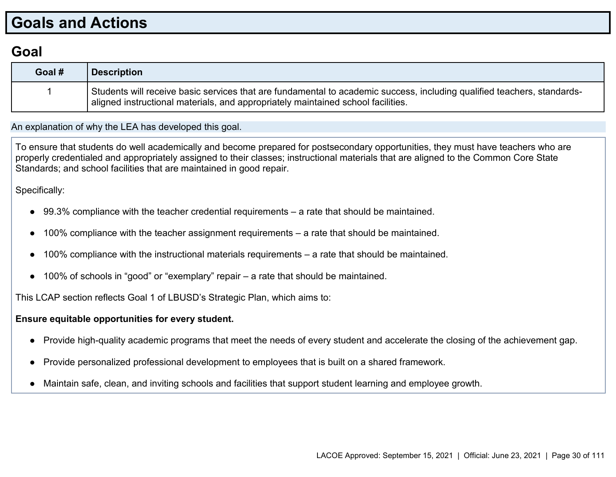# **Goals and Actions**

### **Goal**

| Goal # | <b>Description</b>                                                                                                                                                                                          |
|--------|-------------------------------------------------------------------------------------------------------------------------------------------------------------------------------------------------------------|
|        | Students will receive basic services that are fundamental to academic success, including qualified teachers, standards-<br>aligned instructional materials, and appropriately maintained school facilities. |

An explanation of why the LEA has developed this goal.

To ensure that students do well academically and become prepared for postsecondary opportunities, they must have teachers who are properly credentialed and appropriately assigned to their classes; instructional materials that are aligned to the Common Core State Standards; and school facilities that are maintained in good repair.

Specifically:

- 99.3% compliance with the teacher credential requirements a rate that should be maintained.
- 100% compliance with the teacher assignment requirements a rate that should be maintained.
- 100% compliance with the instructional materials requirements a rate that should be maintained.
- 100% of schools in "good" or "exemplary" repair  $-$  a rate that should be maintained.

This LCAP section reflects Goal 1 of LBUSD's Strategic Plan, which aims to:

#### **Ensure equitable opportunities for every student.**

- Provide high-quality academic programs that meet the needs of every student and accelerate the closing of the achievement gap.
- Provide personalized professional development to employees that is built on a shared framework.
- Maintain safe, clean, and inviting schools and facilities that support student learning and employee growth.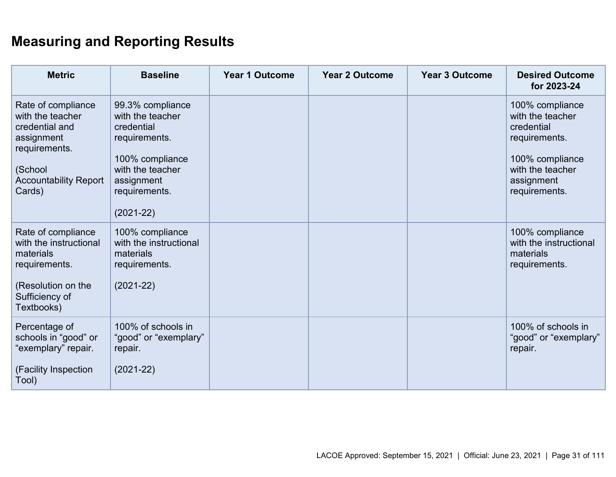# **Measuring and Reporting Results**

| <b>Metric</b>                                                                                                                                | <b>Baseline</b>                                                                                                                                            | <b>Year 1 Outcome</b> | <b>Year 2 Outcome</b> | <b>Year 3 Outcome</b> | <b>Desired Outcome</b><br>for 2023-24                                                                                                    |
|----------------------------------------------------------------------------------------------------------------------------------------------|------------------------------------------------------------------------------------------------------------------------------------------------------------|-----------------------|-----------------------|-----------------------|------------------------------------------------------------------------------------------------------------------------------------------|
| Rate of compliance<br>with the teacher<br>credential and<br>assignment<br>requirements.<br>(School<br><b>Accountability Report</b><br>Cards) | 99.3% compliance<br>with the teacher<br>credential<br>requirements.<br>100% compliance<br>with the teacher<br>assignment<br>requirements.<br>$(2021 - 22)$ |                       |                       |                       | 100% compliance<br>with the teacher<br>credential<br>requirements.<br>100% compliance<br>with the teacher<br>assignment<br>requirements. |
| Rate of compliance<br>with the instructional<br>materials<br>requirements.<br>(Resolution on the<br>Sufficiency of<br>Textbooks)             | 100% compliance<br>with the instructional<br>materials<br>requirements.<br>$(2021-22)$                                                                     |                       |                       |                       | 100% compliance<br>with the instructional<br>materials<br>requirements.                                                                  |
| Percentage of<br>schools in "good" or<br>"exemplary" repair.<br>(Facility Inspection<br>Tool)                                                | 100% of schools in<br>"good" or "exemplary"<br>repair.<br>$(2021 - 22)$                                                                                    |                       |                       |                       | 100% of schools in<br>"good" or "exemplary"<br>repair.                                                                                   |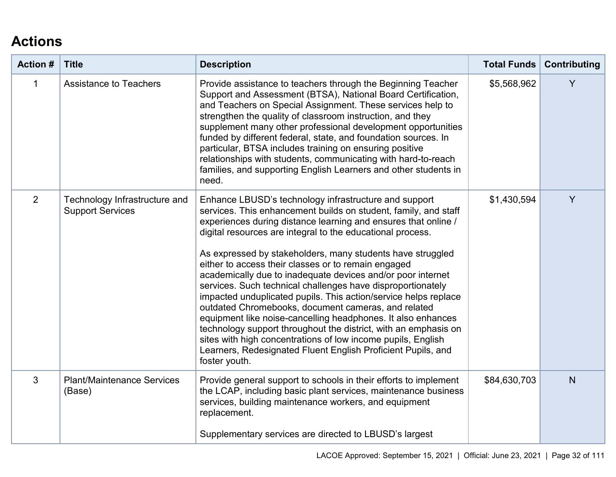# **Actions**

| <b>Action #</b> | <b>Title</b>                                             | <b>Description</b>                                                                                                                                                                                                                                                                                                                                                                                                                                                                                                                                                                                                                                                                                                                                                                                                                                                                                                        | <b>Total Funds</b> | Contributing |
|-----------------|----------------------------------------------------------|---------------------------------------------------------------------------------------------------------------------------------------------------------------------------------------------------------------------------------------------------------------------------------------------------------------------------------------------------------------------------------------------------------------------------------------------------------------------------------------------------------------------------------------------------------------------------------------------------------------------------------------------------------------------------------------------------------------------------------------------------------------------------------------------------------------------------------------------------------------------------------------------------------------------------|--------------------|--------------|
| 1               | <b>Assistance to Teachers</b>                            | Provide assistance to teachers through the Beginning Teacher<br>Support and Assessment (BTSA), National Board Certification,<br>and Teachers on Special Assignment. These services help to<br>strengthen the quality of classroom instruction, and they<br>supplement many other professional development opportunities<br>funded by different federal, state, and foundation sources. In<br>particular, BTSA includes training on ensuring positive<br>relationships with students, communicating with hard-to-reach<br>families, and supporting English Learners and other students in<br>need.                                                                                                                                                                                                                                                                                                                         | \$5,568,962        | Y            |
| $\overline{2}$  | Technology Infrastructure and<br><b>Support Services</b> | Enhance LBUSD's technology infrastructure and support<br>services. This enhancement builds on student, family, and staff<br>experiences during distance learning and ensures that online /<br>digital resources are integral to the educational process.<br>As expressed by stakeholders, many students have struggled<br>either to access their classes or to remain engaged<br>academically due to inadequate devices and/or poor internet<br>services. Such technical challenges have disproportionately<br>impacted unduplicated pupils. This action/service helps replace<br>outdated Chromebooks, document cameras, and related<br>equipment like noise-cancelling headphones. It also enhances<br>technology support throughout the district, with an emphasis on<br>sites with high concentrations of low income pupils, English<br>Learners, Redesignated Fluent English Proficient Pupils, and<br>foster youth. | \$1,430,594        | Y            |
| 3               | <b>Plant/Maintenance Services</b><br>(Base)              | Provide general support to schools in their efforts to implement<br>the LCAP, including basic plant services, maintenance business<br>services, building maintenance workers, and equipment<br>replacement.<br>Supplementary services are directed to LBUSD's largest                                                                                                                                                                                                                                                                                                                                                                                                                                                                                                                                                                                                                                                     | \$84,630,703       | N            |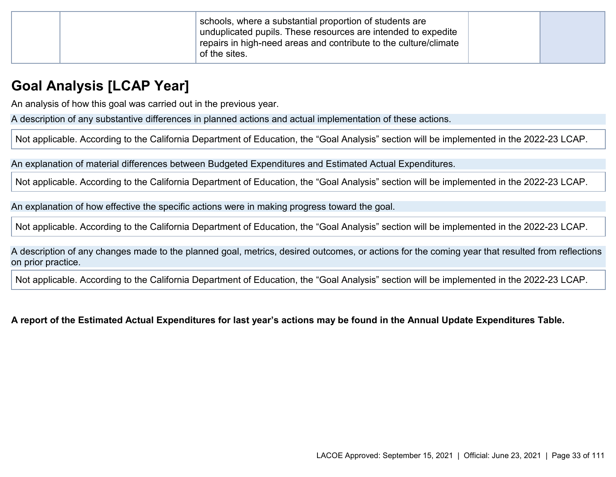| schools, where a substantial proportion of students are<br>unduplicated pupils. These resources are intended to expedite<br>repairs in high-need areas and contribute to the culture/climate<br>of the sites. |  |  |
|---------------------------------------------------------------------------------------------------------------------------------------------------------------------------------------------------------------|--|--|
|---------------------------------------------------------------------------------------------------------------------------------------------------------------------------------------------------------------|--|--|

## **Goal Analysis [LCAP Year]**

An analysis of how this goal was carried out in the previous year.

A description of any substantive differences in planned actions and actual implementation of these actions.

Not applicable. According to the California Department of Education, the "Goal Analysis" section will be implemented in the 2022-23 LCAP.

An explanation of material differences between Budgeted Expenditures and Estimated Actual Expenditures.

Not applicable. According to the California Department of Education, the "Goal Analysis" section will be implemented in the 2022-23 LCAP.

An explanation of how effective the specific actions were in making progress toward the goal.

Not applicable. According to the California Department of Education, the "Goal Analysis" section will be implemented in the 2022-23 LCAP.

A description of any changes made to the planned goal, metrics, desired outcomes, or actions for the coming year that resulted from reflections on prior practice.

Not applicable. According to the California Department of Education, the "Goal Analysis" section will be implemented in the 2022-23 LCAP.

**A report of the Estimated Actual Expenditures for last year's actions may be found in the Annual Update Expenditures Table.**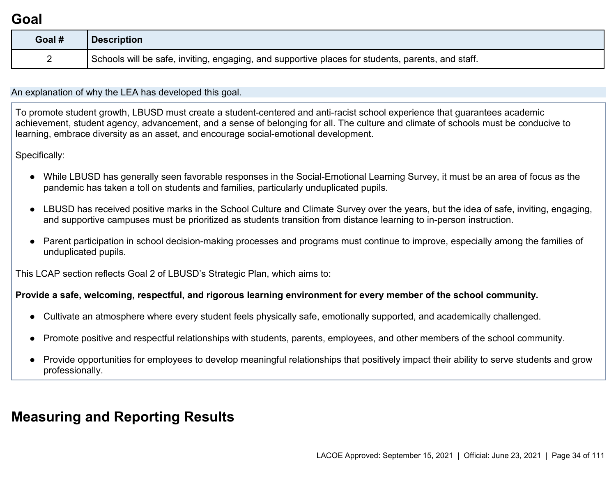## **Goal**

| Goal # | <b>Description</b>                                                                                |
|--------|---------------------------------------------------------------------------------------------------|
|        | Schools will be safe, inviting, engaging, and supportive places for students, parents, and staff. |

An explanation of why the LEA has developed this goal.

To promote student growth, LBUSD must create a student-centered and anti-racist school experience that guarantees academic achievement, student agency, advancement, and a sense of belonging for all. The culture and climate of schools must be conducive to learning, embrace diversity as an asset, and encourage social-emotional development.

Specifically:

- While LBUSD has generally seen favorable responses in the Social-Emotional Learning Survey, it must be an area of focus as the pandemic has taken a toll on students and families, particularly unduplicated pupils.
- LBUSD has received positive marks in the School Culture and Climate Survey over the years, but the idea of safe, inviting, engaging, and supportive campuses must be prioritized as students transition from distance learning to in-person instruction.
- Parent participation in school decision-making processes and programs must continue to improve, especially among the families of unduplicated pupils.

This LCAP section reflects Goal 2 of LBUSD's Strategic Plan, which aims to:

#### **Provide a safe, welcoming, respectful, and rigorous learning environment for every member of the school community.**

- Cultivate an atmosphere where every student feels physically safe, emotionally supported, and academically challenged.
- Promote positive and respectful relationships with students, parents, employees, and other members of the school community.
- Provide opportunities for employees to develop meaningful relationships that positively impact their ability to serve students and grow professionally.

# **Measuring and Reporting Results**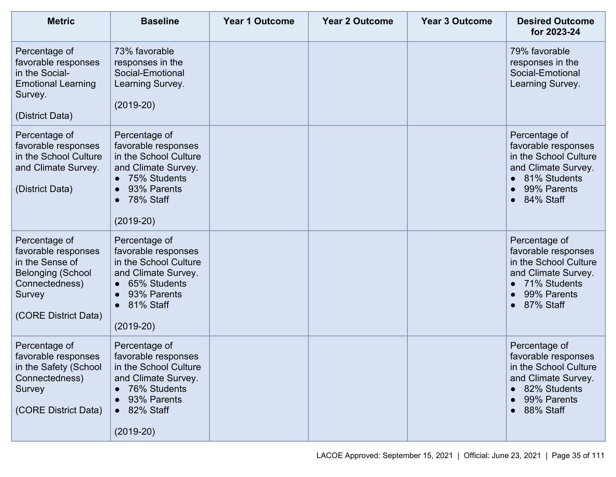| <b>Metric</b>                                                                                                                           | <b>Baseline</b>                                                                                                                                                           | <b>Year 1 Outcome</b> | <b>Year 2 Outcome</b> | <b>Year 3 Outcome</b> | <b>Desired Outcome</b><br>for 2023-24                                                                                                         |
|-----------------------------------------------------------------------------------------------------------------------------------------|---------------------------------------------------------------------------------------------------------------------------------------------------------------------------|-----------------------|-----------------------|-----------------------|-----------------------------------------------------------------------------------------------------------------------------------------------|
| Percentage of<br>favorable responses<br>in the Social-<br><b>Emotional Learning</b><br>Survey.<br>(District Data)                       | 73% favorable<br>responses in the<br>Social-Emotional<br>Learning Survey.<br>$(2019-20)$                                                                                  |                       |                       |                       | 79% favorable<br>responses in the<br>Social-Emotional<br>Learning Survey.                                                                     |
| Percentage of<br>favorable responses<br>in the School Culture<br>and Climate Survey.<br>(District Data)                                 | Percentage of<br>favorable responses<br>in the School Culture<br>and Climate Survey.<br>75% Students<br>$\bullet$<br>93% Parents<br>78% Staff<br>$\bullet$<br>$(2019-20)$ |                       |                       |                       | Percentage of<br>favorable responses<br>in the School Culture<br>and Climate Survey.<br>81% Students<br>$\bullet$<br>99% Parents<br>84% Staff |
| Percentage of<br>favorable responses<br>in the Sense of<br><b>Belonging (School</b><br>Connectedness)<br>Survey<br>(CORE District Data) | Percentage of<br>favorable responses<br>in the School Culture<br>and Climate Survey.<br>65% Students<br>$\bullet$<br>93% Parents<br>81% Staff<br>$(2019-20)$              |                       |                       |                       | Percentage of<br>favorable responses<br>in the School Culture<br>and Climate Survey.<br>71% Students<br>99% Parents<br>87% Staff<br>$\bullet$ |
| Percentage of<br>favorable responses<br>in the Safety (School<br>Connectedness)<br>Survey<br>(CORE District Data)                       | Percentage of<br>favorable responses<br>in the School Culture<br>and Climate Survey.<br>76% Students<br>93% Parents<br>82% Staff<br>$\bullet$<br>$(2019-20)$              |                       |                       |                       | Percentage of<br>favorable responses<br>in the School Culture<br>and Climate Survey.<br>82% Students<br>99% Parents<br>88% Staff              |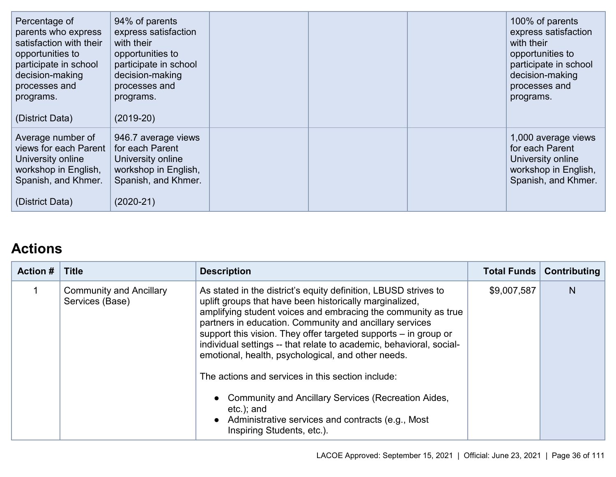| Percentage of<br>parents who express<br>satisfaction with their<br>opportunities to<br>participate in school<br>decision-making<br>processes and<br>programs.<br>(District Data) | 94% of parents<br>express satisfaction<br>with their<br>opportunities to<br>participate in school<br>decision-making<br>processes and<br>programs.<br>$(2019-20)$ |  | 100% of parents<br>express satisfaction<br>with their<br>opportunities to<br>participate in school<br>decision-making<br>processes and<br>programs. |
|----------------------------------------------------------------------------------------------------------------------------------------------------------------------------------|-------------------------------------------------------------------------------------------------------------------------------------------------------------------|--|-----------------------------------------------------------------------------------------------------------------------------------------------------|
| Average number of<br>views for each Parent<br>University online<br>workshop in English,<br>Spanish, and Khmer.<br>(District Data)                                                | 946.7 average views<br>for each Parent<br>University online<br>workshop in English,<br>Spanish, and Khmer.<br>$(2020-21)$                                         |  | 1,000 average views<br>for each Parent<br>University online<br>workshop in English,<br>Spanish, and Khmer.                                          |

# **Actions**

| <b>Action #</b> | <b>Title</b>                                      | <b>Description</b>                                                                                                                                                                                                                                                                                                                                                                                                                                                                                                                                                                                                                                                                   | <b>Total Funds</b> | Contributing |
|-----------------|---------------------------------------------------|--------------------------------------------------------------------------------------------------------------------------------------------------------------------------------------------------------------------------------------------------------------------------------------------------------------------------------------------------------------------------------------------------------------------------------------------------------------------------------------------------------------------------------------------------------------------------------------------------------------------------------------------------------------------------------------|--------------------|--------------|
|                 | <b>Community and Ancillary</b><br>Services (Base) | As stated in the district's equity definition, LBUSD strives to<br>uplift groups that have been historically marginalized,<br>amplifying student voices and embracing the community as true<br>partners in education. Community and ancillary services<br>support this vision. They offer targeted supports - in group or<br>individual settings -- that relate to academic, behavioral, social-<br>emotional, health, psychological, and other needs.<br>The actions and services in this section include:<br>• Community and Ancillary Services (Recreation Aides,<br>$etc.$ ; and<br>Administrative services and contracts (e.g., Most<br>$\bullet$<br>Inspiring Students, etc.). | \$9,007,587        | N            |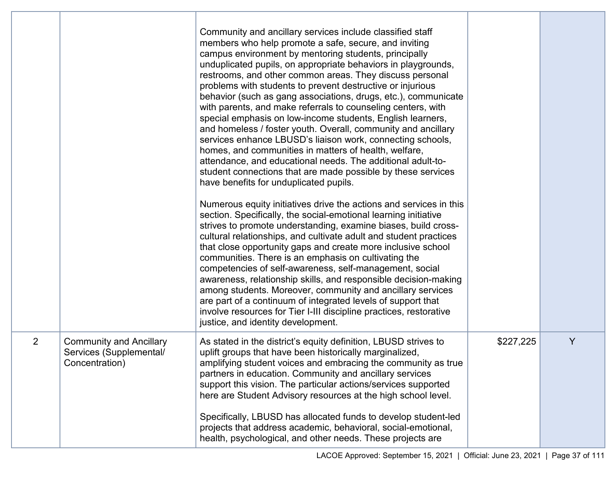|                |                                                                             | Community and ancillary services include classified staff<br>members who help promote a safe, secure, and inviting<br>campus environment by mentoring students, principally<br>unduplicated pupils, on appropriate behaviors in playgrounds,<br>restrooms, and other common areas. They discuss personal<br>problems with students to prevent destructive or injurious<br>behavior (such as gang associations, drugs, etc.), communicate<br>with parents, and make referrals to counseling centers, with<br>special emphasis on low-income students, English learners,<br>and homeless / foster youth. Overall, community and ancillary<br>services enhance LBUSD's liaison work, connecting schools,<br>homes, and communities in matters of health, welfare,<br>attendance, and educational needs. The additional adult-to-<br>student connections that are made possible by these services<br>have benefits for unduplicated pupils.<br>Numerous equity initiatives drive the actions and services in this |           |   |
|----------------|-----------------------------------------------------------------------------|---------------------------------------------------------------------------------------------------------------------------------------------------------------------------------------------------------------------------------------------------------------------------------------------------------------------------------------------------------------------------------------------------------------------------------------------------------------------------------------------------------------------------------------------------------------------------------------------------------------------------------------------------------------------------------------------------------------------------------------------------------------------------------------------------------------------------------------------------------------------------------------------------------------------------------------------------------------------------------------------------------------|-----------|---|
|                |                                                                             | section. Specifically, the social-emotional learning initiative<br>strives to promote understanding, examine biases, build cross-<br>cultural relationships, and cultivate adult and student practices<br>that close opportunity gaps and create more inclusive school<br>communities. There is an emphasis on cultivating the<br>competencies of self-awareness, self-management, social<br>awareness, relationship skills, and responsible decision-making<br>among students. Moreover, community and ancillary services<br>are part of a continuum of integrated levels of support that<br>involve resources for Tier I-III discipline practices, restorative<br>justice, and identity development.                                                                                                                                                                                                                                                                                                        |           |   |
| $\overline{2}$ | <b>Community and Ancillary</b><br>Services (Supplemental/<br>Concentration) | As stated in the district's equity definition, LBUSD strives to<br>uplift groups that have been historically marginalized,<br>amplifying student voices and embracing the community as true<br>partners in education. Community and ancillary services<br>support this vision. The particular actions/services supported<br>here are Student Advisory resources at the high school level.<br>Specifically, LBUSD has allocated funds to develop student-led<br>projects that address academic, behavioral, social-emotional,<br>health, psychological, and other needs. These projects are                                                                                                                                                                                                                                                                                                                                                                                                                    | \$227,225 | Y |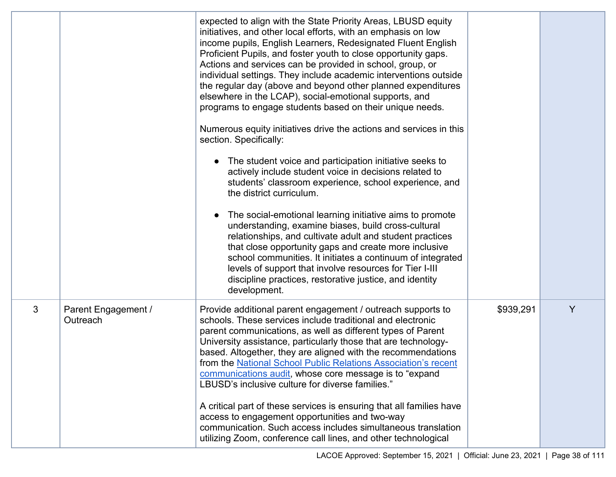|   |                                 | expected to align with the State Priority Areas, LBUSD equity<br>initiatives, and other local efforts, with an emphasis on low<br>income pupils, English Learners, Redesignated Fluent English<br>Proficient Pupils, and foster youth to close opportunity gaps.<br>Actions and services can be provided in school, group, or<br>individual settings. They include academic interventions outside<br>the regular day (above and beyond other planned expenditures<br>elsewhere in the LCAP), social-emotional supports, and<br>programs to engage students based on their unique needs.<br>Numerous equity initiatives drive the actions and services in this<br>section. Specifically:<br>The student voice and participation initiative seeks to<br>actively include student voice in decisions related to<br>students' classroom experience, school experience, and<br>the district curriculum.<br>The social-emotional learning initiative aims to promote<br>understanding, examine biases, build cross-cultural<br>relationships, and cultivate adult and student practices<br>that close opportunity gaps and create more inclusive<br>school communities. It initiates a continuum of integrated<br>levels of support that involve resources for Tier I-III<br>discipline practices, restorative justice, and identity<br>development. |           |   |
|---|---------------------------------|------------------------------------------------------------------------------------------------------------------------------------------------------------------------------------------------------------------------------------------------------------------------------------------------------------------------------------------------------------------------------------------------------------------------------------------------------------------------------------------------------------------------------------------------------------------------------------------------------------------------------------------------------------------------------------------------------------------------------------------------------------------------------------------------------------------------------------------------------------------------------------------------------------------------------------------------------------------------------------------------------------------------------------------------------------------------------------------------------------------------------------------------------------------------------------------------------------------------------------------------------------------------------------------------------------------------------------------------|-----------|---|
| 3 | Parent Engagement /<br>Outreach | Provide additional parent engagement / outreach supports to<br>schools. These services include traditional and electronic<br>parent communications, as well as different types of Parent<br>University assistance, particularly those that are technology-<br>based. Altogether, they are aligned with the recommendations<br>from the National School Public Relations Association's recent<br>communications audit, whose core message is to "expand<br>LBUSD's inclusive culture for diverse families."<br>A critical part of these services is ensuring that all families have<br>access to engagement opportunities and two-way<br>communication. Such access includes simultaneous translation<br>utilizing Zoom, conference call lines, and other technological                                                                                                                                                                                                                                                                                                                                                                                                                                                                                                                                                                         | \$939,291 | Y |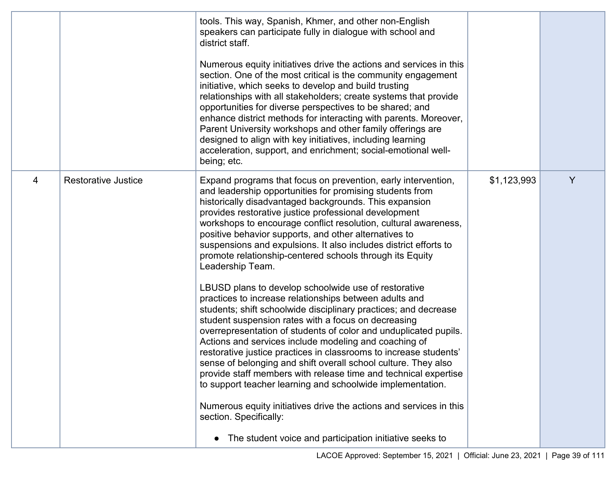|   |                            | tools. This way, Spanish, Khmer, and other non-English<br>speakers can participate fully in dialogue with school and<br>district staff.                                                                                                                                                                                                                                                                                                                                                                                                                                                                                                       |             |   |
|---|----------------------------|-----------------------------------------------------------------------------------------------------------------------------------------------------------------------------------------------------------------------------------------------------------------------------------------------------------------------------------------------------------------------------------------------------------------------------------------------------------------------------------------------------------------------------------------------------------------------------------------------------------------------------------------------|-------------|---|
|   |                            | Numerous equity initiatives drive the actions and services in this<br>section. One of the most critical is the community engagement<br>initiative, which seeks to develop and build trusting<br>relationships with all stakeholders; create systems that provide<br>opportunities for diverse perspectives to be shared; and<br>enhance district methods for interacting with parents. Moreover,<br>Parent University workshops and other family offerings are<br>designed to align with key initiatives, including learning<br>acceleration, support, and enrichment; social-emotional well-<br>being; etc.                                  |             |   |
| 4 | <b>Restorative Justice</b> | Expand programs that focus on prevention, early intervention,<br>and leadership opportunities for promising students from<br>historically disadvantaged backgrounds. This expansion<br>provides restorative justice professional development<br>workshops to encourage conflict resolution, cultural awareness,<br>positive behavior supports, and other alternatives to<br>suspensions and expulsions. It also includes district efforts to<br>promote relationship-centered schools through its Equity<br>Leadership Team.                                                                                                                  | \$1,123,993 | Y |
|   |                            | LBUSD plans to develop schoolwide use of restorative<br>practices to increase relationships between adults and<br>students; shift schoolwide disciplinary practices; and decrease<br>student suspension rates with a focus on decreasing<br>overrepresentation of students of color and unduplicated pupils.<br>Actions and services include modeling and coaching of<br>restorative justice practices in classrooms to increase students'<br>sense of belonging and shift overall school culture. They also<br>provide staff members with release time and technical expertise<br>to support teacher learning and schoolwide implementation. |             |   |
|   |                            | Numerous equity initiatives drive the actions and services in this<br>section. Specifically:                                                                                                                                                                                                                                                                                                                                                                                                                                                                                                                                                  |             |   |
|   |                            | • The student voice and participation initiative seeks to                                                                                                                                                                                                                                                                                                                                                                                                                                                                                                                                                                                     |             |   |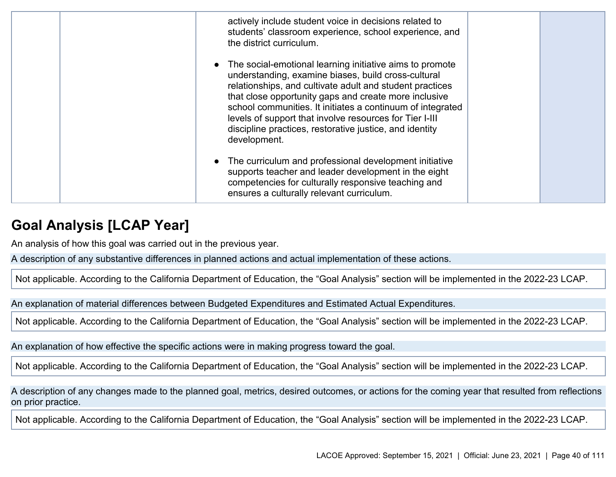| actively include student voice in decisions related to<br>students' classroom experience, school experience, and<br>the district curriculum.                                                                                                                                                                                                                                                                                             |  |
|------------------------------------------------------------------------------------------------------------------------------------------------------------------------------------------------------------------------------------------------------------------------------------------------------------------------------------------------------------------------------------------------------------------------------------------|--|
| The social-emotional learning initiative aims to promote<br>understanding, examine biases, build cross-cultural<br>relationships, and cultivate adult and student practices<br>that close opportunity gaps and create more inclusive<br>school communities. It initiates a continuum of integrated<br>levels of support that involve resources for Tier I-III<br>discipline practices, restorative justice, and identity<br>development. |  |
| The curriculum and professional development initiative<br>supports teacher and leader development in the eight<br>competencies for culturally responsive teaching and<br>ensures a culturally relevant curriculum.                                                                                                                                                                                                                       |  |

### **Goal Analysis [LCAP Year]**

An analysis of how this goal was carried out in the previous year.

A description of any substantive differences in planned actions and actual implementation of these actions.

Not applicable. According to the California Department of Education, the "Goal Analysis" section will be implemented in the 2022-23 LCAP.

An explanation of material differences between Budgeted Expenditures and Estimated Actual Expenditures.

Not applicable. According to the California Department of Education, the "Goal Analysis" section will be implemented in the 2022-23 LCAP.

An explanation of how effective the specific actions were in making progress toward the goal.

Not applicable. According to the California Department of Education, the "Goal Analysis" section will be implemented in the 2022-23 LCAP.

A description of any changes made to the planned goal, metrics, desired outcomes, or actions for the coming year that resulted from reflections on prior practice.

Not applicable. According to the California Department of Education, the "Goal Analysis" section will be implemented in the 2022-23 LCAP.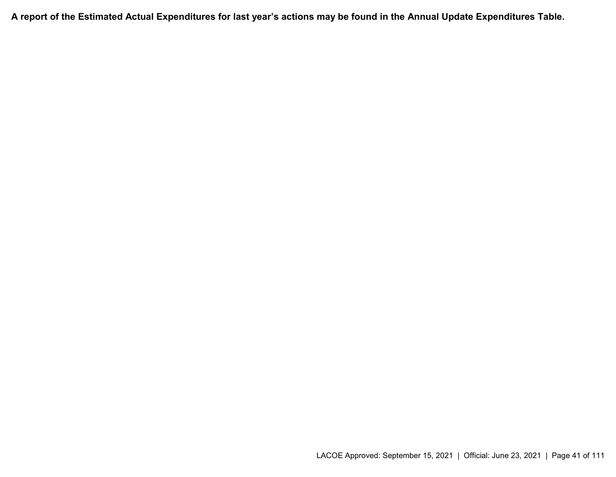**A report of the Estimated Actual Expenditures for last year's actions may be found in the Annual Update Expenditures Table.**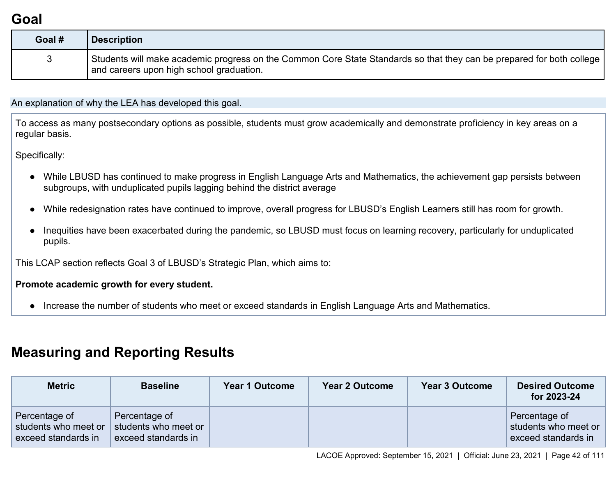## **Goal**

| Goal # | <b>Description</b>                                                                                                                                                  |
|--------|---------------------------------------------------------------------------------------------------------------------------------------------------------------------|
|        | Students will make academic progress on the Common Core State Standards so that they can be prepared for both college [<br>and careers upon high school graduation. |

An explanation of why the LEA has developed this goal.

To access as many postsecondary options as possible, students must grow academically and demonstrate proficiency in key areas on a regular basis.

Specifically:

- While LBUSD has continued to make progress in English Language Arts and Mathematics, the achievement gap persists between subgroups, with unduplicated pupils lagging behind the district average
- While redesignation rates have continued to improve, overall progress for LBUSD's English Learners still has room for growth.
- Inequities have been exacerbated during the pandemic, so LBUSD must focus on learning recovery, particularly for unduplicated pupils.

This LCAP section reflects Goal 3 of LBUSD's Strategic Plan, which aims to:

#### **Promote academic growth for every student.**

● Increase the number of students who meet or exceed standards in English Language Arts and Mathematics.

### **Measuring and Reporting Results**

| <b>Metric</b>                                                | <b>Baseline</b>                                              | <b>Year 1 Outcome</b> | <b>Year 2 Outcome</b> | <b>Year 3 Outcome</b> | <b>Desired Outcome</b><br>for 2023-24                        |
|--------------------------------------------------------------|--------------------------------------------------------------|-----------------------|-----------------------|-----------------------|--------------------------------------------------------------|
| Percentage of<br>students who meet or<br>exceed standards in | Percentage of<br>students who meet or<br>exceed standards in |                       |                       |                       | Percentage of<br>students who meet or<br>exceed standards in |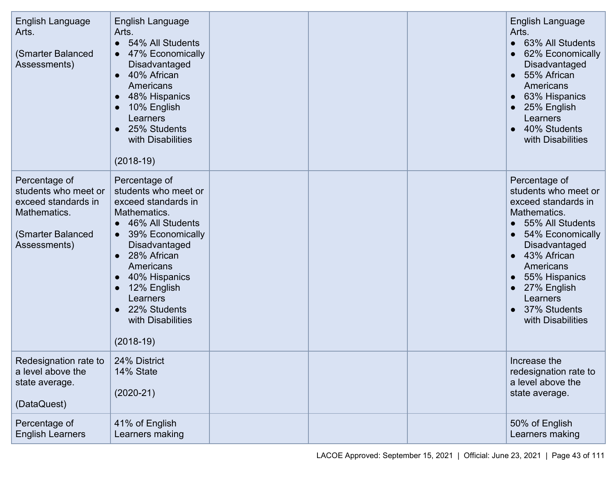| <b>English Language</b><br>Arts.<br>(Smarter Balanced<br>Assessments)                                             | <b>English Language</b><br>Arts.<br>54% All Students<br>$\bullet$<br>47% Economically<br>$\bullet$<br>Disadvantaged<br>40% African<br>$\bullet$<br>Americans<br>48% Hispanics<br>10% English<br>Learners<br>25% Students<br>with Disabilities<br>$(2018-19)$                                                                       |  | English Language<br>Arts.<br>63% All Students<br>$\bullet$<br>62% Economically<br>Disadvantaged<br>55% African<br>$\bullet$<br>Americans<br>63% Hispanics<br>25% English<br>Learners<br>40% Students<br>with Disabilities                                                                   |
|-------------------------------------------------------------------------------------------------------------------|------------------------------------------------------------------------------------------------------------------------------------------------------------------------------------------------------------------------------------------------------------------------------------------------------------------------------------|--|---------------------------------------------------------------------------------------------------------------------------------------------------------------------------------------------------------------------------------------------------------------------------------------------|
| Percentage of<br>students who meet or<br>exceed standards in<br>Mathematics.<br>(Smarter Balanced<br>Assessments) | Percentage of<br>students who meet or<br>exceed standards in<br>Mathematics.<br>46% All Students<br>$\bullet$<br>39% Economically<br>$\bullet$<br>Disadvantaged<br>28% African<br>$\bullet$<br>Americans<br>40% Hispanics<br>$\bullet$<br>12% English<br>Learners<br>22% Students<br>$\bullet$<br>with Disabilities<br>$(2018-19)$ |  | Percentage of<br>students who meet or<br>exceed standards in<br>Mathematics.<br>55% All Students<br>54% Economically<br>$\bullet$<br>Disadvantaged<br>43% African<br>$\bullet$<br>Americans<br>55% Hispanics<br>27% English<br>$\bullet$<br>Learners<br>• 37% Students<br>with Disabilities |
| Redesignation rate to  <br>a level above the<br>state average.<br>(DataQuest)                                     | 24% District<br>14% State<br>$(2020-21)$                                                                                                                                                                                                                                                                                           |  | Increase the<br>redesignation rate to<br>a level above the<br>state average.                                                                                                                                                                                                                |
| Percentage of<br><b>English Learners</b>                                                                          | 41% of English<br>Learners making                                                                                                                                                                                                                                                                                                  |  | 50% of English<br>Learners making                                                                                                                                                                                                                                                           |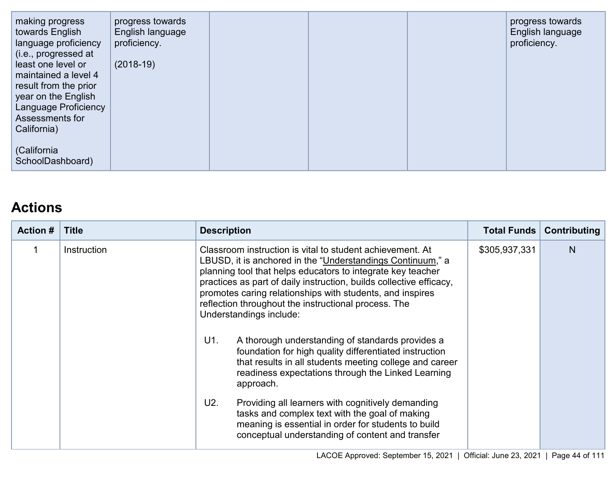| making progress<br>towards English<br>language proficiency | progress towards<br>English language<br>proficiency. |  | progress towards<br>English language<br>proficiency. |
|------------------------------------------------------------|------------------------------------------------------|--|------------------------------------------------------|
| (i.e., progressed at<br>least one level or                 | $(2018-19)$                                          |  |                                                      |
| maintained a level 4<br>result from the prior              |                                                      |  |                                                      |
| year on the English<br>Language Proficiency                |                                                      |  |                                                      |
| Assessments for                                            |                                                      |  |                                                      |
| California)                                                |                                                      |  |                                                      |
| (California<br>SchoolDashboard)                            |                                                      |  |                                                      |

### **Actions**

| <b>Action #</b> | <b>Title</b> | <b>Description</b>                                                                                                                                                                                                                                                                                                                                                                                                                                                                                                                                                                                                                                                                                                                                                                                                                                                                        | Total Funds   | Contributing |
|-----------------|--------------|-------------------------------------------------------------------------------------------------------------------------------------------------------------------------------------------------------------------------------------------------------------------------------------------------------------------------------------------------------------------------------------------------------------------------------------------------------------------------------------------------------------------------------------------------------------------------------------------------------------------------------------------------------------------------------------------------------------------------------------------------------------------------------------------------------------------------------------------------------------------------------------------|---------------|--------------|
|                 | Instruction  | Classroom instruction is vital to student achievement. At<br>LBUSD, it is anchored in the "Understandings Continuum," a<br>planning tool that helps educators to integrate key teacher<br>practices as part of daily instruction, builds collective efficacy,<br>promotes caring relationships with students, and inspires<br>reflection throughout the instructional process. The<br>Understandings include:<br>U1.<br>A thorough understanding of standards provides a<br>foundation for high quality differentiated instruction<br>that results in all students meeting college and career<br>readiness expectations through the Linked Learning<br>approach.<br>U2.<br>Providing all learners with cognitively demanding<br>tasks and complex text with the goal of making<br>meaning is essential in order for students to build<br>conceptual understanding of content and transfer | \$305,937,331 | N            |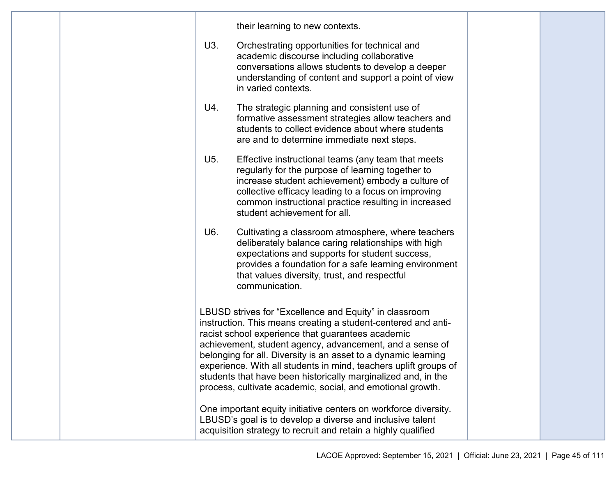|  |     | their learning to new contexts.                                                                                                                                                                                                                                                                                                                                                                                                                                                                               |  |
|--|-----|---------------------------------------------------------------------------------------------------------------------------------------------------------------------------------------------------------------------------------------------------------------------------------------------------------------------------------------------------------------------------------------------------------------------------------------------------------------------------------------------------------------|--|
|  | U3. | Orchestrating opportunities for technical and<br>academic discourse including collaborative<br>conversations allows students to develop a deeper<br>understanding of content and support a point of view<br>in varied contexts.                                                                                                                                                                                                                                                                               |  |
|  | U4. | The strategic planning and consistent use of<br>formative assessment strategies allow teachers and<br>students to collect evidence about where students<br>are and to determine immediate next steps.                                                                                                                                                                                                                                                                                                         |  |
|  | U5. | Effective instructional teams (any team that meets<br>regularly for the purpose of learning together to<br>increase student achievement) embody a culture of<br>collective efficacy leading to a focus on improving<br>common instructional practice resulting in increased<br>student achievement for all.                                                                                                                                                                                                   |  |
|  | U6. | Cultivating a classroom atmosphere, where teachers<br>deliberately balance caring relationships with high<br>expectations and supports for student success,<br>provides a foundation for a safe learning environment<br>that values diversity, trust, and respectful<br>communication.                                                                                                                                                                                                                        |  |
|  |     | LBUSD strives for "Excellence and Equity" in classroom<br>instruction. This means creating a student-centered and anti-<br>racist school experience that guarantees academic<br>achievement, student agency, advancement, and a sense of<br>belonging for all. Diversity is an asset to a dynamic learning<br>experience. With all students in mind, teachers uplift groups of<br>students that have been historically marginalized and, in the<br>process, cultivate academic, social, and emotional growth. |  |
|  |     | One important equity initiative centers on workforce diversity.<br>LBUSD's goal is to develop a diverse and inclusive talent<br>acquisition strategy to recruit and retain a highly qualified                                                                                                                                                                                                                                                                                                                 |  |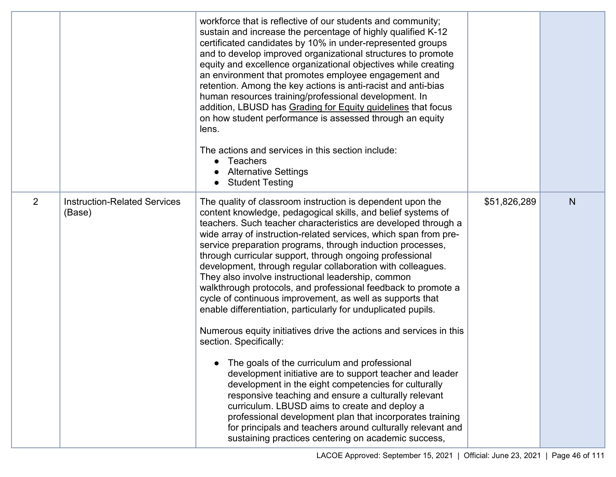|                |                                               | workforce that is reflective of our students and community;<br>sustain and increase the percentage of highly qualified K-12<br>certificated candidates by 10% in under-represented groups<br>and to develop improved organizational structures to promote<br>equity and excellence organizational objectives while creating<br>an environment that promotes employee engagement and<br>retention. Among the key actions is anti-racist and anti-bias<br>human resources training/professional development. In<br>addition, LBUSD has Grading for Equity guidelines that focus<br>on how student performance is assessed through an equity<br>lens.<br>The actions and services in this section include:<br>Teachers<br>$\bullet$<br><b>Alternative Settings</b><br><b>Student Testing</b>                                                                                                                                                                                                                                                                                                                                                                                                                                                                                    |              |   |
|----------------|-----------------------------------------------|------------------------------------------------------------------------------------------------------------------------------------------------------------------------------------------------------------------------------------------------------------------------------------------------------------------------------------------------------------------------------------------------------------------------------------------------------------------------------------------------------------------------------------------------------------------------------------------------------------------------------------------------------------------------------------------------------------------------------------------------------------------------------------------------------------------------------------------------------------------------------------------------------------------------------------------------------------------------------------------------------------------------------------------------------------------------------------------------------------------------------------------------------------------------------------------------------------------------------------------------------------------------------|--------------|---|
| $\overline{2}$ | <b>Instruction-Related Services</b><br>(Base) | The quality of classroom instruction is dependent upon the<br>content knowledge, pedagogical skills, and belief systems of<br>teachers. Such teacher characteristics are developed through a<br>wide array of instruction-related services, which span from pre-<br>service preparation programs, through induction processes,<br>through curricular support, through ongoing professional<br>development, through regular collaboration with colleagues.<br>They also involve instructional leadership, common<br>walkthrough protocols, and professional feedback to promote a<br>cycle of continuous improvement, as well as supports that<br>enable differentiation, particularly for unduplicated pupils.<br>Numerous equity initiatives drive the actions and services in this<br>section. Specifically:<br>The goals of the curriculum and professional<br>development initiative are to support teacher and leader<br>development in the eight competencies for culturally<br>responsive teaching and ensure a culturally relevant<br>curriculum. LBUSD aims to create and deploy a<br>professional development plan that incorporates training<br>for principals and teachers around culturally relevant and<br>sustaining practices centering on academic success, | \$51,826,289 | N |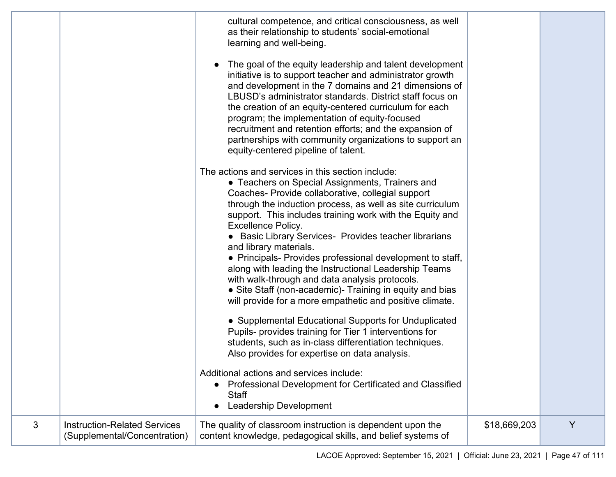|   |                                                                     | cultural competence, and critical consciousness, as well<br>as their relationship to students' social-emotional<br>learning and well-being.                                                                                                                                                                                                                                                                                                                                                                        |              |   |
|---|---------------------------------------------------------------------|--------------------------------------------------------------------------------------------------------------------------------------------------------------------------------------------------------------------------------------------------------------------------------------------------------------------------------------------------------------------------------------------------------------------------------------------------------------------------------------------------------------------|--------------|---|
|   |                                                                     | The goal of the equity leadership and talent development<br>initiative is to support teacher and administrator growth<br>and development in the 7 domains and 21 dimensions of<br>LBUSD's administrator standards. District staff focus on<br>the creation of an equity-centered curriculum for each<br>program; the implementation of equity-focused<br>recruitment and retention efforts; and the expansion of<br>partnerships with community organizations to support an<br>equity-centered pipeline of talent. |              |   |
|   |                                                                     | The actions and services in this section include:<br>• Teachers on Special Assignments, Trainers and<br>Coaches- Provide collaborative, collegial support<br>through the induction process, as well as site curriculum<br>support. This includes training work with the Equity and<br><b>Excellence Policy.</b><br>• Basic Library Services- Provides teacher librarians<br>and library materials.<br>• Principals- Provides professional development to staff,                                                    |              |   |
|   |                                                                     | along with leading the Instructional Leadership Teams<br>with walk-through and data analysis protocols.<br>• Site Staff (non-academic)- Training in equity and bias<br>will provide for a more empathetic and positive climate.                                                                                                                                                                                                                                                                                    |              |   |
|   |                                                                     | • Supplemental Educational Supports for Unduplicated<br>Pupils- provides training for Tier 1 interventions for<br>students, such as in-class differentiation techniques.<br>Also provides for expertise on data analysis.                                                                                                                                                                                                                                                                                          |              |   |
|   |                                                                     | Additional actions and services include:<br>Professional Development for Certificated and Classified<br><b>Staff</b><br><b>Leadership Development</b>                                                                                                                                                                                                                                                                                                                                                              |              |   |
| 3 | <b>Instruction-Related Services</b><br>(Supplemental/Concentration) | The quality of classroom instruction is dependent upon the<br>content knowledge, pedagogical skills, and belief systems of                                                                                                                                                                                                                                                                                                                                                                                         | \$18,669,203 | Y |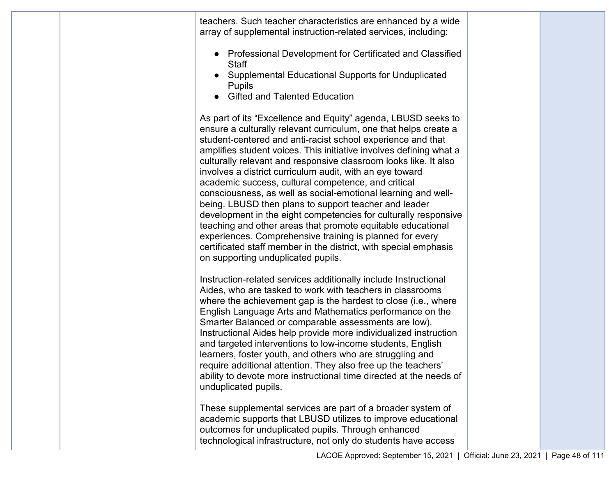|  | teachers. Such teacher characteristics are enhanced by a wide<br>array of supplemental instruction-related services, including:<br>• Professional Development for Certificated and Classified<br><b>Staff</b><br>Supplemental Educational Supports for Unduplicated                                                                                                                                                                                                                                                                                                                                                                                                                                                                                                                                                                            |  |
|--|------------------------------------------------------------------------------------------------------------------------------------------------------------------------------------------------------------------------------------------------------------------------------------------------------------------------------------------------------------------------------------------------------------------------------------------------------------------------------------------------------------------------------------------------------------------------------------------------------------------------------------------------------------------------------------------------------------------------------------------------------------------------------------------------------------------------------------------------|--|
|  | <b>Pupils</b><br><b>Gifted and Talented Education</b><br>As part of its "Excellence and Equity" agenda, LBUSD seeks to<br>ensure a culturally relevant curriculum, one that helps create a<br>student-centered and anti-racist school experience and that<br>amplifies student voices. This initiative involves defining what a<br>culturally relevant and responsive classroom looks like. It also<br>involves a district curriculum audit, with an eye toward<br>academic success, cultural competence, and critical<br>consciousness, as well as social-emotional learning and well-<br>being. LBUSD then plans to support teacher and leader<br>development in the eight competencies for culturally responsive<br>teaching and other areas that promote equitable educational<br>experiences. Comprehensive training is planned for every |  |
|  | certificated staff member in the district, with special emphasis<br>on supporting unduplicated pupils.<br>Instruction-related services additionally include Instructional<br>Aides, who are tasked to work with teachers in classrooms<br>where the achievement gap is the hardest to close (i.e., where<br>English Language Arts and Mathematics performance on the<br>Smarter Balanced or comparable assessments are low).<br>Instructional Aides help provide more individualized instruction<br>and targeted interventions to low-income students, English<br>learners, foster youth, and others who are struggling and<br>require additional attention. They also free up the teachers'                                                                                                                                                   |  |
|  | ability to devote more instructional time directed at the needs of<br>unduplicated pupils.<br>These supplemental services are part of a broader system of<br>academic supports that LBUSD utilizes to improve educational<br>outcomes for unduplicated pupils. Through enhanced<br>technological infrastructure, not only do students have access<br>$I A O O E A$ percent Contember 45, 2004, LOfficial, Lune 22, 2004, L. Dega 40                                                                                                                                                                                                                                                                                                                                                                                                            |  |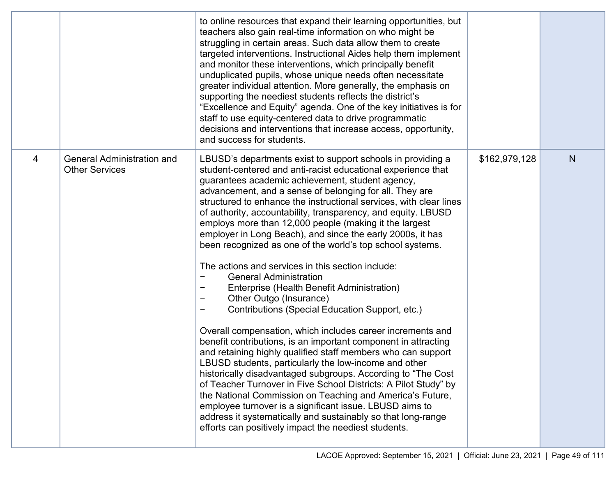|   |                                                            | to online resources that expand their learning opportunities, but<br>teachers also gain real-time information on who might be<br>struggling in certain areas. Such data allow them to create<br>targeted interventions. Instructional Aides help them implement<br>and monitor these interventions, which principally benefit<br>unduplicated pupils, whose unique needs often necessitate<br>greater individual attention. More generally, the emphasis on<br>supporting the neediest students reflects the district's<br>"Excellence and Equity" agenda. One of the key initiatives is for<br>staff to use equity-centered data to drive programmatic<br>decisions and interventions that increase access, opportunity,<br>and success for students.                                                                                                                                                                                                                                                                                                                                                                                                                                                                                                                                                                                                                                                                                    |               |   |
|---|------------------------------------------------------------|-------------------------------------------------------------------------------------------------------------------------------------------------------------------------------------------------------------------------------------------------------------------------------------------------------------------------------------------------------------------------------------------------------------------------------------------------------------------------------------------------------------------------------------------------------------------------------------------------------------------------------------------------------------------------------------------------------------------------------------------------------------------------------------------------------------------------------------------------------------------------------------------------------------------------------------------------------------------------------------------------------------------------------------------------------------------------------------------------------------------------------------------------------------------------------------------------------------------------------------------------------------------------------------------------------------------------------------------------------------------------------------------------------------------------------------------|---------------|---|
| 4 | <b>General Administration and</b><br><b>Other Services</b> | LBUSD's departments exist to support schools in providing a<br>student-centered and anti-racist educational experience that<br>guarantees academic achievement, student agency,<br>advancement, and a sense of belonging for all. They are<br>structured to enhance the instructional services, with clear lines<br>of authority, accountability, transparency, and equity. LBUSD<br>employs more than 12,000 people (making it the largest<br>employer in Long Beach), and since the early 2000s, it has<br>been recognized as one of the world's top school systems.<br>The actions and services in this section include:<br><b>General Administration</b><br>Enterprise (Health Benefit Administration)<br>Other Outgo (Insurance)<br>-<br>Contributions (Special Education Support, etc.)<br>Overall compensation, which includes career increments and<br>benefit contributions, is an important component in attracting<br>and retaining highly qualified staff members who can support<br>LBUSD students, particularly the low-income and other<br>historically disadvantaged subgroups. According to "The Cost<br>of Teacher Turnover in Five School Districts: A Pilot Study" by<br>the National Commission on Teaching and America's Future,<br>employee turnover is a significant issue. LBUSD aims to<br>address it systematically and sustainably so that long-range<br>efforts can positively impact the neediest students. | \$162,979,128 | N |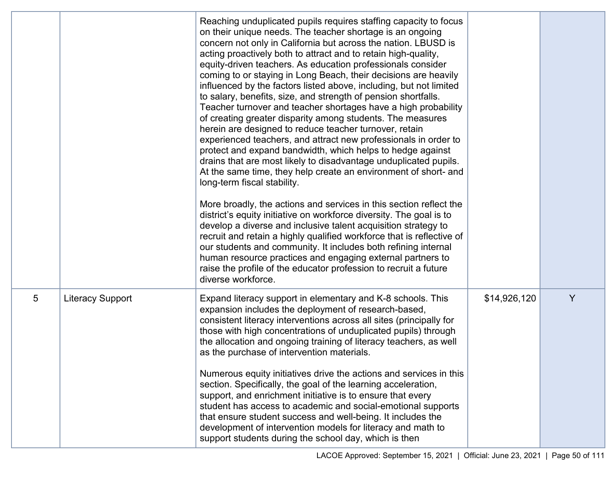|   |                         | Reaching unduplicated pupils requires staffing capacity to focus<br>on their unique needs. The teacher shortage is an ongoing<br>concern not only in California but across the nation. LBUSD is<br>acting proactively both to attract and to retain high-quality,<br>equity-driven teachers. As education professionals consider<br>coming to or staying in Long Beach, their decisions are heavily<br>influenced by the factors listed above, including, but not limited<br>to salary, benefits, size, and strength of pension shortfalls.<br>Teacher turnover and teacher shortages have a high probability<br>of creating greater disparity among students. The measures<br>herein are designed to reduce teacher turnover, retain<br>experienced teachers, and attract new professionals in order to<br>protect and expand bandwidth, which helps to hedge against<br>drains that are most likely to disadvantage unduplicated pupils.<br>At the same time, they help create an environment of short- and<br>long-term fiscal stability.<br>More broadly, the actions and services in this section reflect the<br>district's equity initiative on workforce diversity. The goal is to<br>develop a diverse and inclusive talent acquisition strategy to<br>recruit and retain a highly qualified workforce that is reflective of<br>our students and community. It includes both refining internal<br>human resource practices and engaging external partners to<br>raise the profile of the educator profession to recruit a future<br>diverse workforce. |              |   |
|---|-------------------------|----------------------------------------------------------------------------------------------------------------------------------------------------------------------------------------------------------------------------------------------------------------------------------------------------------------------------------------------------------------------------------------------------------------------------------------------------------------------------------------------------------------------------------------------------------------------------------------------------------------------------------------------------------------------------------------------------------------------------------------------------------------------------------------------------------------------------------------------------------------------------------------------------------------------------------------------------------------------------------------------------------------------------------------------------------------------------------------------------------------------------------------------------------------------------------------------------------------------------------------------------------------------------------------------------------------------------------------------------------------------------------------------------------------------------------------------------------------------------------------------------------------------------------------------------------------|--------------|---|
| 5 | <b>Literacy Support</b> | Expand literacy support in elementary and K-8 schools. This<br>expansion includes the deployment of research-based,<br>consistent literacy interventions across all sites (principally for<br>those with high concentrations of unduplicated pupils) through<br>the allocation and ongoing training of literacy teachers, as well<br>as the purchase of intervention materials.<br>Numerous equity initiatives drive the actions and services in this<br>section. Specifically, the goal of the learning acceleration,<br>support, and enrichment initiative is to ensure that every<br>student has access to academic and social-emotional supports<br>that ensure student success and well-being. It includes the<br>development of intervention models for literacy and math to<br>support students during the school day, which is then                                                                                                                                                                                                                                                                                                                                                                                                                                                                                                                                                                                                                                                                                                                    | \$14,926,120 | Y |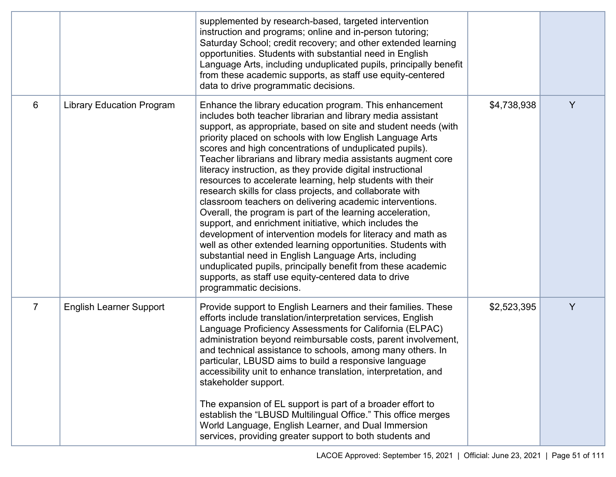|                |                                  | supplemented by research-based, targeted intervention<br>instruction and programs; online and in-person tutoring;<br>Saturday School; credit recovery; and other extended learning<br>opportunities. Students with substantial need in English<br>Language Arts, including unduplicated pupils, principally benefit<br>from these academic supports, as staff use equity-centered<br>data to drive programmatic decisions.                                                                                                                                                                                                                                                                                                                                                                                                                                                                                                                                                                                                                                                                              |             |   |
|----------------|----------------------------------|---------------------------------------------------------------------------------------------------------------------------------------------------------------------------------------------------------------------------------------------------------------------------------------------------------------------------------------------------------------------------------------------------------------------------------------------------------------------------------------------------------------------------------------------------------------------------------------------------------------------------------------------------------------------------------------------------------------------------------------------------------------------------------------------------------------------------------------------------------------------------------------------------------------------------------------------------------------------------------------------------------------------------------------------------------------------------------------------------------|-------------|---|
| 6              | <b>Library Education Program</b> | Enhance the library education program. This enhancement<br>includes both teacher librarian and library media assistant<br>support, as appropriate, based on site and student needs (with<br>priority placed on schools with low English Language Arts<br>scores and high concentrations of unduplicated pupils).<br>Teacher librarians and library media assistants augment core<br>literacy instruction, as they provide digital instructional<br>resources to accelerate learning, help students with their<br>research skills for class projects, and collaborate with<br>classroom teachers on delivering academic interventions.<br>Overall, the program is part of the learning acceleration,<br>support, and enrichment initiative, which includes the<br>development of intervention models for literacy and math as<br>well as other extended learning opportunities. Students with<br>substantial need in English Language Arts, including<br>unduplicated pupils, principally benefit from these academic<br>supports, as staff use equity-centered data to drive<br>programmatic decisions. | \$4,738,938 | Y |
| $\overline{7}$ | <b>English Learner Support</b>   | Provide support to English Learners and their families. These<br>efforts include translation/interpretation services, English<br>Language Proficiency Assessments for California (ELPAC)<br>administration beyond reimbursable costs, parent involvement,<br>and technical assistance to schools, among many others. In<br>particular, LBUSD aims to build a responsive language<br>accessibility unit to enhance translation, interpretation, and<br>stakeholder support.<br>The expansion of EL support is part of a broader effort to<br>establish the "LBUSD Multilingual Office." This office merges<br>World Language, English Learner, and Dual Immersion<br>services, providing greater support to both students and                                                                                                                                                                                                                                                                                                                                                                            | \$2,523,395 | Y |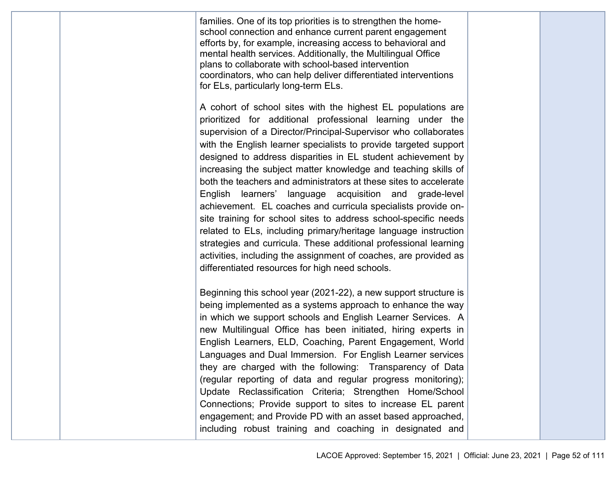|  | families. One of its top priorities is to strengthen the home-<br>school connection and enhance current parent engagement<br>efforts by, for example, increasing access to behavioral and<br>mental health services. Additionally, the Multilingual Office<br>plans to collaborate with school-based intervention<br>coordinators, who can help deliver differentiated interventions<br>for ELs, particularly long-term ELs.                                                                                                                                                                                                                                                                                                                                                                                                                                                                                                         |  |
|--|--------------------------------------------------------------------------------------------------------------------------------------------------------------------------------------------------------------------------------------------------------------------------------------------------------------------------------------------------------------------------------------------------------------------------------------------------------------------------------------------------------------------------------------------------------------------------------------------------------------------------------------------------------------------------------------------------------------------------------------------------------------------------------------------------------------------------------------------------------------------------------------------------------------------------------------|--|
|  | A cohort of school sites with the highest EL populations are<br>prioritized for additional professional learning under the<br>supervision of a Director/Principal-Supervisor who collaborates<br>with the English learner specialists to provide targeted support<br>designed to address disparities in EL student achievement by<br>increasing the subject matter knowledge and teaching skills of<br>both the teachers and administrators at these sites to accelerate<br>English learners' language acquisition and grade-level<br>achievement. EL coaches and curricula specialists provide on-<br>site training for school sites to address school-specific needs<br>related to ELs, including primary/heritage language instruction<br>strategies and curricula. These additional professional learning<br>activities, including the assignment of coaches, are provided as<br>differentiated resources for high need schools. |  |
|  | Beginning this school year (2021-22), a new support structure is<br>being implemented as a systems approach to enhance the way<br>in which we support schools and English Learner Services. A<br>new Multilingual Office has been initiated, hiring experts in<br>English Learners, ELD, Coaching, Parent Engagement, World<br>Languages and Dual Immersion. For English Learner services<br>they are charged with the following: Transparency of Data<br>(regular reporting of data and regular progress monitoring);<br>Update Reclassification Criteria; Strengthen Home/School<br>Connections; Provide support to sites to increase EL parent<br>engagement; and Provide PD with an asset based approached,<br>including robust training and coaching in designated and                                                                                                                                                          |  |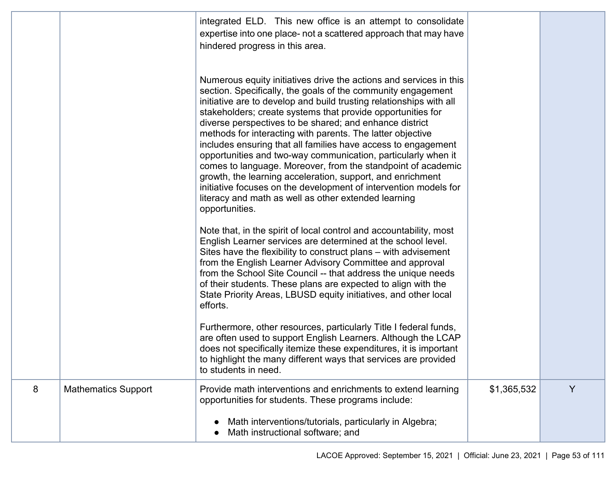|   |                            | integrated ELD. This new office is an attempt to consolidate<br>expertise into one place- not a scattered approach that may have<br>hindered progress in this area.                                                                                                                                                                                                                                                                                                                                                                                                                                                                                                                                                                                                                                             |             |   |
|---|----------------------------|-----------------------------------------------------------------------------------------------------------------------------------------------------------------------------------------------------------------------------------------------------------------------------------------------------------------------------------------------------------------------------------------------------------------------------------------------------------------------------------------------------------------------------------------------------------------------------------------------------------------------------------------------------------------------------------------------------------------------------------------------------------------------------------------------------------------|-------------|---|
|   |                            | Numerous equity initiatives drive the actions and services in this<br>section. Specifically, the goals of the community engagement<br>initiative are to develop and build trusting relationships with all<br>stakeholders; create systems that provide opportunities for<br>diverse perspectives to be shared; and enhance district<br>methods for interacting with parents. The latter objective<br>includes ensuring that all families have access to engagement<br>opportunities and two-way communication, particularly when it<br>comes to language. Moreover, from the standpoint of academic<br>growth, the learning acceleration, support, and enrichment<br>initiative focuses on the development of intervention models for<br>literacy and math as well as other extended learning<br>opportunities. |             |   |
|   |                            | Note that, in the spirit of local control and accountability, most<br>English Learner services are determined at the school level.<br>Sites have the flexibility to construct plans – with advisement<br>from the English Learner Advisory Committee and approval<br>from the School Site Council -- that address the unique needs<br>of their students. These plans are expected to align with the<br>State Priority Areas, LBUSD equity initiatives, and other local<br>efforts.                                                                                                                                                                                                                                                                                                                              |             |   |
|   |                            | Furthermore, other resources, particularly Title I federal funds,<br>are often used to support English Learners. Although the LCAP<br>does not specifically itemize these expenditures, it is important<br>to highlight the many different ways that services are provided<br>to students in need.                                                                                                                                                                                                                                                                                                                                                                                                                                                                                                              |             |   |
| 8 | <b>Mathematics Support</b> | Provide math interventions and enrichments to extend learning<br>opportunities for students. These programs include:                                                                                                                                                                                                                                                                                                                                                                                                                                                                                                                                                                                                                                                                                            | \$1,365,532 | Y |
|   |                            | Math interventions/tutorials, particularly in Algebra;<br>Math instructional software; and                                                                                                                                                                                                                                                                                                                                                                                                                                                                                                                                                                                                                                                                                                                      |             |   |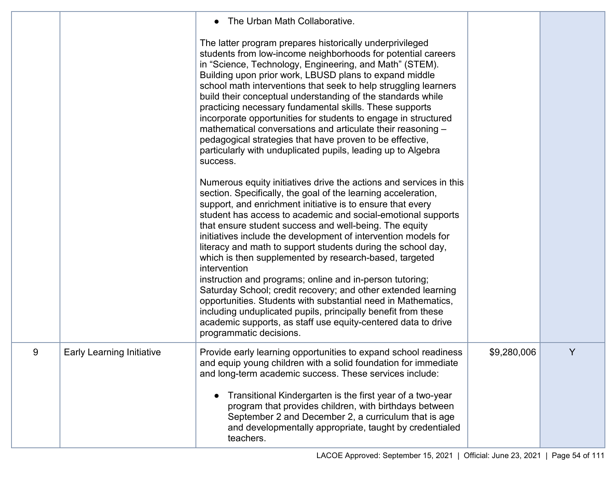|   |                                  | The Urban Math Collaborative.<br>$\bullet$<br>The latter program prepares historically underprivileged<br>students from low-income neighborhoods for potential careers<br>in "Science, Technology, Engineering, and Math" (STEM).<br>Building upon prior work, LBUSD plans to expand middle<br>school math interventions that seek to help struggling learners<br>build their conceptual understanding of the standards while<br>practicing necessary fundamental skills. These supports<br>incorporate opportunities for students to engage in structured<br>mathematical conversations and articulate their reasoning -<br>pedagogical strategies that have proven to be effective,<br>particularly with unduplicated pupils, leading up to Algebra<br>success.<br>Numerous equity initiatives drive the actions and services in this<br>section. Specifically, the goal of the learning acceleration,<br>support, and enrichment initiative is to ensure that every<br>student has access to academic and social-emotional supports<br>that ensure student success and well-being. The equity<br>initiatives include the development of intervention models for<br>literacy and math to support students during the school day,<br>which is then supplemented by research-based, targeted<br>intervention<br>instruction and programs; online and in-person tutoring;<br>Saturday School; credit recovery; and other extended learning<br>opportunities. Students with substantial need in Mathematics,<br>including unduplicated pupils, principally benefit from these<br>academic supports, as staff use equity-centered data to drive<br>programmatic decisions. |             |   |
|---|----------------------------------|-------------------------------------------------------------------------------------------------------------------------------------------------------------------------------------------------------------------------------------------------------------------------------------------------------------------------------------------------------------------------------------------------------------------------------------------------------------------------------------------------------------------------------------------------------------------------------------------------------------------------------------------------------------------------------------------------------------------------------------------------------------------------------------------------------------------------------------------------------------------------------------------------------------------------------------------------------------------------------------------------------------------------------------------------------------------------------------------------------------------------------------------------------------------------------------------------------------------------------------------------------------------------------------------------------------------------------------------------------------------------------------------------------------------------------------------------------------------------------------------------------------------------------------------------------------------------------------------------------------------------------------------------------------------------|-------------|---|
| 9 | <b>Early Learning Initiative</b> | Provide early learning opportunities to expand school readiness<br>and equip young children with a solid foundation for immediate<br>and long-term academic success. These services include:<br>Transitional Kindergarten is the first year of a two-year<br>$\bullet$<br>program that provides children, with birthdays between<br>September 2 and December 2, a curriculum that is age<br>and developmentally appropriate, taught by credentialed<br>teachers.                                                                                                                                                                                                                                                                                                                                                                                                                                                                                                                                                                                                                                                                                                                                                                                                                                                                                                                                                                                                                                                                                                                                                                                                        | \$9,280,006 | Y |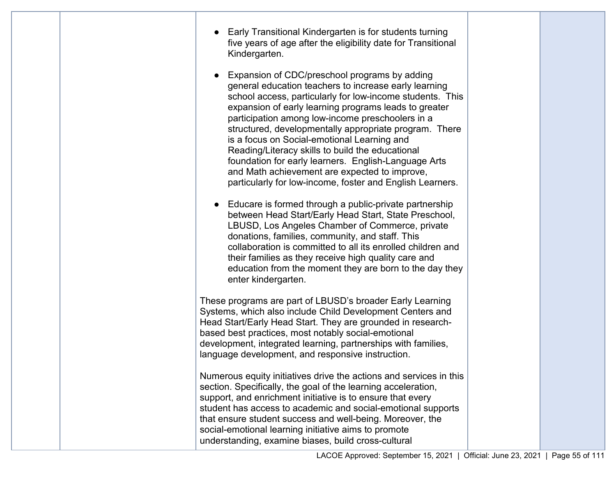| Early Transitional Kindergarten is for students turning<br>five years of age after the eligibility date for Transitional<br>Kindergarten.                                                                                                                                                                                                                                                                                                                                                                                                                                                                           |  |
|---------------------------------------------------------------------------------------------------------------------------------------------------------------------------------------------------------------------------------------------------------------------------------------------------------------------------------------------------------------------------------------------------------------------------------------------------------------------------------------------------------------------------------------------------------------------------------------------------------------------|--|
| Expansion of CDC/preschool programs by adding<br>general education teachers to increase early learning<br>school access, particularly for low-income students. This<br>expansion of early learning programs leads to greater<br>participation among low-income preschoolers in a<br>structured, developmentally appropriate program. There<br>is a focus on Social-emotional Learning and<br>Reading/Literacy skills to build the educational<br>foundation for early learners. English-Language Arts<br>and Math achievement are expected to improve,<br>particularly for low-income, foster and English Learners. |  |
| • Educare is formed through a public-private partnership<br>between Head Start/Early Head Start, State Preschool,<br>LBUSD, Los Angeles Chamber of Commerce, private<br>donations, families, community, and staff. This<br>collaboration is committed to all its enrolled children and<br>their families as they receive high quality care and<br>education from the moment they are born to the day they<br>enter kindergarten.                                                                                                                                                                                    |  |
| These programs are part of LBUSD's broader Early Learning<br>Systems, which also include Child Development Centers and<br>Head Start/Early Head Start. They are grounded in research-<br>based best practices, most notably social-emotional<br>development, integrated learning, partnerships with families,<br>language development, and responsive instruction.                                                                                                                                                                                                                                                  |  |
| Numerous equity initiatives drive the actions and services in this<br>section. Specifically, the goal of the learning acceleration,<br>support, and enrichment initiative is to ensure that every<br>student has access to academic and social-emotional supports<br>that ensure student success and well-being. Moreover, the<br>social-emotional learning initiative aims to promote<br>understanding, examine biases, build cross-cultural                                                                                                                                                                       |  |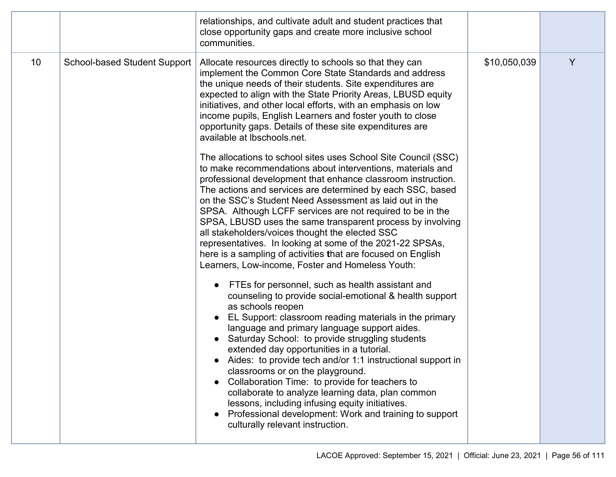|    |                                     | relationships, and cultivate adult and student practices that<br>close opportunity gaps and create more inclusive school<br>communities.                                                                                                                                                                                                                                                                                                                                                                                                                                                                                                                                                                                                                                                                                                                                                                                                                                                                                                                                                                                                                                                                                                                                                                                                                                                                                                                                                                                                                                                                                                                                                                                |              |   |
|----|-------------------------------------|-------------------------------------------------------------------------------------------------------------------------------------------------------------------------------------------------------------------------------------------------------------------------------------------------------------------------------------------------------------------------------------------------------------------------------------------------------------------------------------------------------------------------------------------------------------------------------------------------------------------------------------------------------------------------------------------------------------------------------------------------------------------------------------------------------------------------------------------------------------------------------------------------------------------------------------------------------------------------------------------------------------------------------------------------------------------------------------------------------------------------------------------------------------------------------------------------------------------------------------------------------------------------------------------------------------------------------------------------------------------------------------------------------------------------------------------------------------------------------------------------------------------------------------------------------------------------------------------------------------------------------------------------------------------------------------------------------------------------|--------------|---|
| 10 | <b>School-based Student Support</b> | Allocate resources directly to schools so that they can<br>implement the Common Core State Standards and address<br>the unique needs of their students. Site expenditures are<br>expected to align with the State Priority Areas, LBUSD equity<br>initiatives, and other local efforts, with an emphasis on low<br>income pupils, English Learners and foster youth to close<br>opportunity gaps. Details of these site expenditures are<br>available at Ibschools.net.<br>The allocations to school sites uses School Site Council (SSC)<br>to make recommendations about interventions, materials and<br>professional development that enhance classroom instruction.<br>The actions and services are determined by each SSC, based<br>on the SSC's Student Need Assessment as laid out in the<br>SPSA. Although LCFF services are not required to be in the<br>SPSA, LBUSD uses the same transparent process by involving<br>all stakeholders/voices thought the elected SSC<br>representatives. In looking at some of the 2021-22 SPSAs,<br>here is a sampling of activities that are focused on English<br>Learners, Low-income, Foster and Homeless Youth:<br>FTEs for personnel, such as health assistant and<br>counseling to provide social-emotional & health support<br>as schools reopen<br>EL Support: classroom reading materials in the primary<br>language and primary language support aides.<br>Saturday School: to provide struggling students<br>extended day opportunities in a tutorial.<br>Aides: to provide tech and/or 1:1 instructional support in<br>classrooms or on the playground.<br>Collaboration Time: to provide for teachers to<br>collaborate to analyze learning data, plan common | \$10,050,039 | Y |
|    |                                     | lessons, including infusing equity initiatives.<br>Professional development: Work and training to support<br>culturally relevant instruction.                                                                                                                                                                                                                                                                                                                                                                                                                                                                                                                                                                                                                                                                                                                                                                                                                                                                                                                                                                                                                                                                                                                                                                                                                                                                                                                                                                                                                                                                                                                                                                           |              |   |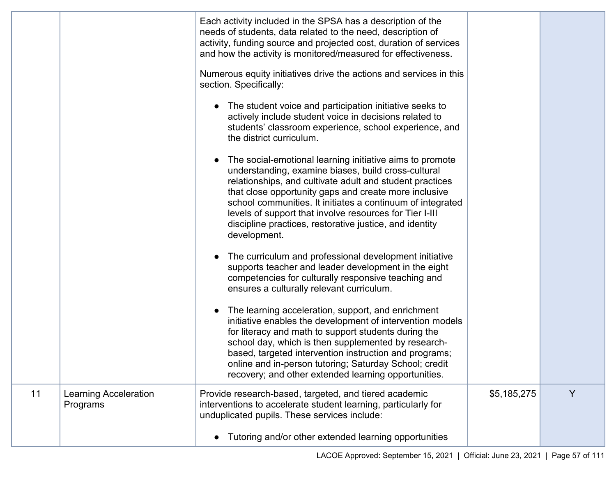|    |                                          | Each activity included in the SPSA has a description of the<br>needs of students, data related to the need, description of<br>activity, funding source and projected cost, duration of services<br>and how the activity is monitored/measured for effectiveness.                                                                                                                                                                         |             |   |
|----|------------------------------------------|------------------------------------------------------------------------------------------------------------------------------------------------------------------------------------------------------------------------------------------------------------------------------------------------------------------------------------------------------------------------------------------------------------------------------------------|-------------|---|
|    |                                          | Numerous equity initiatives drive the actions and services in this<br>section. Specifically:                                                                                                                                                                                                                                                                                                                                             |             |   |
|    |                                          | The student voice and participation initiative seeks to<br>actively include student voice in decisions related to<br>students' classroom experience, school experience, and<br>the district curriculum.                                                                                                                                                                                                                                  |             |   |
|    |                                          | The social-emotional learning initiative aims to promote<br>understanding, examine biases, build cross-cultural<br>relationships, and cultivate adult and student practices<br>that close opportunity gaps and create more inclusive<br>school communities. It initiates a continuum of integrated<br>levels of support that involve resources for Tier I-III<br>discipline practices, restorative justice, and identity<br>development. |             |   |
|    |                                          | The curriculum and professional development initiative<br>supports teacher and leader development in the eight<br>competencies for culturally responsive teaching and<br>ensures a culturally relevant curriculum.                                                                                                                                                                                                                       |             |   |
|    |                                          | The learning acceleration, support, and enrichment<br>initiative enables the development of intervention models<br>for literacy and math to support students during the<br>school day, which is then supplemented by research-<br>based, targeted intervention instruction and programs;<br>online and in-person tutoring; Saturday School; credit<br>recovery; and other extended learning opportunities.                               |             |   |
| 11 | <b>Learning Acceleration</b><br>Programs | Provide research-based, targeted, and tiered academic<br>interventions to accelerate student learning, particularly for<br>unduplicated pupils. These services include:                                                                                                                                                                                                                                                                  | \$5,185,275 | Y |
|    |                                          | Tutoring and/or other extended learning opportunities<br>$\bullet$                                                                                                                                                                                                                                                                                                                                                                       |             |   |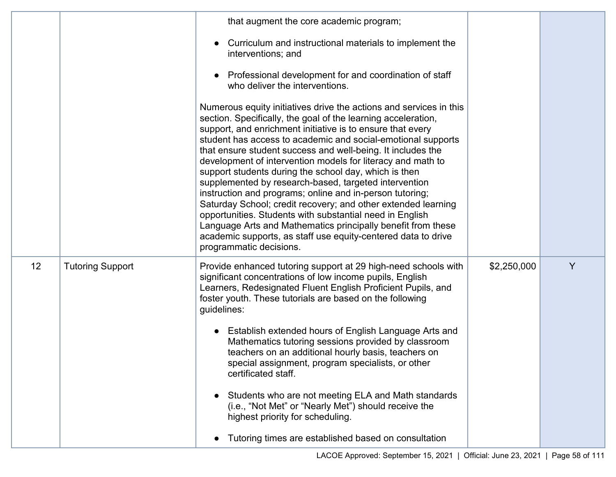|    |                         | that augment the core academic program;                                                                                                                                                                                                                                                                                                                                                                                                                                                                                                                                                                                                                                                                                                                                                                                                                                |             |   |
|----|-------------------------|------------------------------------------------------------------------------------------------------------------------------------------------------------------------------------------------------------------------------------------------------------------------------------------------------------------------------------------------------------------------------------------------------------------------------------------------------------------------------------------------------------------------------------------------------------------------------------------------------------------------------------------------------------------------------------------------------------------------------------------------------------------------------------------------------------------------------------------------------------------------|-------------|---|
|    |                         | Curriculum and instructional materials to implement the<br>interventions; and                                                                                                                                                                                                                                                                                                                                                                                                                                                                                                                                                                                                                                                                                                                                                                                          |             |   |
|    |                         | Professional development for and coordination of staff<br>who deliver the interventions.                                                                                                                                                                                                                                                                                                                                                                                                                                                                                                                                                                                                                                                                                                                                                                               |             |   |
|    |                         | Numerous equity initiatives drive the actions and services in this<br>section. Specifically, the goal of the learning acceleration,<br>support, and enrichment initiative is to ensure that every<br>student has access to academic and social-emotional supports<br>that ensure student success and well-being. It includes the<br>development of intervention models for literacy and math to<br>support students during the school day, which is then<br>supplemented by research-based, targeted intervention<br>instruction and programs; online and in-person tutoring;<br>Saturday School; credit recovery; and other extended learning<br>opportunities. Students with substantial need in English<br>Language Arts and Mathematics principally benefit from these<br>academic supports, as staff use equity-centered data to drive<br>programmatic decisions. |             |   |
| 12 | <b>Tutoring Support</b> | Provide enhanced tutoring support at 29 high-need schools with<br>significant concentrations of low income pupils, English<br>Learners, Redesignated Fluent English Proficient Pupils, and<br>foster youth. These tutorials are based on the following<br>guidelines:                                                                                                                                                                                                                                                                                                                                                                                                                                                                                                                                                                                                  | \$2,250,000 | Y |
|    |                         | Establish extended hours of English Language Arts and<br>Mathematics tutoring sessions provided by classroom<br>teachers on an additional hourly basis, teachers on<br>special assignment, program specialists, or other<br>certificated staff.                                                                                                                                                                                                                                                                                                                                                                                                                                                                                                                                                                                                                        |             |   |
|    |                         | Students who are not meeting ELA and Math standards<br>$\bullet$<br>(i.e., "Not Met" or "Nearly Met") should receive the<br>highest priority for scheduling.                                                                                                                                                                                                                                                                                                                                                                                                                                                                                                                                                                                                                                                                                                           |             |   |
|    |                         | Tutoring times are established based on consultation<br>$\bullet$                                                                                                                                                                                                                                                                                                                                                                                                                                                                                                                                                                                                                                                                                                                                                                                                      |             |   |
|    |                         |                                                                                                                                                                                                                                                                                                                                                                                                                                                                                                                                                                                                                                                                                                                                                                                                                                                                        |             |   |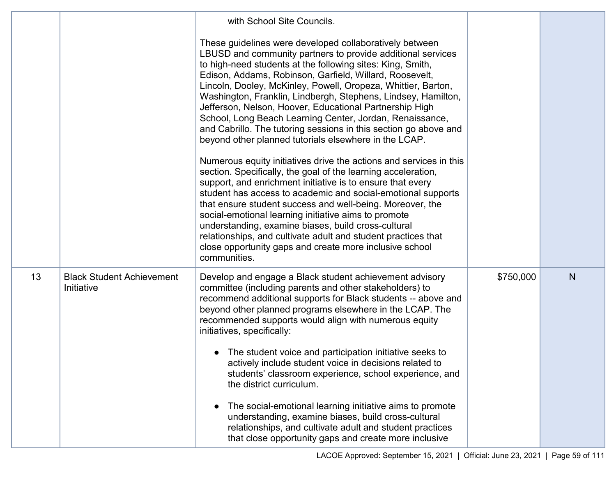|    |                                                | with School Site Councils.                                                                                                                                                                                                                                                                                                                                                                                                                                                                                                                                                                                                                                                                                                                                                                                                                                                                                                                                                                                                      |           |   |
|----|------------------------------------------------|---------------------------------------------------------------------------------------------------------------------------------------------------------------------------------------------------------------------------------------------------------------------------------------------------------------------------------------------------------------------------------------------------------------------------------------------------------------------------------------------------------------------------------------------------------------------------------------------------------------------------------------------------------------------------------------------------------------------------------------------------------------------------------------------------------------------------------------------------------------------------------------------------------------------------------------------------------------------------------------------------------------------------------|-----------|---|
|    |                                                | These guidelines were developed collaboratively between<br>LBUSD and community partners to provide additional services<br>to high-need students at the following sites: King, Smith,<br>Edison, Addams, Robinson, Garfield, Willard, Roosevelt,<br>Lincoln, Dooley, McKinley, Powell, Oropeza, Whittier, Barton,<br>Washington, Franklin, Lindbergh, Stephens, Lindsey, Hamilton,<br>Jefferson, Nelson, Hoover, Educational Partnership High<br>School, Long Beach Learning Center, Jordan, Renaissance,<br>and Cabrillo. The tutoring sessions in this section go above and<br>beyond other planned tutorials elsewhere in the LCAP.<br>Numerous equity initiatives drive the actions and services in this<br>section. Specifically, the goal of the learning acceleration,<br>support, and enrichment initiative is to ensure that every<br>student has access to academic and social-emotional supports<br>that ensure student success and well-being. Moreover, the<br>social-emotional learning initiative aims to promote |           |   |
|    |                                                | understanding, examine biases, build cross-cultural<br>relationships, and cultivate adult and student practices that<br>close opportunity gaps and create more inclusive school<br>communities.                                                                                                                                                                                                                                                                                                                                                                                                                                                                                                                                                                                                                                                                                                                                                                                                                                 |           |   |
| 13 | <b>Black Student Achievement</b><br>Initiative | Develop and engage a Black student achievement advisory<br>committee (including parents and other stakeholders) to<br>recommend additional supports for Black students -- above and<br>beyond other planned programs elsewhere in the LCAP. The<br>recommended supports would align with numerous equity<br>initiatives, specifically:                                                                                                                                                                                                                                                                                                                                                                                                                                                                                                                                                                                                                                                                                          | \$750,000 | N |
|    |                                                | The student voice and participation initiative seeks to<br>actively include student voice in decisions related to<br>students' classroom experience, school experience, and<br>the district curriculum.                                                                                                                                                                                                                                                                                                                                                                                                                                                                                                                                                                                                                                                                                                                                                                                                                         |           |   |
|    |                                                | The social-emotional learning initiative aims to promote<br>understanding, examine biases, build cross-cultural<br>relationships, and cultivate adult and student practices<br>that close opportunity gaps and create more inclusive                                                                                                                                                                                                                                                                                                                                                                                                                                                                                                                                                                                                                                                                                                                                                                                            |           |   |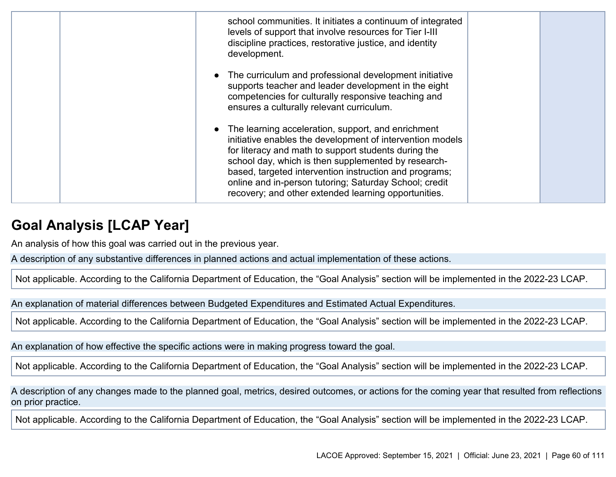| school communities. It initiates a continuum of integrated<br>levels of support that involve resources for Tier I-III<br>discipline practices, restorative justice, and identity<br>development.                                                                                                                                                                                                           |  |
|------------------------------------------------------------------------------------------------------------------------------------------------------------------------------------------------------------------------------------------------------------------------------------------------------------------------------------------------------------------------------------------------------------|--|
| • The curriculum and professional development initiative<br>supports teacher and leader development in the eight<br>competencies for culturally responsive teaching and<br>ensures a culturally relevant curriculum.                                                                                                                                                                                       |  |
| The learning acceleration, support, and enrichment<br>initiative enables the development of intervention models<br>for literacy and math to support students during the<br>school day, which is then supplemented by research-<br>based, targeted intervention instruction and programs;<br>online and in-person tutoring; Saturday School; credit<br>recovery; and other extended learning opportunities. |  |

## **Goal Analysis [LCAP Year]**

An analysis of how this goal was carried out in the previous year.

A description of any substantive differences in planned actions and actual implementation of these actions.

Not applicable. According to the California Department of Education, the "Goal Analysis" section will be implemented in the 2022-23 LCAP.

An explanation of material differences between Budgeted Expenditures and Estimated Actual Expenditures.

Not applicable. According to the California Department of Education, the "Goal Analysis" section will be implemented in the 2022-23 LCAP.

An explanation of how effective the specific actions were in making progress toward the goal.

Not applicable. According to the California Department of Education, the "Goal Analysis" section will be implemented in the 2022-23 LCAP.

A description of any changes made to the planned goal, metrics, desired outcomes, or actions for the coming year that resulted from reflections on prior practice.

Not applicable. According to the California Department of Education, the "Goal Analysis" section will be implemented in the 2022-23 LCAP.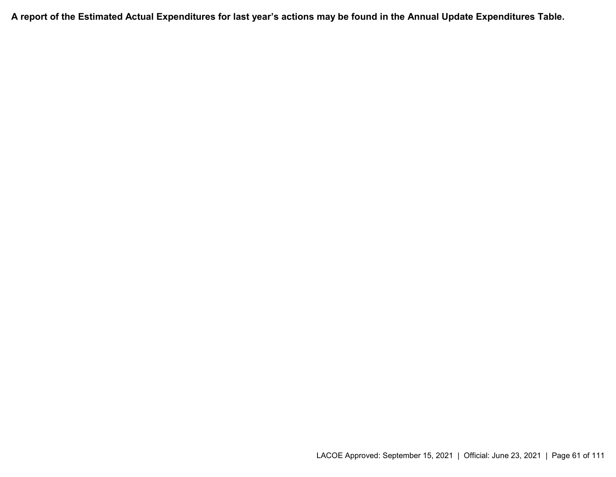**A report of the Estimated Actual Expenditures for last year's actions may be found in the Annual Update Expenditures Table.**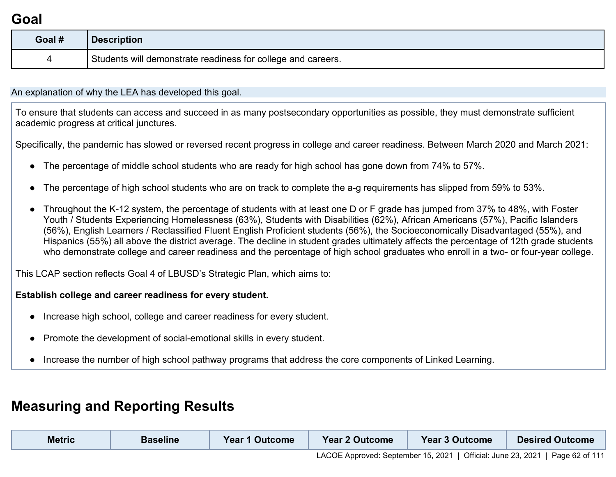## **Goal**

| Goal # | <b>Description</b>                                           |
|--------|--------------------------------------------------------------|
| 4      | Students will demonstrate readiness for college and careers. |

An explanation of why the LEA has developed this goal.

To ensure that students can access and succeed in as many postsecondary opportunities as possible, they must demonstrate sufficient academic progress at critical junctures.

Specifically, the pandemic has slowed or reversed recent progress in college and career readiness. Between March 2020 and March 2021:

- The percentage of middle school students who are ready for high school has gone down from 74% to 57%.
- The percentage of high school students who are on track to complete the a-g requirements has slipped from 59% to 53%.
- Throughout the K-12 system, the percentage of students with at least one D or F grade has jumped from 37% to 48%, with Foster Youth / Students Experiencing Homelessness (63%), Students with Disabilities (62%), African Americans (57%), Pacific Islanders (56%), English Learners / Reclassified Fluent English Proficient students (56%), the Socioeconomically Disadvantaged (55%), and Hispanics (55%) all above the district average. The decline in student grades ultimately affects the percentage of 12th grade students who demonstrate college and career readiness and the percentage of high school graduates who enroll in a two- or four-year college.

This LCAP section reflects Goal 4 of LBUSD's Strategic Plan, which aims to:

#### **Establish college and career readiness for every student.**

- Increase high school, college and career readiness for every student.
- Promote the development of social-emotional skills in every student.
- Increase the number of high school pathway programs that address the core components of Linked Learning.

## **Measuring and Reporting Results**

| <b>Metric</b> | <b>Baseline</b> | <b>Year 1 Outcome</b> | <b>Year 2 Outcome</b> | <b>Year 3 Outcome</b> | <b>Desired Outcome</b>                                                        |
|---------------|-----------------|-----------------------|-----------------------|-----------------------|-------------------------------------------------------------------------------|
|               |                 |                       |                       |                       | LACOE Approved: September 15, 2021   Official: June 23, 2021   Page 62 of 111 |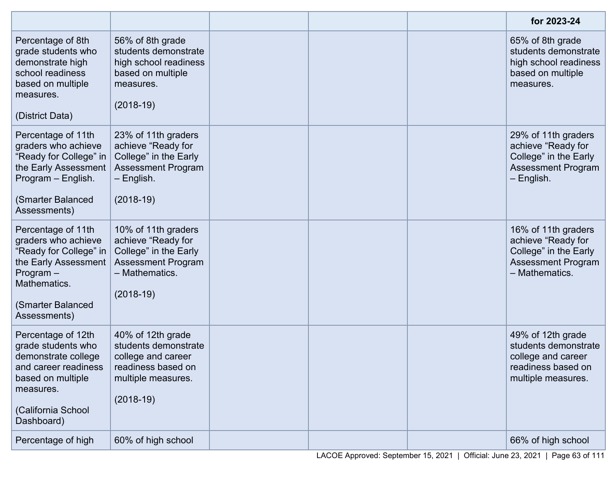|                                                                                                                                                                 |                                                                                                                                  |  | for 2023-24                                                                                                       |
|-----------------------------------------------------------------------------------------------------------------------------------------------------------------|----------------------------------------------------------------------------------------------------------------------------------|--|-------------------------------------------------------------------------------------------------------------------|
| Percentage of 8th<br>grade students who<br>demonstrate high<br>school readiness<br>based on multiple<br>measures.<br>(District Data)                            | 56% of 8th grade<br>students demonstrate<br>high school readiness<br>based on multiple<br>measures.<br>$(2018-19)$               |  | 65% of 8th grade<br>students demonstrate<br>high school readiness<br>based on multiple<br>measures.               |
| Percentage of 11th<br>graders who achieve<br>"Ready for College" in<br>the Early Assessment<br>Program - English.<br>(Smarter Balanced<br>Assessments)          | 23% of 11th graders<br>achieve "Ready for<br>College" in the Early<br><b>Assessment Program</b><br>$-$ English.<br>$(2018-19)$   |  | 29% of 11th graders<br>achieve "Ready for<br>College" in the Early<br><b>Assessment Program</b><br>- English.     |
| Percentage of 11th<br>graders who achieve<br>"Ready for College" in<br>the Early Assessment<br>$Program -$<br>Mathematics.<br>(Smarter Balanced<br>Assessments) | 10% of 11th graders<br>achieve "Ready for<br>College" in the Early<br><b>Assessment Program</b><br>- Mathematics.<br>$(2018-19)$ |  | 16% of 11th graders<br>achieve "Ready for<br>College" in the Early<br><b>Assessment Program</b><br>- Mathematics. |
| Percentage of 12th<br>grade students who<br>demonstrate college<br>and career readiness<br>based on multiple<br>measures.<br>(California School<br>Dashboard)   | 40% of 12th grade<br>students demonstrate<br>college and career<br>readiness based on<br>multiple measures.<br>$(2018-19)$       |  | 49% of 12th grade<br>students demonstrate<br>college and career<br>readiness based on<br>multiple measures.       |
| Percentage of high                                                                                                                                              | 60% of high school                                                                                                               |  | 66% of high school                                                                                                |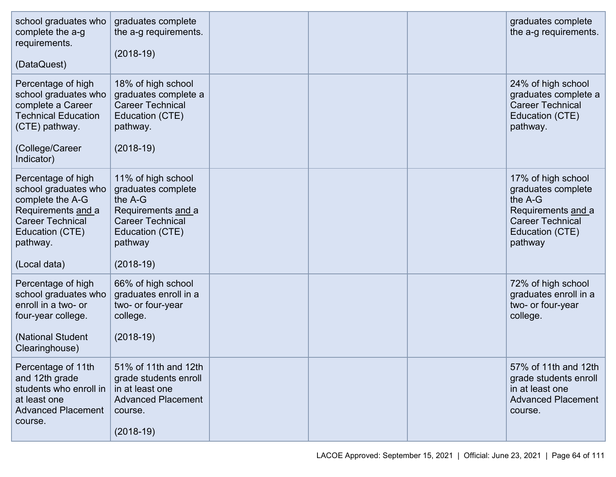| school graduates who<br>complete the a-g<br>requirements.<br>(DataQuest)                                                                                       | graduates complete<br>the a-g requirements.<br>$(2018-19)$                                                                                        |  | graduates complete<br>the a-g requirements.                                                                                        |
|----------------------------------------------------------------------------------------------------------------------------------------------------------------|---------------------------------------------------------------------------------------------------------------------------------------------------|--|------------------------------------------------------------------------------------------------------------------------------------|
| Percentage of high<br>school graduates who<br>complete a Career<br><b>Technical Education</b><br>(CTE) pathway.<br>(College/Career<br>Indicator)               | 18% of high school<br>graduates complete a<br><b>Career Technical</b><br>Education (CTE)<br>pathway.<br>$(2018-19)$                               |  | 24% of high school<br>graduates complete a<br><b>Career Technical</b><br>Education (CTE)<br>pathway.                               |
| Percentage of high<br>school graduates who<br>complete the A-G<br>Requirements and a<br><b>Career Technical</b><br>Education (CTE)<br>pathway.<br>(Local data) | 11% of high school<br>graduates complete<br>the A-G<br>Requirements and a<br><b>Career Technical</b><br>Education (CTE)<br>pathway<br>$(2018-19)$ |  | 17% of high school<br>graduates complete<br>the A-G<br>Requirements and a<br><b>Career Technical</b><br>Education (CTE)<br>pathway |
| Percentage of high<br>school graduates who<br>enroll in a two- or<br>four-year college.<br>(National Student<br>Clearinghouse)                                 | 66% of high school<br>graduates enroll in a<br>two- or four-year<br>college.<br>$(2018-19)$                                                       |  | 72% of high school<br>graduates enroll in a<br>two- or four-year<br>college.                                                       |
| Percentage of 11th<br>and 12th grade<br>students who enroll in<br>at least one<br><b>Advanced Placement</b><br>course.                                         | 51% of 11th and 12th<br>grade students enroll<br>in at least one<br><b>Advanced Placement</b><br>course.<br>$(2018-19)$                           |  | 57% of 11th and 12th<br>grade students enroll<br>in at least one<br><b>Advanced Placement</b><br>course.                           |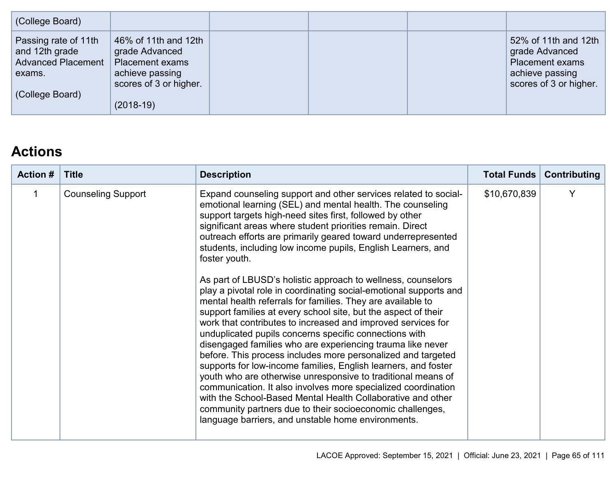| (College Board)                                                                                  |                                                                                                                              |  |                                                                                                               |
|--------------------------------------------------------------------------------------------------|------------------------------------------------------------------------------------------------------------------------------|--|---------------------------------------------------------------------------------------------------------------|
| Passing rate of 11th<br>and 12th grade<br><b>Advanced Placement</b><br>exams.<br>(College Board) | 46% of 11th and 12th<br>grade Advanced<br><b>Placement exams</b><br>achieve passing<br>scores of 3 or higher.<br>$(2018-19)$ |  | 52% of 11th and 12th<br>grade Advanced<br><b>Placement exams</b><br>achieve passing<br>scores of 3 or higher. |

# **Actions**

| <b>Action #</b><br><b>Title</b><br><b>Description</b>                                                                                                                                                                                                                                                                                                                                                                                                                                                                                                                                                                                                                                                                                                                                                                                                                                                                                                                                                                                                                                                                                                                                                                                                                                                                                                         | <b>Total Funds</b> | <b>Contributing</b> |
|---------------------------------------------------------------------------------------------------------------------------------------------------------------------------------------------------------------------------------------------------------------------------------------------------------------------------------------------------------------------------------------------------------------------------------------------------------------------------------------------------------------------------------------------------------------------------------------------------------------------------------------------------------------------------------------------------------------------------------------------------------------------------------------------------------------------------------------------------------------------------------------------------------------------------------------------------------------------------------------------------------------------------------------------------------------------------------------------------------------------------------------------------------------------------------------------------------------------------------------------------------------------------------------------------------------------------------------------------------------|--------------------|---------------------|
| <b>Counseling Support</b><br>Expand counseling support and other services related to social-<br>1<br>emotional learning (SEL) and mental health. The counseling<br>support targets high-need sites first, followed by other<br>significant areas where student priorities remain. Direct<br>outreach efforts are primarily geared toward underrepresented<br>students, including low income pupils, English Learners, and<br>foster youth.<br>As part of LBUSD's holistic approach to wellness, counselors<br>play a pivotal role in coordinating social-emotional supports and<br>mental health referrals for families. They are available to<br>support families at every school site, but the aspect of their<br>work that contributes to increased and improved services for<br>unduplicated pupils concerns specific connections with<br>disengaged families who are experiencing trauma like never<br>before. This process includes more personalized and targeted<br>supports for low-income families, English learners, and foster<br>youth who are otherwise unresponsive to traditional means of<br>communication. It also involves more specialized coordination<br>with the School-Based Mental Health Collaborative and other<br>community partners due to their socioeconomic challenges,<br>language barriers, and unstable home environments. | \$10,670,839       | Y                   |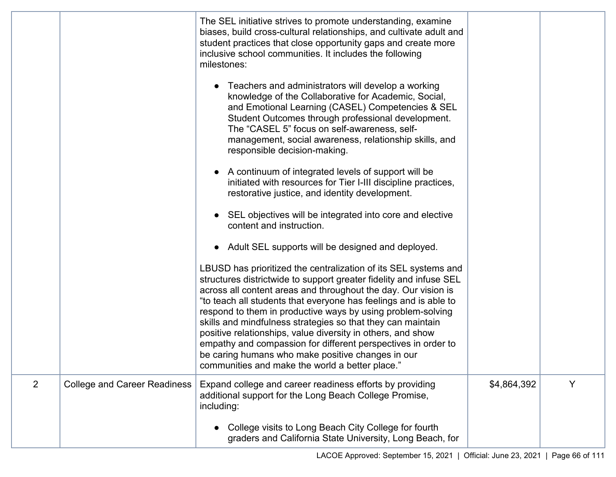|                |                                     | The SEL initiative strives to promote understanding, examine<br>biases, build cross-cultural relationships, and cultivate adult and<br>student practices that close opportunity gaps and create more<br>inclusive school communities. It includes the following<br>milestones:                                                                                                                                                                                                                                                                                                                                                                    |             |   |
|----------------|-------------------------------------|---------------------------------------------------------------------------------------------------------------------------------------------------------------------------------------------------------------------------------------------------------------------------------------------------------------------------------------------------------------------------------------------------------------------------------------------------------------------------------------------------------------------------------------------------------------------------------------------------------------------------------------------------|-------------|---|
|                |                                     | Teachers and administrators will develop a working<br>knowledge of the Collaborative for Academic, Social,<br>and Emotional Learning (CASEL) Competencies & SEL<br>Student Outcomes through professional development.<br>The "CASEL 5" focus on self-awareness, self-<br>management, social awareness, relationship skills, and<br>responsible decision-making.                                                                                                                                                                                                                                                                                   |             |   |
|                |                                     | A continuum of integrated levels of support will be<br>initiated with resources for Tier I-III discipline practices,<br>restorative justice, and identity development.                                                                                                                                                                                                                                                                                                                                                                                                                                                                            |             |   |
|                |                                     | SEL objectives will be integrated into core and elective<br>content and instruction.                                                                                                                                                                                                                                                                                                                                                                                                                                                                                                                                                              |             |   |
|                |                                     | Adult SEL supports will be designed and deployed.<br>$\bullet$                                                                                                                                                                                                                                                                                                                                                                                                                                                                                                                                                                                    |             |   |
|                |                                     | LBUSD has prioritized the centralization of its SEL systems and<br>structures districtwide to support greater fidelity and infuse SEL<br>across all content areas and throughout the day. Our vision is<br>"to teach all students that everyone has feelings and is able to<br>respond to them in productive ways by using problem-solving<br>skills and mindfulness strategies so that they can maintain<br>positive relationships, value diversity in others, and show<br>empathy and compassion for different perspectives in order to<br>be caring humans who make positive changes in our<br>communities and make the world a better place." |             |   |
| $\overline{2}$ | <b>College and Career Readiness</b> | Expand college and career readiness efforts by providing<br>additional support for the Long Beach College Promise,<br>including:                                                                                                                                                                                                                                                                                                                                                                                                                                                                                                                  | \$4,864,392 | Y |
|                |                                     | College visits to Long Beach City College for fourth<br>graders and California State University, Long Beach, for                                                                                                                                                                                                                                                                                                                                                                                                                                                                                                                                  |             |   |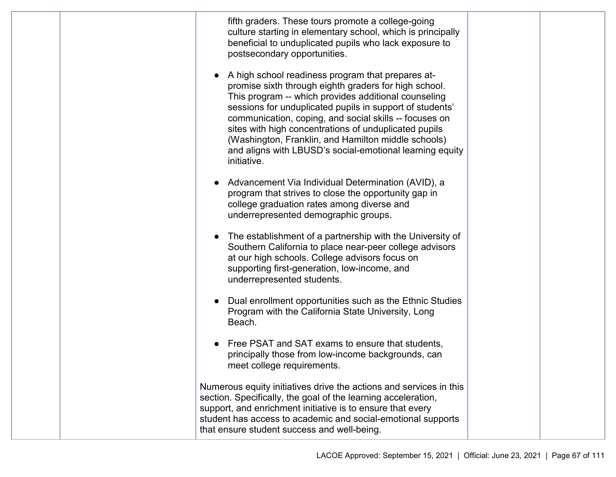|  | fifth graders. These tours promote a college-going<br>culture starting in elementary school, which is principally<br>beneficial to unduplicated pupils who lack exposure to<br>postsecondary opportunities.<br>A high school readiness program that prepares at-<br>promise sixth through eighth graders for high school.<br>This program -- which provides additional counseling<br>sessions for unduplicated pupils in support of students'<br>communication, coping, and social skills -- focuses on<br>sites with high concentrations of unduplicated pupils<br>(Washington, Franklin, and Hamilton middle schools)<br>and aligns with LBUSD's social-emotional learning equity<br>initiative. |  |
|--|----------------------------------------------------------------------------------------------------------------------------------------------------------------------------------------------------------------------------------------------------------------------------------------------------------------------------------------------------------------------------------------------------------------------------------------------------------------------------------------------------------------------------------------------------------------------------------------------------------------------------------------------------------------------------------------------------|--|
|  | Advancement Via Individual Determination (AVID), a<br>program that strives to close the opportunity gap in<br>college graduation rates among diverse and<br>underrepresented demographic groups.                                                                                                                                                                                                                                                                                                                                                                                                                                                                                                   |  |
|  | The establishment of a partnership with the University of<br>Southern California to place near-peer college advisors<br>at our high schools. College advisors focus on<br>supporting first-generation, low-income, and<br>underrepresented students.                                                                                                                                                                                                                                                                                                                                                                                                                                               |  |
|  | Dual enrollment opportunities such as the Ethnic Studies<br>Program with the California State University, Long<br>Beach.                                                                                                                                                                                                                                                                                                                                                                                                                                                                                                                                                                           |  |
|  | Free PSAT and SAT exams to ensure that students,<br>principally those from low-income backgrounds, can<br>meet college requirements.                                                                                                                                                                                                                                                                                                                                                                                                                                                                                                                                                               |  |
|  | Numerous equity initiatives drive the actions and services in this<br>section. Specifically, the goal of the learning acceleration,<br>support, and enrichment initiative is to ensure that every<br>student has access to academic and social-emotional supports<br>that ensure student success and well-being.                                                                                                                                                                                                                                                                                                                                                                                   |  |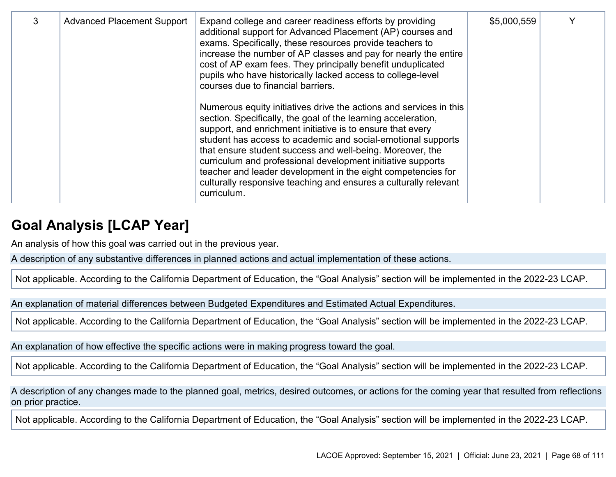| 3 | <b>Advanced Placement Support</b> | Expand college and career readiness efforts by providing<br>additional support for Advanced Placement (AP) courses and<br>exams. Specifically, these resources provide teachers to<br>increase the number of AP classes and pay for nearly the entire<br>cost of AP exam fees. They principally benefit unduplicated<br>pupils who have historically lacked access to college-level<br>courses due to financial barriers.                                                                                                                        | \$5,000,559 |  |
|---|-----------------------------------|--------------------------------------------------------------------------------------------------------------------------------------------------------------------------------------------------------------------------------------------------------------------------------------------------------------------------------------------------------------------------------------------------------------------------------------------------------------------------------------------------------------------------------------------------|-------------|--|
|   |                                   | Numerous equity initiatives drive the actions and services in this<br>section. Specifically, the goal of the learning acceleration,<br>support, and enrichment initiative is to ensure that every<br>student has access to academic and social-emotional supports<br>that ensure student success and well-being. Moreover, the<br>curriculum and professional development initiative supports<br>teacher and leader development in the eight competencies for<br>culturally responsive teaching and ensures a culturally relevant<br>curriculum. |             |  |

### **Goal Analysis [LCAP Year]**

An analysis of how this goal was carried out in the previous year.

A description of any substantive differences in planned actions and actual implementation of these actions.

Not applicable. According to the California Department of Education, the "Goal Analysis" section will be implemented in the 2022-23 LCAP.

An explanation of material differences between Budgeted Expenditures and Estimated Actual Expenditures.

Not applicable. According to the California Department of Education, the "Goal Analysis" section will be implemented in the 2022-23 LCAP.

An explanation of how effective the specific actions were in making progress toward the goal.

Not applicable. According to the California Department of Education, the "Goal Analysis" section will be implemented in the 2022-23 LCAP.

A description of any changes made to the planned goal, metrics, desired outcomes, or actions for the coming year that resulted from reflections on prior practice.

Not applicable. According to the California Department of Education, the "Goal Analysis" section will be implemented in the 2022-23 LCAP.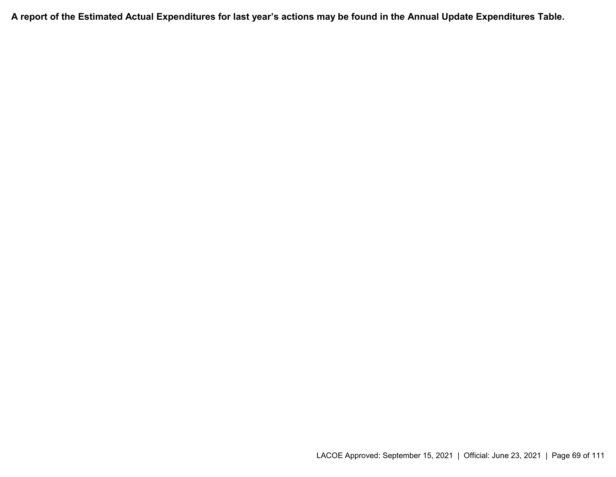**A report of the Estimated Actual Expenditures for last year's actions may be found in the Annual Update Expenditures Table.**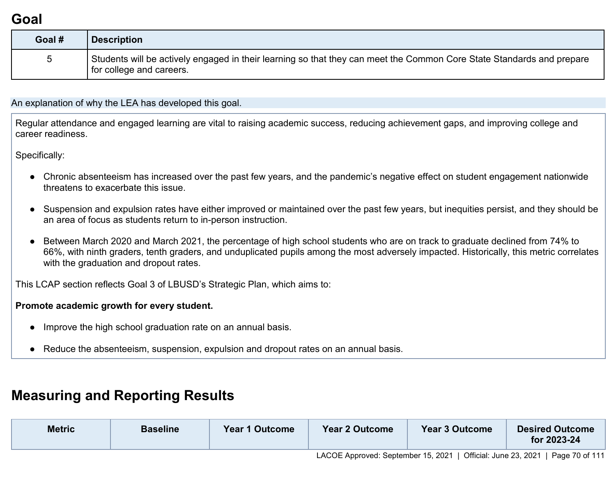# **Goal**

| Goal #      | <b>Description</b>                                                                                                                                  |
|-------------|-----------------------------------------------------------------------------------------------------------------------------------------------------|
| $5^{\circ}$ | Students will be actively engaged in their learning so that they can meet the Common Core State Standards and prepare<br>I for college and careers. |

An explanation of why the LEA has developed this goal.

Regular attendance and engaged learning are vital to raising academic success, reducing achievement gaps, and improving college and career readiness.

Specifically:

- Chronic absenteeism has increased over the past few years, and the pandemic's negative effect on student engagement nationwide threatens to exacerbate this issue.
- Suspension and expulsion rates have either improved or maintained over the past few years, but inequities persist, and they should be an area of focus as students return to in-person instruction.
- Between March 2020 and March 2021, the percentage of high school students who are on track to graduate declined from 74% to 66%, with ninth graders, tenth graders, and unduplicated pupils among the most adversely impacted. Historically, this metric correlates with the graduation and dropout rates.

This LCAP section reflects Goal 3 of LBUSD's Strategic Plan, which aims to:

#### **Promote academic growth for every student.**

- Improve the high school graduation rate on an annual basis.
- Reduce the absenteeism, suspension, expulsion and dropout rates on an annual basis.

# **Measuring and Reporting Results**

| <b>Metric</b> | <b>Baseline</b> | <b>Year 1 Outcome</b> | Year 2 Outcome<br>_______ | Year 3 Outcome | <b>Desired Outcome</b><br>for 2023-24 |
|---------------|-----------------|-----------------------|---------------------------|----------------|---------------------------------------|
|               |                 |                       |                           |                |                                       |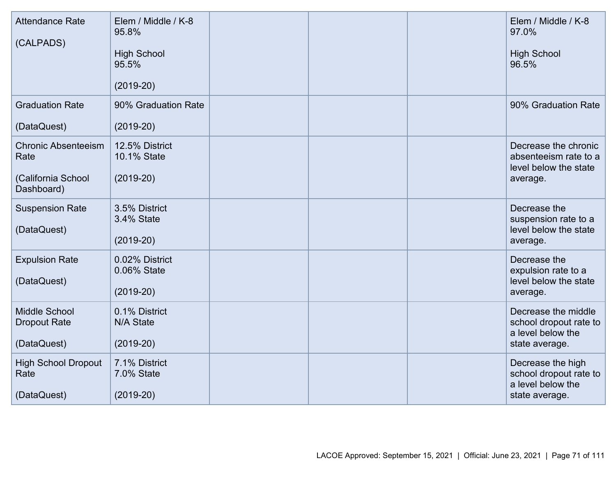| <b>Attendance Rate</b><br>(CALPADS)                                    | Elem / Middle / K-8<br>95.8%<br><b>High School</b><br>95.5%<br>$(2019-20)$ |  | Elem / Middle / K-8<br>97.0%<br><b>High School</b><br>96.5%                          |
|------------------------------------------------------------------------|----------------------------------------------------------------------------|--|--------------------------------------------------------------------------------------|
| <b>Graduation Rate</b><br>(DataQuest)                                  | 90% Graduation Rate<br>$(2019-20)$                                         |  | 90% Graduation Rate                                                                  |
| <b>Chronic Absenteeism</b><br>Rate<br>(California School<br>Dashboard) | 12.5% District<br>10.1% State<br>$(2019-20)$                               |  | Decrease the chronic<br>absenteeism rate to a<br>level below the state<br>average.   |
| <b>Suspension Rate</b><br>(DataQuest)                                  | 3.5% District<br>3.4% State<br>$(2019-20)$                                 |  | Decrease the<br>suspension rate to a<br>level below the state<br>average.            |
| <b>Expulsion Rate</b><br>(DataQuest)                                   | 0.02% District<br>0.06% State<br>$(2019-20)$                               |  | Decrease the<br>expulsion rate to a<br>level below the state<br>average.             |
| <b>Middle School</b><br><b>Dropout Rate</b><br>(DataQuest)             | 0.1% District<br>N/A State<br>$(2019-20)$                                  |  | Decrease the middle<br>school dropout rate to<br>a level below the<br>state average. |
| <b>High School Dropout</b><br>Rate<br>(DataQuest)                      | 7.1% District<br>7.0% State<br>$(2019-20)$                                 |  | Decrease the high<br>school dropout rate to<br>a level below the<br>state average.   |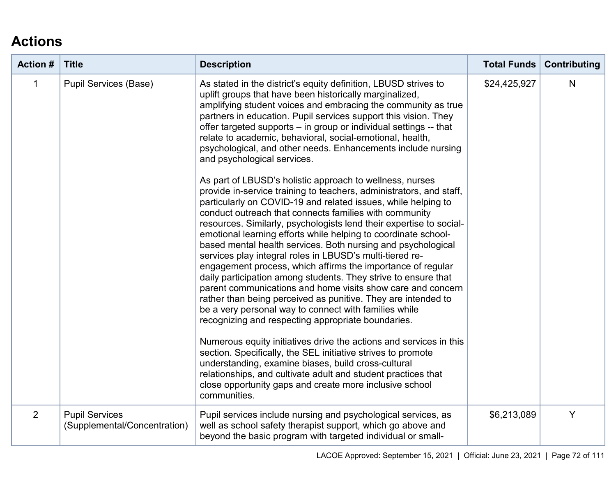# **Actions**

| <b>Action #</b> | <b>Title</b>                                          | <b>Description</b>                                                                                                                                                                                                                                                                                                                                                                                                                                                                                                                                                                                                                                                                                                                                                                                                                                                                                                                                                                                                                                                                                                                                                                                                                                                                                                                                                                                                 | <b>Total Funds</b> | <b>Contributing</b> |
|-----------------|-------------------------------------------------------|--------------------------------------------------------------------------------------------------------------------------------------------------------------------------------------------------------------------------------------------------------------------------------------------------------------------------------------------------------------------------------------------------------------------------------------------------------------------------------------------------------------------------------------------------------------------------------------------------------------------------------------------------------------------------------------------------------------------------------------------------------------------------------------------------------------------------------------------------------------------------------------------------------------------------------------------------------------------------------------------------------------------------------------------------------------------------------------------------------------------------------------------------------------------------------------------------------------------------------------------------------------------------------------------------------------------------------------------------------------------------------------------------------------------|--------------------|---------------------|
| $\mathbf 1$     | <b>Pupil Services (Base)</b>                          | As stated in the district's equity definition, LBUSD strives to<br>uplift groups that have been historically marginalized,<br>amplifying student voices and embracing the community as true<br>partners in education. Pupil services support this vision. They<br>offer targeted supports - in group or individual settings -- that<br>relate to academic, behavioral, social-emotional, health,<br>psychological, and other needs. Enhancements include nursing<br>and psychological services.<br>As part of LBUSD's holistic approach to wellness, nurses<br>provide in-service training to teachers, administrators, and staff,<br>particularly on COVID-19 and related issues, while helping to<br>conduct outreach that connects families with community<br>resources. Similarly, psychologists lend their expertise to social-<br>emotional learning efforts while helping to coordinate school-<br>based mental health services. Both nursing and psychological<br>services play integral roles in LBUSD's multi-tiered re-<br>engagement process, which affirms the importance of regular<br>daily participation among students. They strive to ensure that<br>parent communications and home visits show care and concern<br>rather than being perceived as punitive. They are intended to<br>be a very personal way to connect with families while<br>recognizing and respecting appropriate boundaries. | \$24,425,927       | N                   |
|                 |                                                       | Numerous equity initiatives drive the actions and services in this<br>section. Specifically, the SEL initiative strives to promote<br>understanding, examine biases, build cross-cultural<br>relationships, and cultivate adult and student practices that<br>close opportunity gaps and create more inclusive school<br>communities.                                                                                                                                                                                                                                                                                                                                                                                                                                                                                                                                                                                                                                                                                                                                                                                                                                                                                                                                                                                                                                                                              |                    |                     |
| 2               | <b>Pupil Services</b><br>(Supplemental/Concentration) | Pupil services include nursing and psychological services, as<br>well as school safety therapist support, which go above and<br>beyond the basic program with targeted individual or small-                                                                                                                                                                                                                                                                                                                                                                                                                                                                                                                                                                                                                                                                                                                                                                                                                                                                                                                                                                                                                                                                                                                                                                                                                        | \$6,213,089        | Y                   |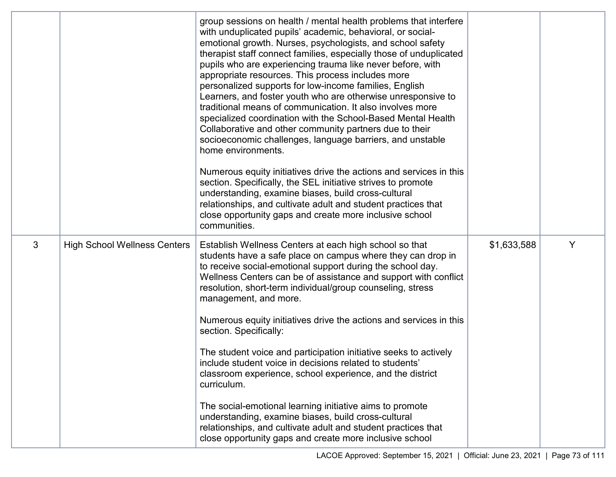|   |                                     | group sessions on health / mental health problems that interfere<br>with unduplicated pupils' academic, behavioral, or social-<br>emotional growth. Nurses, psychologists, and school safety<br>therapist staff connect families, especially those of unduplicated<br>pupils who are experiencing trauma like never before, with<br>appropriate resources. This process includes more<br>personalized supports for low-income families, English<br>Learners, and foster youth who are otherwise unresponsive to<br>traditional means of communication. It also involves more<br>specialized coordination with the School-Based Mental Health<br>Collaborative and other community partners due to their<br>socioeconomic challenges, language barriers, and unstable<br>home environments.<br>Numerous equity initiatives drive the actions and services in this<br>section. Specifically, the SEL initiative strives to promote<br>understanding, examine biases, build cross-cultural<br>relationships, and cultivate adult and student practices that<br>close opportunity gaps and create more inclusive school<br>communities. |             |   |
|---|-------------------------------------|-------------------------------------------------------------------------------------------------------------------------------------------------------------------------------------------------------------------------------------------------------------------------------------------------------------------------------------------------------------------------------------------------------------------------------------------------------------------------------------------------------------------------------------------------------------------------------------------------------------------------------------------------------------------------------------------------------------------------------------------------------------------------------------------------------------------------------------------------------------------------------------------------------------------------------------------------------------------------------------------------------------------------------------------------------------------------------------------------------------------------------------|-------------|---|
| 3 | <b>High School Wellness Centers</b> | Establish Wellness Centers at each high school so that<br>students have a safe place on campus where they can drop in<br>to receive social-emotional support during the school day.<br>Wellness Centers can be of assistance and support with conflict<br>resolution, short-term individual/group counseling, stress<br>management, and more.                                                                                                                                                                                                                                                                                                                                                                                                                                                                                                                                                                                                                                                                                                                                                                                       | \$1,633,588 | Y |
|   |                                     | Numerous equity initiatives drive the actions and services in this<br>section. Specifically:                                                                                                                                                                                                                                                                                                                                                                                                                                                                                                                                                                                                                                                                                                                                                                                                                                                                                                                                                                                                                                        |             |   |
|   |                                     | The student voice and participation initiative seeks to actively<br>include student voice in decisions related to students'<br>classroom experience, school experience, and the district<br>curriculum.                                                                                                                                                                                                                                                                                                                                                                                                                                                                                                                                                                                                                                                                                                                                                                                                                                                                                                                             |             |   |
|   |                                     | The social-emotional learning initiative aims to promote<br>understanding, examine biases, build cross-cultural<br>relationships, and cultivate adult and student practices that<br>close opportunity gaps and create more inclusive school                                                                                                                                                                                                                                                                                                                                                                                                                                                                                                                                                                                                                                                                                                                                                                                                                                                                                         |             |   |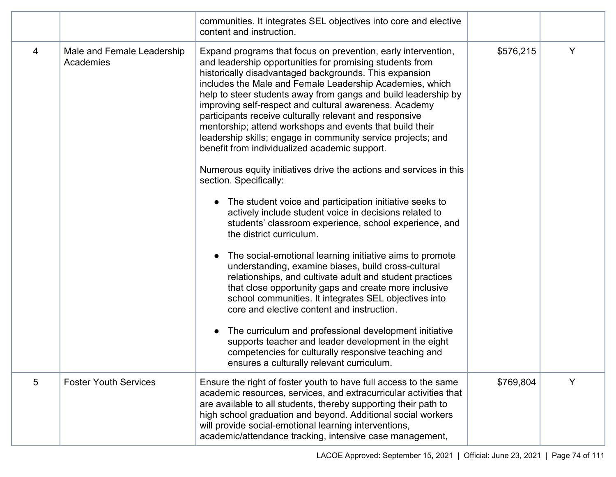|   |                                         | communities. It integrates SEL objectives into core and elective<br>content and instruction.                                                                                                                                                                                                                                                                                                                                                                                                                                                                                                                                                                                                                                                                                                                                                                                                                                                                                                                                                                                                                                                                                                                                                                                                                                                                                                                                                                        |           |   |
|---|-----------------------------------------|---------------------------------------------------------------------------------------------------------------------------------------------------------------------------------------------------------------------------------------------------------------------------------------------------------------------------------------------------------------------------------------------------------------------------------------------------------------------------------------------------------------------------------------------------------------------------------------------------------------------------------------------------------------------------------------------------------------------------------------------------------------------------------------------------------------------------------------------------------------------------------------------------------------------------------------------------------------------------------------------------------------------------------------------------------------------------------------------------------------------------------------------------------------------------------------------------------------------------------------------------------------------------------------------------------------------------------------------------------------------------------------------------------------------------------------------------------------------|-----------|---|
| 4 | Male and Female Leadership<br>Academies | Expand programs that focus on prevention, early intervention,<br>and leadership opportunities for promising students from<br>historically disadvantaged backgrounds. This expansion<br>includes the Male and Female Leadership Academies, which<br>help to steer students away from gangs and build leadership by<br>improving self-respect and cultural awareness. Academy<br>participants receive culturally relevant and responsive<br>mentorship; attend workshops and events that build their<br>leadership skills; engage in community service projects; and<br>benefit from individualized academic support.<br>Numerous equity initiatives drive the actions and services in this<br>section. Specifically:<br>The student voice and participation initiative seeks to<br>actively include student voice in decisions related to<br>students' classroom experience, school experience, and<br>the district curriculum.<br>The social-emotional learning initiative aims to promote<br>$\bullet$<br>understanding, examine biases, build cross-cultural<br>relationships, and cultivate adult and student practices<br>that close opportunity gaps and create more inclusive<br>school communities. It integrates SEL objectives into<br>core and elective content and instruction.<br>The curriculum and professional development initiative<br>supports teacher and leader development in the eight<br>competencies for culturally responsive teaching and | \$576,215 | Y |
|   |                                         | ensures a culturally relevant curriculum.                                                                                                                                                                                                                                                                                                                                                                                                                                                                                                                                                                                                                                                                                                                                                                                                                                                                                                                                                                                                                                                                                                                                                                                                                                                                                                                                                                                                                           |           |   |
| 5 | <b>Foster Youth Services</b>            | Ensure the right of foster youth to have full access to the same<br>academic resources, services, and extracurricular activities that<br>are available to all students, thereby supporting their path to<br>high school graduation and beyond. Additional social workers<br>will provide social-emotional learning interventions,<br>academic/attendance tracking, intensive case management,                                                                                                                                                                                                                                                                                                                                                                                                                                                                                                                                                                                                                                                                                                                                                                                                                                                                                                                                                                                                                                                                       | \$769,804 | Y |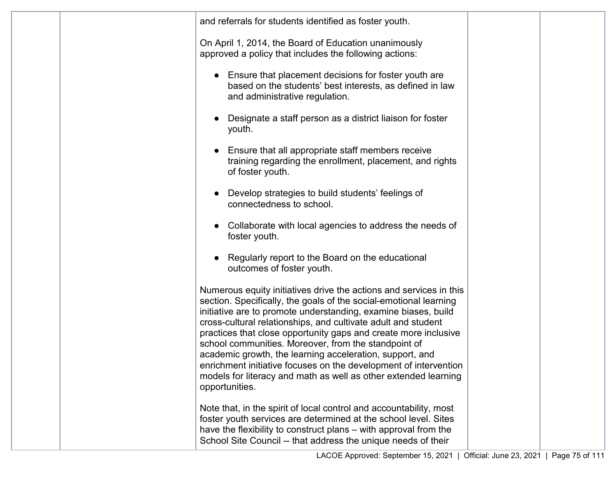| and referrals for students identified as foster youth.                                                                                                                                                                                                                                                                                                                                                                                                                                                                                                                                                                     |                         |                |
|----------------------------------------------------------------------------------------------------------------------------------------------------------------------------------------------------------------------------------------------------------------------------------------------------------------------------------------------------------------------------------------------------------------------------------------------------------------------------------------------------------------------------------------------------------------------------------------------------------------------------|-------------------------|----------------|
| On April 1, 2014, the Board of Education unanimously<br>approved a policy that includes the following actions:                                                                                                                                                                                                                                                                                                                                                                                                                                                                                                             |                         |                |
| Ensure that placement decisions for foster youth are<br>based on the students' best interests, as defined in law<br>and administrative regulation.                                                                                                                                                                                                                                                                                                                                                                                                                                                                         |                         |                |
| Designate a staff person as a district liaison for foster<br>youth.                                                                                                                                                                                                                                                                                                                                                                                                                                                                                                                                                        |                         |                |
| Ensure that all appropriate staff members receive<br>training regarding the enrollment, placement, and rights<br>of foster youth.                                                                                                                                                                                                                                                                                                                                                                                                                                                                                          |                         |                |
| Develop strategies to build students' feelings of<br>connectedness to school.                                                                                                                                                                                                                                                                                                                                                                                                                                                                                                                                              |                         |                |
| Collaborate with local agencies to address the needs of<br>foster youth.                                                                                                                                                                                                                                                                                                                                                                                                                                                                                                                                                   |                         |                |
| Regularly report to the Board on the educational<br>outcomes of foster youth.                                                                                                                                                                                                                                                                                                                                                                                                                                                                                                                                              |                         |                |
| Numerous equity initiatives drive the actions and services in this<br>section. Specifically, the goals of the social-emotional learning<br>initiative are to promote understanding, examine biases, build<br>cross-cultural relationships, and cultivate adult and student<br>practices that close opportunity gaps and create more inclusive<br>school communities. Moreover, from the standpoint of<br>academic growth, the learning acceleration, support, and<br>enrichment initiative focuses on the development of intervention<br>models for literacy and math as well as other extended learning<br>opportunities. |                         |                |
| Note that, in the spirit of local control and accountability, most<br>foster youth services are determined at the school level. Sites<br>have the flexibility to construct plans – with approval from the<br>School Site Council -- that address the unique needs of their                                                                                                                                                                                                                                                                                                                                                 |                         |                |
| LACOE Approved: September 15, 2021                                                                                                                                                                                                                                                                                                                                                                                                                                                                                                                                                                                         | Official: June 23, 2021 | Page 75 of 111 |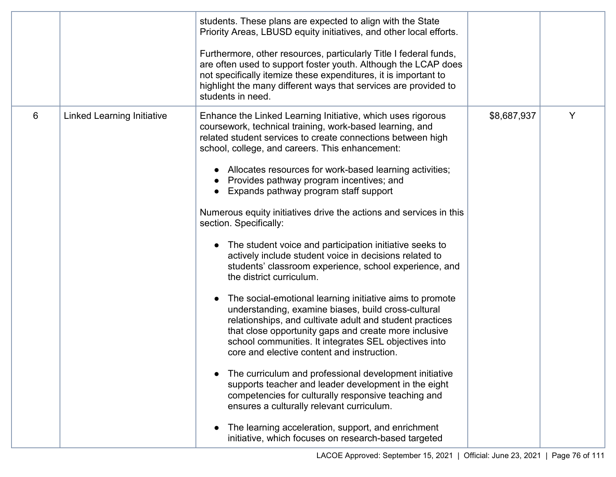|   |                                   | students. These plans are expected to align with the State<br>Priority Areas, LBUSD equity initiatives, and other local efforts.<br>Furthermore, other resources, particularly Title I federal funds,<br>are often used to support foster youth. Although the LCAP does<br>not specifically itemize these expenditures, it is important to<br>highlight the many different ways that services are provided to<br>students in need.                                                                                                                                                                                                                                                                                                                                                                                                                                                                                                                                                                                                                                                                                                                                                                                                                                                                                                                                                      |             |   |
|---|-----------------------------------|-----------------------------------------------------------------------------------------------------------------------------------------------------------------------------------------------------------------------------------------------------------------------------------------------------------------------------------------------------------------------------------------------------------------------------------------------------------------------------------------------------------------------------------------------------------------------------------------------------------------------------------------------------------------------------------------------------------------------------------------------------------------------------------------------------------------------------------------------------------------------------------------------------------------------------------------------------------------------------------------------------------------------------------------------------------------------------------------------------------------------------------------------------------------------------------------------------------------------------------------------------------------------------------------------------------------------------------------------------------------------------------------|-------------|---|
| 6 | <b>Linked Learning Initiative</b> | Enhance the Linked Learning Initiative, which uses rigorous<br>coursework, technical training, work-based learning, and<br>related student services to create connections between high<br>school, college, and careers. This enhancement:<br>Allocates resources for work-based learning activities;<br>Provides pathway program incentives; and<br>Expands pathway program staff support<br>Numerous equity initiatives drive the actions and services in this<br>section. Specifically:<br>The student voice and participation initiative seeks to<br>actively include student voice in decisions related to<br>students' classroom experience, school experience, and<br>the district curriculum.<br>The social-emotional learning initiative aims to promote<br>understanding, examine biases, build cross-cultural<br>relationships, and cultivate adult and student practices<br>that close opportunity gaps and create more inclusive<br>school communities. It integrates SEL objectives into<br>core and elective content and instruction.<br>The curriculum and professional development initiative<br>supports teacher and leader development in the eight<br>competencies for culturally responsive teaching and<br>ensures a culturally relevant curriculum.<br>The learning acceleration, support, and enrichment<br>initiative, which focuses on research-based targeted | \$8,687,937 | Y |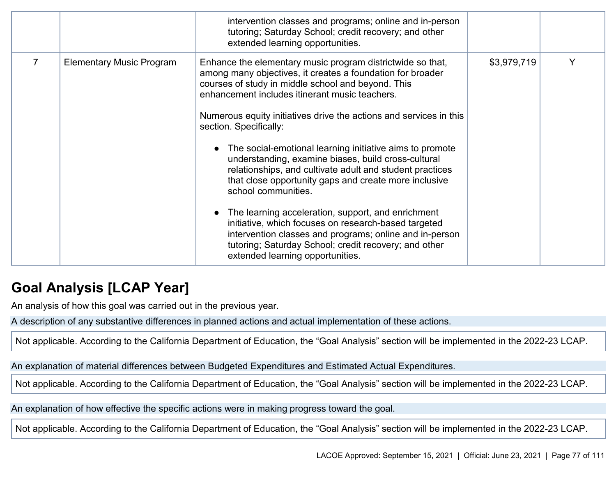|                                 | intervention classes and programs; online and in-person<br>tutoring; Saturday School; credit recovery; and other<br>extended learning opportunities.                                                                                                                                                                                                                                                                                                                                                                                                                                                                                                                                                                                                                                                                                                                  |             |   |
|---------------------------------|-----------------------------------------------------------------------------------------------------------------------------------------------------------------------------------------------------------------------------------------------------------------------------------------------------------------------------------------------------------------------------------------------------------------------------------------------------------------------------------------------------------------------------------------------------------------------------------------------------------------------------------------------------------------------------------------------------------------------------------------------------------------------------------------------------------------------------------------------------------------------|-------------|---|
| <b>Elementary Music Program</b> | Enhance the elementary music program districtwide so that,<br>among many objectives, it creates a foundation for broader<br>courses of study in middle school and beyond. This<br>enhancement includes itinerant music teachers.<br>Numerous equity initiatives drive the actions and services in this<br>section. Specifically:<br>The social-emotional learning initiative aims to promote<br>understanding, examine biases, build cross-cultural<br>relationships, and cultivate adult and student practices<br>that close opportunity gaps and create more inclusive<br>school communities.<br>The learning acceleration, support, and enrichment<br>initiative, which focuses on research-based targeted<br>intervention classes and programs; online and in-person<br>tutoring; Saturday School; credit recovery; and other<br>extended learning opportunities. | \$3,979,719 | Y |

## **Goal Analysis [LCAP Year]**

An analysis of how this goal was carried out in the previous year.

A description of any substantive differences in planned actions and actual implementation of these actions.

Not applicable. According to the California Department of Education, the "Goal Analysis" section will be implemented in the 2022-23 LCAP.

An explanation of material differences between Budgeted Expenditures and Estimated Actual Expenditures.

Not applicable. According to the California Department of Education, the "Goal Analysis" section will be implemented in the 2022-23 LCAP.

An explanation of how effective the specific actions were in making progress toward the goal.

Not applicable. According to the California Department of Education, the "Goal Analysis" section will be implemented in the 2022-23 LCAP.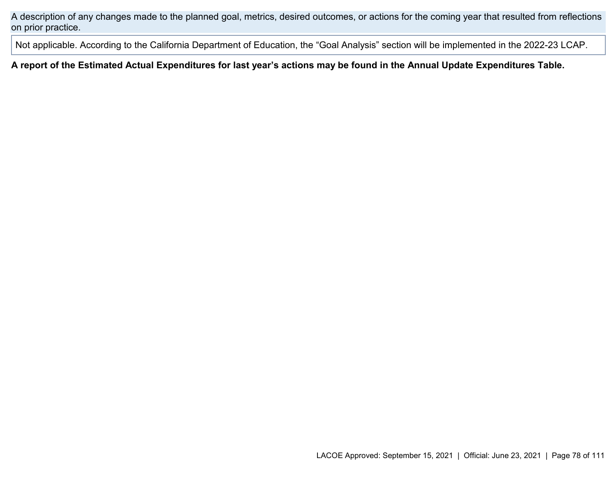A description of any changes made to the planned goal, metrics, desired outcomes, or actions for the coming year that resulted from reflections on prior practice.

Not applicable. According to the California Department of Education, the "Goal Analysis" section will be implemented in the 2022-23 LCAP.

**A report of the Estimated Actual Expenditures for last year's actions may be found in the Annual Update Expenditures Table.**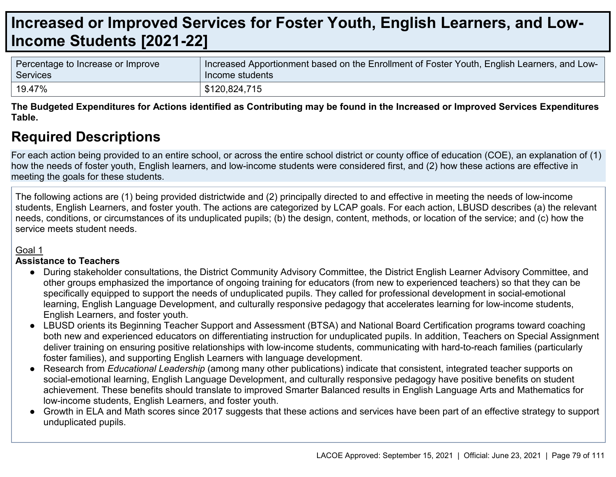# **Increased or Improved Services for Foster Youth, English Learners, and Low-Income Students [2021-22]**

| Percentage to Increase or Improve | Increased Apportionment based on the Enrollment of Foster Youth, English Learners, and Low- |
|-----------------------------------|---------------------------------------------------------------------------------------------|
| Services                          | Income students                                                                             |
| 19.47%                            | \$120,824,715                                                                               |

**The Budgeted Expenditures for Actions identified as Contributing may be found in the Increased or Improved Services Expenditures Table.**

## **Required Descriptions**

For each action being provided to an entire school, or across the entire school district or county office of education (COE), an explanation of (1) how the needs of foster youth, English learners, and low-income students were considered first, and (2) how these actions are effective in meeting the goals for these students.

The following actions are (1) being provided districtwide and (2) principally directed to and effective in meeting the needs of low-income students, English Learners, and foster youth. The actions are categorized by LCAP goals. For each action, LBUSD describes (a) the relevant needs, conditions, or circumstances of its unduplicated pupils; (b) the design, content, methods, or location of the service; and (c) how the service meets student needs.

#### Goal 1

#### **Assistance to Teachers**

- During stakeholder consultations, the District Community Advisory Committee, the District English Learner Advisory Committee, and other groups emphasized the importance of ongoing training for educators (from new to experienced teachers) so that they can be specifically equipped to support the needs of unduplicated pupils. They called for professional development in social-emotional learning, English Language Development, and culturally responsive pedagogy that accelerates learning for low-income students, English Learners, and foster youth.
- LBUSD orients its Beginning Teacher Support and Assessment (BTSA) and National Board Certification programs toward coaching both new and experienced educators on differentiating instruction for unduplicated pupils. In addition, Teachers on Special Assignment deliver training on ensuring positive relationships with low-income students, communicating with hard-to-reach families (particularly foster families), and supporting English Learners with language development.
- Research from *Educational Leadership* (among many other publications) indicate that consistent, integrated teacher supports on social-emotional learning, English Language Development, and culturally responsive pedagogy have positive benefits on student achievement. These benefits should translate to improved Smarter Balanced results in English Language Arts and Mathematics for low-income students, English Learners, and foster youth.
- Growth in ELA and Math scores since 2017 suggests that these actions and services have been part of an effective strategy to support unduplicated pupils.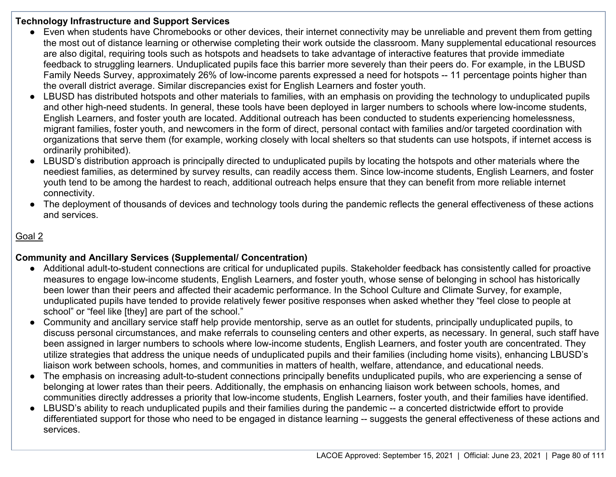#### **Technology Infrastructure and Support Services**

- Even when students have Chromebooks or other devices, their internet connectivity may be unreliable and prevent them from getting the most out of distance learning or otherwise completing their work outside the classroom. Many supplemental educational resources are also digital, requiring tools such as hotspots and headsets to take advantage of interactive features that provide immediate feedback to struggling learners. Unduplicated pupils face this barrier more severely than their peers do. For example, in the LBUSD Family Needs Survey, approximately 26% of low-income parents expressed a need for hotspots -- 11 percentage points higher than the overall district average. Similar discrepancies exist for English Learners and foster youth.
- LBUSD has distributed hotspots and other materials to families, with an emphasis on providing the technology to unduplicated pupils and other high-need students. In general, these tools have been deployed in larger numbers to schools where low-income students, English Learners, and foster youth are located. Additional outreach has been conducted to students experiencing homelessness, migrant families, foster youth, and newcomers in the form of direct, personal contact with families and/or targeted coordination with organizations that serve them (for example, working closely with local shelters so that students can use hotspots, if internet access is ordinarily prohibited).
- LBUSD's distribution approach is principally directed to unduplicated pupils by locating the hotspots and other materials where the neediest families, as determined by survey results, can readily access them. Since low-income students, English Learners, and foster youth tend to be among the hardest to reach, additional outreach helps ensure that they can benefit from more reliable internet connectivity.
- The deployment of thousands of devices and technology tools during the pandemic reflects the general effectiveness of these actions and services.

### Goal 2

## **Community and Ancillary Services (Supplemental/ Concentration)**

- Additional adult-to-student connections are critical for unduplicated pupils. Stakeholder feedback has consistently called for proactive measures to engage low-income students, English Learners, and foster youth, whose sense of belonging in school has historically been lower than their peers and affected their academic performance. In the School Culture and Climate Survey, for example, unduplicated pupils have tended to provide relatively fewer positive responses when asked whether they "feel close to people at school" or "feel like [they] are part of the school."
- Community and ancillary service staff help provide mentorship, serve as an outlet for students, principally unduplicated pupils, to discuss personal circumstances, and make referrals to counseling centers and other experts, as necessary. In general, such staff have been assigned in larger numbers to schools where low-income students, English Learners, and foster youth are concentrated. They utilize strategies that address the unique needs of unduplicated pupils and their families (including home visits), enhancing LBUSD's liaison work between schools, homes, and communities in matters of health, welfare, attendance, and educational needs.
- The emphasis on increasing adult-to-student connections principally benefits unduplicated pupils, who are experiencing a sense of belonging at lower rates than their peers. Additionally, the emphasis on enhancing liaison work between schools, homes, and communities directly addresses a priority that low-income students, English Learners, foster youth, and their families have identified.
- LBUSD's ability to reach unduplicated pupils and their families during the pandemic -- a concerted districtwide effort to provide differentiated support for those who need to be engaged in distance learning -- suggests the general effectiveness of these actions and services.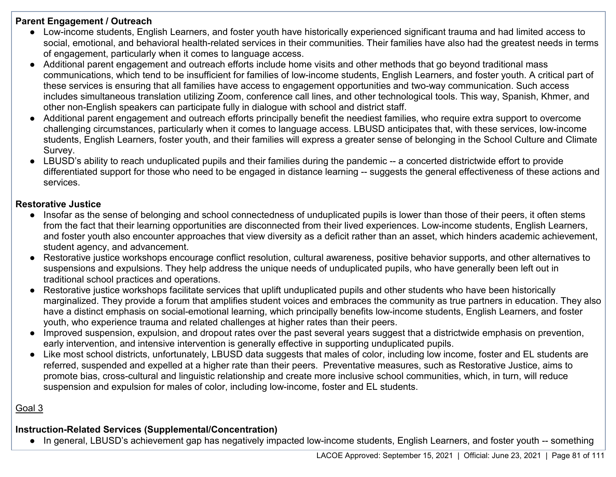#### **Parent Engagement / Outreach**

- Low-income students, English Learners, and foster youth have historically experienced significant trauma and had limited access to social, emotional, and behavioral health-related services in their communities. Their families have also had the greatest needs in terms of engagement, particularly when it comes to language access.
- Additional parent engagement and outreach efforts include home visits and other methods that go beyond traditional mass communications, which tend to be insufficient for families of low-income students, English Learners, and foster youth. A critical part of these services is ensuring that all families have access to engagement opportunities and two-way communication. Such access includes simultaneous translation utilizing Zoom, conference call lines, and other technological tools. This way, Spanish, Khmer, and other non-English speakers can participate fully in dialogue with school and district staff.
- Additional parent engagement and outreach efforts principally benefit the neediest families, who require extra support to overcome challenging circumstances, particularly when it comes to language access. LBUSD anticipates that, with these services, low-income students, English Learners, foster youth, and their families will express a greater sense of belonging in the School Culture and Climate Survey.
- LBUSD's ability to reach unduplicated pupils and their families during the pandemic -- a concerted districtwide effort to provide differentiated support for those who need to be engaged in distance learning -- suggests the general effectiveness of these actions and services.

## **Restorative Justice**

- Insofar as the sense of belonging and school connectedness of unduplicated pupils is lower than those of their peers, it often stems from the fact that their learning opportunities are disconnected from their lived experiences. Low-income students, English Learners, and foster youth also encounter approaches that view diversity as a deficit rather than an asset, which hinders academic achievement, student agency, and advancement.
- Restorative justice workshops encourage conflict resolution, cultural awareness, positive behavior supports, and other alternatives to suspensions and expulsions. They help address the unique needs of unduplicated pupils, who have generally been left out in traditional school practices and operations.
- Restorative justice workshops facilitate services that uplift unduplicated pupils and other students who have been historically marginalized. They provide a forum that amplifies student voices and embraces the community as true partners in education. They also have a distinct emphasis on social-emotional learning, which principally benefits low-income students, English Learners, and foster youth, who experience trauma and related challenges at higher rates than their peers.
- Improved suspension, expulsion, and dropout rates over the past several years suggest that a districtwide emphasis on prevention, early intervention, and intensive intervention is generally effective in supporting unduplicated pupils.
- Like most school districts, unfortunately, LBUSD data suggests that males of color, including low income, foster and EL students are referred, suspended and expelled at a higher rate than their peers. Preventative measures, such as Restorative Justice, aims to promote bias, cross-cultural and linguistic relationship and create more inclusive school communities, which, in turn, will reduce suspension and expulsion for males of color, including low-income, foster and EL students.

## Goal 3

## **Instruction-Related Services (Supplemental/Concentration)**

● In general, LBUSD's achievement gap has negatively impacted low-income students, English Learners, and foster youth -- something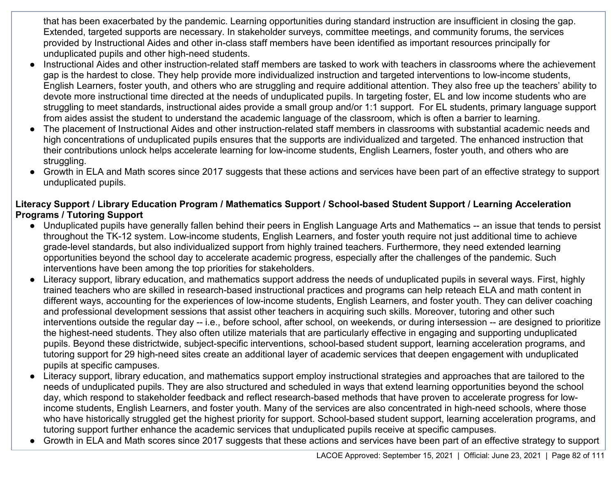that has been exacerbated by the pandemic. Learning opportunities during standard instruction are insufficient in closing the gap. Extended, targeted supports are necessary. In stakeholder surveys, committee meetings, and community forums, the services provided by Instructional Aides and other in-class staff members have been identified as important resources principally for unduplicated pupils and other high-need students.

- Instructional Aides and other instruction-related staff members are tasked to work with teachers in classrooms where the achievement gap is the hardest to close. They help provide more individualized instruction and targeted interventions to low-income students, English Learners, foster youth, and others who are struggling and require additional attention. They also free up the teachers' ability to devote more instructional time directed at the needs of unduplicated pupils. In targeting foster, EL and low income students who are struggling to meet standards, instructional aides provide a small group and/or 1:1 support. For EL students, primary language support from aides assist the student to understand the academic language of the classroom, which is often a barrier to learning.
- The placement of Instructional Aides and other instruction-related staff members in classrooms with substantial academic needs and high concentrations of unduplicated pupils ensures that the supports are individualized and targeted. The enhanced instruction that their contributions unlock helps accelerate learning for low-income students, English Learners, foster youth, and others who are struggling.
- Growth in ELA and Math scores since 2017 suggests that these actions and services have been part of an effective strategy to support unduplicated pupils.

#### **Literacy Support / Library Education Program / Mathematics Support / School-based Student Support / Learning Acceleration Programs / Tutoring Support**

- Unduplicated pupils have generally fallen behind their peers in English Language Arts and Mathematics -- an issue that tends to persist throughout the TK-12 system. Low-income students, English Learners, and foster youth require not just additional time to achieve grade-level standards, but also individualized support from highly trained teachers. Furthermore, they need extended learning opportunities beyond the school day to accelerate academic progress, especially after the challenges of the pandemic. Such interventions have been among the top priorities for stakeholders.
- Literacy support, library education, and mathematics support address the needs of unduplicated pupils in several ways. First, highly trained teachers who are skilled in research-based instructional practices and programs can help reteach ELA and math content in different ways, accounting for the experiences of low-income students, English Learners, and foster youth. They can deliver coaching and professional development sessions that assist other teachers in acquiring such skills. Moreover, tutoring and other such interventions outside the regular day -- i.e., before school, after school, on weekends, or during intersession -- are designed to prioritize the highest-need students. They also often utilize materials that are particularly effective in engaging and supporting unduplicated pupils. Beyond these districtwide, subject-specific interventions, school-based student support, learning acceleration programs, and tutoring support for 29 high-need sites create an additional layer of academic services that deepen engagement with unduplicated pupils at specific campuses.
- Literacy support, library education, and mathematics support employ instructional strategies and approaches that are tailored to the needs of unduplicated pupils. They are also structured and scheduled in ways that extend learning opportunities beyond the school day, which respond to stakeholder feedback and reflect research-based methods that have proven to accelerate progress for lowincome students, English Learners, and foster youth. Many of the services are also concentrated in high-need schools, where those who have historically struggled get the highest priority for support. School-based student support, learning acceleration programs, and tutoring support further enhance the academic services that unduplicated pupils receive at specific campuses.
- Growth in ELA and Math scores since 2017 suggests that these actions and services have been part of an effective strategy to support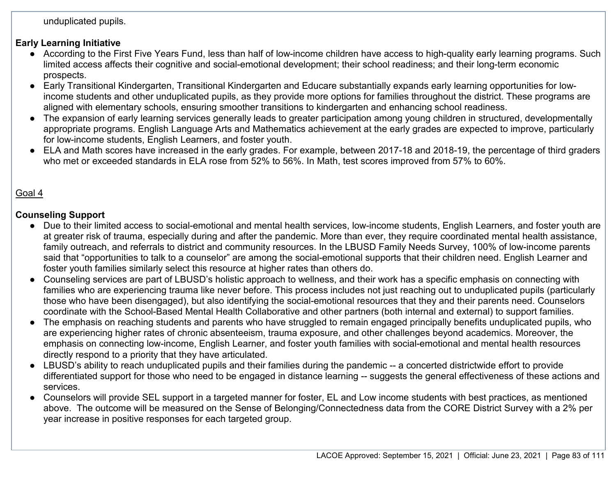unduplicated pupils.

## **Early Learning Initiative**

- According to the First Five Years Fund, less than half of low-income children have access to high-quality early learning programs. Such limited access affects their cognitive and social-emotional development; their school readiness; and their long-term economic prospects.
- Early Transitional Kindergarten, Transitional Kindergarten and Educare substantially expands early learning opportunities for lowincome students and other unduplicated pupils, as they provide more options for families throughout the district. These programs are aligned with elementary schools, ensuring smoother transitions to kindergarten and enhancing school readiness.
- The expansion of early learning services generally leads to greater participation among young children in structured, developmentally appropriate programs. English Language Arts and Mathematics achievement at the early grades are expected to improve, particularly for low-income students, English Learners, and foster youth.
- ELA and Math scores have increased in the early grades. For example, between 2017-18 and 2018-19, the percentage of third graders who met or exceeded standards in ELA rose from 52% to 56%. In Math, test scores improved from 57% to 60%.

## Goal 4

### **Counseling Support**

- Due to their limited access to social-emotional and mental health services, low-income students, English Learners, and foster youth are at greater risk of trauma, especially during and after the pandemic. More than ever, they require coordinated mental health assistance, family outreach, and referrals to district and community resources. In the LBUSD Family Needs Survey, 100% of low-income parents said that "opportunities to talk to a counselor" are among the social-emotional supports that their children need. English Learner and foster youth families similarly select this resource at higher rates than others do.
- Counseling services are part of LBUSD's holistic approach to wellness, and their work has a specific emphasis on connecting with families who are experiencing trauma like never before. This process includes not just reaching out to unduplicated pupils (particularly those who have been disengaged), but also identifying the social-emotional resources that they and their parents need. Counselors coordinate with the School-Based Mental Health Collaborative and other partners (both internal and external) to support families.
- The emphasis on reaching students and parents who have struggled to remain engaged principally benefits unduplicated pupils, who are experiencing higher rates of chronic absenteeism, trauma exposure, and other challenges beyond academics. Moreover, the emphasis on connecting low-income, English Learner, and foster youth families with social-emotional and mental health resources directly respond to a priority that they have articulated.
- LBUSD's ability to reach unduplicated pupils and their families during the pandemic -- a concerted districtwide effort to provide differentiated support for those who need to be engaged in distance learning -- suggests the general effectiveness of these actions and services.
- Counselors will provide SEL support in a targeted manner for foster, EL and Low income students with best practices, as mentioned above. The outcome will be measured on the Sense of Belonging/Connectedness data from the CORE District Survey with a 2% per year increase in positive responses for each targeted group.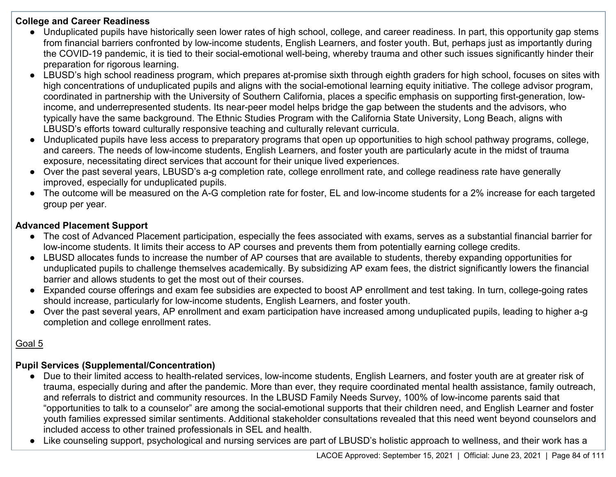#### **College and Career Readiness**

- Unduplicated pupils have historically seen lower rates of high school, college, and career readiness. In part, this opportunity gap stems from financial barriers confronted by low-income students, English Learners, and foster youth. But, perhaps just as importantly during the COVID-19 pandemic, it is tied to their social-emotional well-being, whereby trauma and other such issues significantly hinder their preparation for rigorous learning.
- LBUSD's high school readiness program, which prepares at-promise sixth through eighth graders for high school, focuses on sites with high concentrations of unduplicated pupils and aligns with the social-emotional learning equity initiative. The college advisor program, coordinated in partnership with the University of Southern California, places a specific emphasis on supporting first-generation, lowincome, and underrepresented students. Its near-peer model helps bridge the gap between the students and the advisors, who typically have the same background. The Ethnic Studies Program with the California State University, Long Beach, aligns with LBUSD's efforts toward culturally responsive teaching and culturally relevant curricula.
- Unduplicated pupils have less access to preparatory programs that open up opportunities to high school pathway programs, college, and careers. The needs of low-income students, English Learners, and foster youth are particularly acute in the midst of trauma exposure, necessitating direct services that account for their unique lived experiences.
- Over the past several years, LBUSD's a-g completion rate, college enrollment rate, and college readiness rate have generally improved, especially for unduplicated pupils.
- The outcome will be measured on the A-G completion rate for foster, EL and low-income students for a 2% increase for each targeted group per year.

## **Advanced Placement Support**

- The cost of Advanced Placement participation, especially the fees associated with exams, serves as a substantial financial barrier for low-income students. It limits their access to AP courses and prevents them from potentially earning college credits.
- LBUSD allocates funds to increase the number of AP courses that are available to students, thereby expanding opportunities for unduplicated pupils to challenge themselves academically. By subsidizing AP exam fees, the district significantly lowers the financial barrier and allows students to get the most out of their courses.
- Expanded course offerings and exam fee subsidies are expected to boost AP enrollment and test taking. In turn, college-going rates should increase, particularly for low-income students, English Learners, and foster youth.
- Over the past several years, AP enrollment and exam participation have increased among unduplicated pupils, leading to higher a-g completion and college enrollment rates.

## Goal 5

## **Pupil Services (Supplemental/Concentration)**

- Due to their limited access to health-related services, low-income students, English Learners, and foster youth are at greater risk of trauma, especially during and after the pandemic. More than ever, they require coordinated mental health assistance, family outreach, and referrals to district and community resources. In the LBUSD Family Needs Survey, 100% of low-income parents said that "opportunities to talk to a counselor" are among the social-emotional supports that their children need, and English Learner and foster youth families expressed similar sentiments. Additional stakeholder consultations revealed that this need went beyond counselors and included access to other trained professionals in SEL and health.
- Like counseling support, psychological and nursing services are part of LBUSD's holistic approach to wellness, and their work has a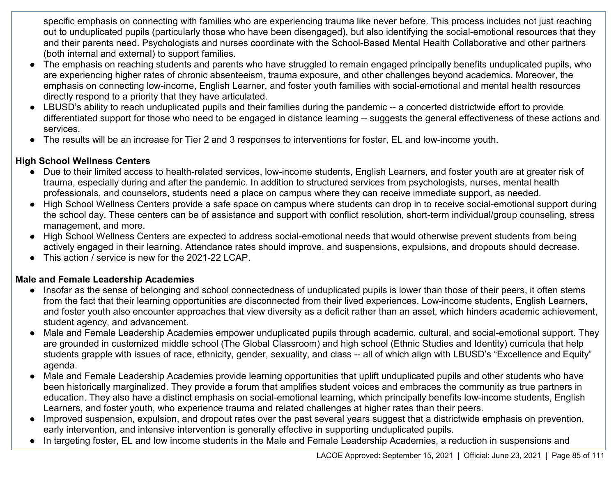specific emphasis on connecting with families who are experiencing trauma like never before. This process includes not just reaching out to unduplicated pupils (particularly those who have been disengaged), but also identifying the social-emotional resources that they and their parents need. Psychologists and nurses coordinate with the School-Based Mental Health Collaborative and other partners (both internal and external) to support families.

- The emphasis on reaching students and parents who have struggled to remain engaged principally benefits unduplicated pupils, who are experiencing higher rates of chronic absenteeism, trauma exposure, and other challenges beyond academics. Moreover, the emphasis on connecting low-income, English Learner, and foster youth families with social-emotional and mental health resources directly respond to a priority that they have articulated.
- LBUSD's ability to reach unduplicated pupils and their families during the pandemic -- a concerted districtwide effort to provide differentiated support for those who need to be engaged in distance learning -- suggests the general effectiveness of these actions and services.
- The results will be an increase for Tier 2 and 3 responses to interventions for foster, EL and low-income youth.

### **High School Wellness Centers**

- Due to their limited access to health-related services, low-income students, English Learners, and foster youth are at greater risk of trauma, especially during and after the pandemic. In addition to structured services from psychologists, nurses, mental health professionals, and counselors, students need a place on campus where they can receive immediate support, as needed.
- High School Wellness Centers provide a safe space on campus where students can drop in to receive social-emotional support during the school day. These centers can be of assistance and support with conflict resolution, short-term individual/group counseling, stress management, and more.
- High School Wellness Centers are expected to address social-emotional needs that would otherwise prevent students from being actively engaged in their learning. Attendance rates should improve, and suspensions, expulsions, and dropouts should decrease.
- This action / service is new for the 2021-22 LCAP.

#### **Male and Female Leadership Academies**

- Insofar as the sense of belonging and school connectedness of unduplicated pupils is lower than those of their peers, it often stems from the fact that their learning opportunities are disconnected from their lived experiences. Low-income students, English Learners, and foster youth also encounter approaches that view diversity as a deficit rather than an asset, which hinders academic achievement, student agency, and advancement.
- Male and Female Leadership Academies empower unduplicated pupils through academic, cultural, and social-emotional support. They are grounded in customized middle school (The Global Classroom) and high school (Ethnic Studies and Identity) curricula that help students grapple with issues of race, ethnicity, gender, sexuality, and class -- all of which align with LBUSD's "Excellence and Equity" agenda.
- Male and Female Leadership Academies provide learning opportunities that uplift unduplicated pupils and other students who have been historically marginalized. They provide a forum that amplifies student voices and embraces the community as true partners in education. They also have a distinct emphasis on social-emotional learning, which principally benefits low-income students, English Learners, and foster youth, who experience trauma and related challenges at higher rates than their peers.
- Improved suspension, expulsion, and dropout rates over the past several years suggest that a districtwide emphasis on prevention, early intervention, and intensive intervention is generally effective in supporting unduplicated pupils.
- In targeting foster, EL and low income students in the Male and Female Leadership Academies, a reduction in suspensions and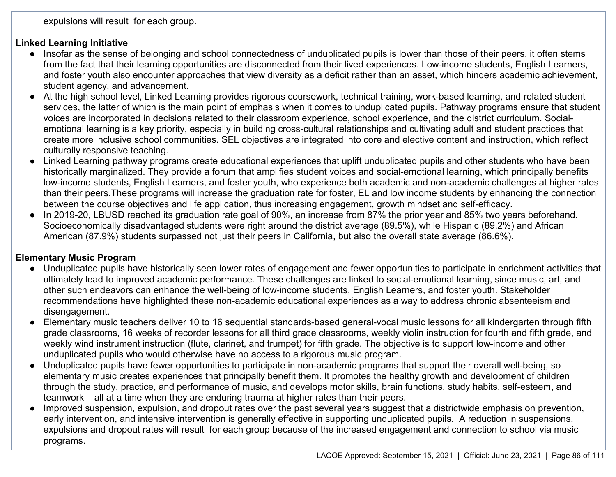expulsions will result for each group.

#### **Linked Learning Initiative**

- Insofar as the sense of belonging and school connectedness of unduplicated pupils is lower than those of their peers, it often stems from the fact that their learning opportunities are disconnected from their lived experiences. Low-income students, English Learners, and foster youth also encounter approaches that view diversity as a deficit rather than an asset, which hinders academic achievement, student agency, and advancement.
- At the high school level, Linked Learning provides rigorous coursework, technical training, work-based learning, and related student services, the latter of which is the main point of emphasis when it comes to unduplicated pupils. Pathway programs ensure that student voices are incorporated in decisions related to their classroom experience, school experience, and the district curriculum. Socialemotional learning is a key priority, especially in building cross-cultural relationships and cultivating adult and student practices that create more inclusive school communities. SEL objectives are integrated into core and elective content and instruction, which reflect culturally responsive teaching.
- Linked Learning pathway programs create educational experiences that uplift unduplicated pupils and other students who have been historically marginalized. They provide a forum that amplifies student voices and social-emotional learning, which principally benefits low-income students, English Learners, and foster youth, who experience both academic and non-academic challenges at higher rates than their peers.These programs will increase the graduation rate for foster, EL and low income students by enhancing the connection between the course objectives and life application, thus increasing engagement, growth mindset and self-efficacy.
- In 2019-20, LBUSD reached its graduation rate goal of 90%, an increase from 87% the prior year and 85% two years beforehand. Socioeconomically disadvantaged students were right around the district average (89.5%), while Hispanic (89.2%) and African American (87.9%) students surpassed not just their peers in California, but also the overall state average (86.6%).

## **Elementary Music Program**

- Unduplicated pupils have historically seen lower rates of engagement and fewer opportunities to participate in enrichment activities that ultimately lead to improved academic performance. These challenges are linked to social-emotional learning, since music, art, and other such endeavors can enhance the well-being of low-income students, English Learners, and foster youth. Stakeholder recommendations have highlighted these non-academic educational experiences as a way to address chronic absenteeism and disengagement.
- Elementary music teachers deliver 10 to 16 sequential standards-based general-vocal music lessons for all kindergarten through fifth grade classrooms, 16 weeks of recorder lessons for all third grade classrooms, weekly violin instruction for fourth and fifth grade, and weekly wind instrument instruction (flute, clarinet, and trumpet) for fifth grade. The objective is to support low-income and other unduplicated pupils who would otherwise have no access to a rigorous music program.
- Unduplicated pupils have fewer opportunities to participate in non-academic programs that support their overall well-being, so elementary music creates experiences that principally benefit them. It promotes the healthy growth and development of children through the study, practice, and performance of music, and develops motor skills, brain functions, study habits, self-esteem, and teamwork – all at a time when they are enduring trauma at higher rates than their peers.
- Improved suspension, expulsion, and dropout rates over the past several years suggest that a districtwide emphasis on prevention, early intervention, and intensive intervention is generally effective in supporting unduplicated pupils. A reduction in suspensions, expulsions and dropout rates will result for each group because of the increased engagement and connection to school via music programs.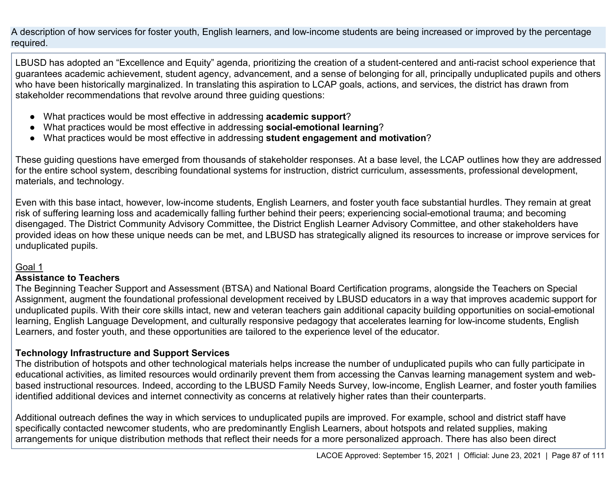A description of how services for foster youth, English learners, and low-income students are being increased or improved by the percentage required.

LBUSD has adopted an "Excellence and Equity" agenda, prioritizing the creation of a student-centered and anti-racist school experience that guarantees academic achievement, student agency, advancement, and a sense of belonging for all, principally unduplicated pupils and others who have been historically marginalized. In translating this aspiration to LCAP goals, actions, and services, the district has drawn from stakeholder recommendations that revolve around three guiding questions:

- What practices would be most effective in addressing **academic support**?
- What practices would be most effective in addressing **social-emotional learning**?
- What practices would be most effective in addressing **student engagement and motivation**?

These guiding questions have emerged from thousands of stakeholder responses. At a base level, the LCAP outlines how they are addressed for the entire school system, describing foundational systems for instruction, district curriculum, assessments, professional development, materials, and technology.

Even with this base intact, however, low-income students, English Learners, and foster youth face substantial hurdles. They remain at great risk of suffering learning loss and academically falling further behind their peers; experiencing social-emotional trauma; and becoming disengaged. The District Community Advisory Committee, the District English Learner Advisory Committee, and other stakeholders have provided ideas on how these unique needs can be met, and LBUSD has strategically aligned its resources to increase or improve services for unduplicated pupils.

## Goal 1

#### **Assistance to Teachers**

The Beginning Teacher Support and Assessment (BTSA) and National Board Certification programs, alongside the Teachers on Special Assignment, augment the foundational professional development received by LBUSD educators in a way that improves academic support for unduplicated pupils. With their core skills intact, new and veteran teachers gain additional capacity building opportunities on social-emotional learning, English Language Development, and culturally responsive pedagogy that accelerates learning for low-income students, English Learners, and foster youth, and these opportunities are tailored to the experience level of the educator.

## **Technology Infrastructure and Support Services**

The distribution of hotspots and other technological materials helps increase the number of unduplicated pupils who can fully participate in educational activities, as limited resources would ordinarily prevent them from accessing the Canvas learning management system and webbased instructional resources. Indeed, according to the LBUSD Family Needs Survey, low-income, English Learner, and foster youth families identified additional devices and internet connectivity as concerns at relatively higher rates than their counterparts.

Additional outreach defines the way in which services to unduplicated pupils are improved. For example, school and district staff have specifically contacted newcomer students, who are predominantly English Learners, about hotspots and related supplies, making arrangements for unique distribution methods that reflect their needs for a more personalized approach. There has also been direct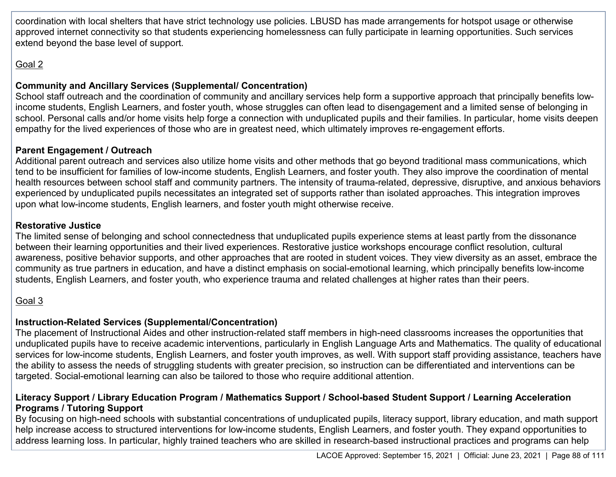coordination with local shelters that have strict technology use policies. LBUSD has made arrangements for hotspot usage or otherwise approved internet connectivity so that students experiencing homelessness can fully participate in learning opportunities. Such services extend beyond the base level of support.

## Goal 2

#### **Community and Ancillary Services (Supplemental/ Concentration)**

School staff outreach and the coordination of community and ancillary services help form a supportive approach that principally benefits lowincome students, English Learners, and foster youth, whose struggles can often lead to disengagement and a limited sense of belonging in school. Personal calls and/or home visits help forge a connection with unduplicated pupils and their families. In particular, home visits deepen empathy for the lived experiences of those who are in greatest need, which ultimately improves re-engagement efforts.

#### **Parent Engagement / Outreach**

Additional parent outreach and services also utilize home visits and other methods that go beyond traditional mass communications, which tend to be insufficient for families of low-income students, English Learners, and foster youth. They also improve the coordination of mental health resources between school staff and community partners. The intensity of trauma-related, depressive, disruptive, and anxious behaviors experienced by unduplicated pupils necessitates an integrated set of supports rather than isolated approaches. This integration improves upon what low-income students, English learners, and foster youth might otherwise receive.

#### **Restorative Justice**

The limited sense of belonging and school connectedness that unduplicated pupils experience stems at least partly from the dissonance between their learning opportunities and their lived experiences. Restorative justice workshops encourage conflict resolution, cultural awareness, positive behavior supports, and other approaches that are rooted in student voices. They view diversity as an asset, embrace the community as true partners in education, and have a distinct emphasis on social-emotional learning, which principally benefits low-income students, English Learners, and foster youth, who experience trauma and related challenges at higher rates than their peers.

## Goal 3

## **Instruction-Related Services (Supplemental/Concentration)**

The placement of Instructional Aides and other instruction-related staff members in high-need classrooms increases the opportunities that unduplicated pupils have to receive academic interventions, particularly in English Language Arts and Mathematics. The quality of educational services for low-income students, English Learners, and foster youth improves, as well. With support staff providing assistance, teachers have the ability to assess the needs of struggling students with greater precision, so instruction can be differentiated and interventions can be targeted. Social-emotional learning can also be tailored to those who require additional attention.

#### **Literacy Support / Library Education Program / Mathematics Support / School-based Student Support / Learning Acceleration Programs / Tutoring Support**

By focusing on high-need schools with substantial concentrations of unduplicated pupils, literacy support, library education, and math support help increase access to structured interventions for low-income students, English Learners, and foster youth. They expand opportunities to address learning loss. In particular, highly trained teachers who are skilled in research-based instructional practices and programs can help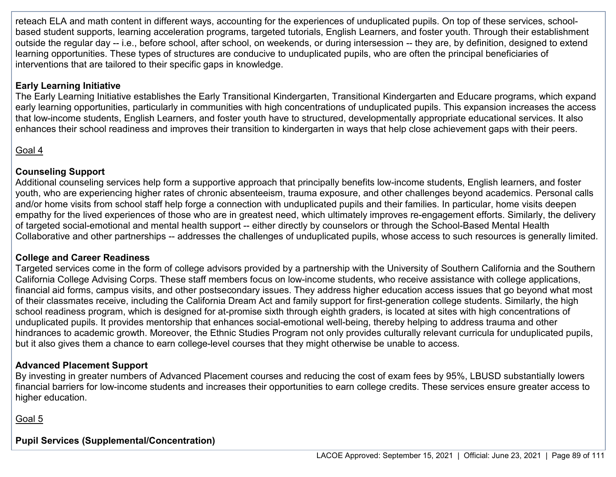reteach ELA and math content in different ways, accounting for the experiences of unduplicated pupils. On top of these services, schoolbased student supports, learning acceleration programs, targeted tutorials, English Learners, and foster youth. Through their establishment outside the regular day -- i.e., before school, after school, on weekends, or during intersession -- they are, by definition, designed to extend learning opportunities. These types of structures are conducive to unduplicated pupils, who are often the principal beneficiaries of interventions that are tailored to their specific gaps in knowledge.

### **Early Learning Initiative**

The Early Learning Initiative establishes the Early Transitional Kindergarten, Transitional Kindergarten and Educare programs, which expand early learning opportunities, particularly in communities with high concentrations of unduplicated pupils. This expansion increases the access that low-income students, English Learners, and foster youth have to structured, developmentally appropriate educational services. It also enhances their school readiness and improves their transition to kindergarten in ways that help close achievement gaps with their peers.

## Goal 4

### **Counseling Support**

Additional counseling services help form a supportive approach that principally benefits low-income students, English learners, and foster youth, who are experiencing higher rates of chronic absenteeism, trauma exposure, and other challenges beyond academics. Personal calls and/or home visits from school staff help forge a connection with unduplicated pupils and their families. In particular, home visits deepen empathy for the lived experiences of those who are in greatest need, which ultimately improves re-engagement efforts. Similarly, the delivery of targeted social-emotional and mental health support -- either directly by counselors or through the School-Based Mental Health Collaborative and other partnerships -- addresses the challenges of unduplicated pupils, whose access to such resources is generally limited.

#### **College and Career Readiness**

Targeted services come in the form of college advisors provided by a partnership with the University of Southern California and the Southern California College Advising Corps. These staff members focus on low-income students, who receive assistance with college applications, financial aid forms, campus visits, and other postsecondary issues. They address higher education access issues that go beyond what most of their classmates receive, including the California Dream Act and family support for first-generation college students. Similarly, the high school readiness program, which is designed for at-promise sixth through eighth graders, is located at sites with high concentrations of unduplicated pupils. It provides mentorship that enhances social-emotional well-being, thereby helping to address trauma and other hindrances to academic growth. Moreover, the Ethnic Studies Program not only provides culturally relevant curricula for unduplicated pupils, but it also gives them a chance to earn college-level courses that they might otherwise be unable to access.

## **Advanced Placement Support**

By investing in greater numbers of Advanced Placement courses and reducing the cost of exam fees by 95%, LBUSD substantially lowers financial barriers for low-income students and increases their opportunities to earn college credits. These services ensure greater access to higher education.

Goal 5

**Pupil Services (Supplemental/Concentration)**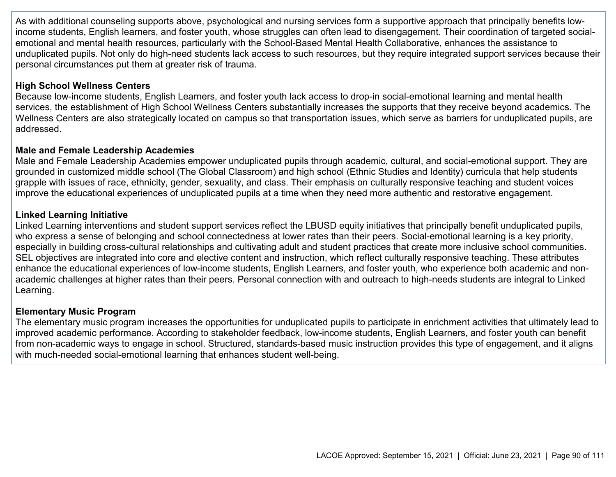As with additional counseling supports above, psychological and nursing services form a supportive approach that principally benefits lowincome students, English learners, and foster youth, whose struggles can often lead to disengagement. Their coordination of targeted socialemotional and mental health resources, particularly with the School-Based Mental Health Collaborative, enhances the assistance to unduplicated pupils. Not only do high-need students lack access to such resources, but they require integrated support services because their personal circumstances put them at greater risk of trauma.

#### **High School Wellness Centers**

Because low-income students, English Learners, and foster youth lack access to drop-in social-emotional learning and mental health services, the establishment of High School Wellness Centers substantially increases the supports that they receive beyond academics. The Wellness Centers are also strategically located on campus so that transportation issues, which serve as barriers for unduplicated pupils, are addressed.

#### **Male and Female Leadership Academies**

Male and Female Leadership Academies empower unduplicated pupils through academic, cultural, and social-emotional support. They are grounded in customized middle school (The Global Classroom) and high school (Ethnic Studies and Identity) curricula that help students grapple with issues of race, ethnicity, gender, sexuality, and class. Their emphasis on culturally responsive teaching and student voices improve the educational experiences of unduplicated pupils at a time when they need more authentic and restorative engagement.

#### **Linked Learning Initiative**

Linked Learning interventions and student support services reflect the LBUSD equity initiatives that principally benefit unduplicated pupils, who express a sense of belonging and school connectedness at lower rates than their peers. Social-emotional learning is a key priority, especially in building cross-cultural relationships and cultivating adult and student practices that create more inclusive school communities. SEL objectives are integrated into core and elective content and instruction, which reflect culturally responsive teaching. These attributes enhance the educational experiences of low-income students, English Learners, and foster youth, who experience both academic and nonacademic challenges at higher rates than their peers. Personal connection with and outreach to high-needs students are integral to Linked Learning.

#### **Elementary Music Program**

The elementary music program increases the opportunities for unduplicated pupils to participate in enrichment activities that ultimately lead to improved academic performance. According to stakeholder feedback, low-income students, English Learners, and foster youth can benefit from non-academic ways to engage in school. Structured, standards-based music instruction provides this type of engagement, and it aligns with much-needed social-emotional learning that enhances student well-being.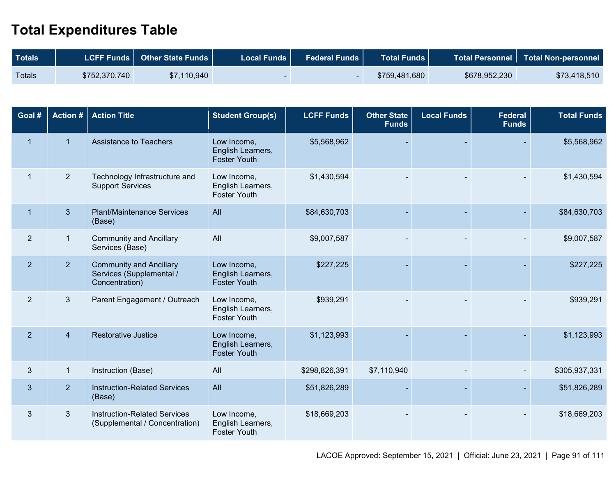## **Total Expenditures Table**

| <b>Totals</b> |               | LCFF Funds   Other State Funds | <b>Local Funds</b> | Federal Funds | <b>Total Funds  </b> |               | Total Personnel   Total Non-personnel |
|---------------|---------------|--------------------------------|--------------------|---------------|----------------------|---------------|---------------------------------------|
| <b>Totals</b> | \$752,370,740 | \$7,110,940                    |                    |               | \$759,481,680        | \$678,952,230 | \$73,418,510                          |

| Goal #         | <b>Action #</b> | <b>Action Title</b>                                                          | <b>Student Group(s)</b>                                 | <b>LCFF Funds</b> | <b>Other State</b><br><b>Funds</b> | <b>Local Funds</b> | <b>Federal</b><br><b>Funds</b> | <b>Total Funds</b> |
|----------------|-----------------|------------------------------------------------------------------------------|---------------------------------------------------------|-------------------|------------------------------------|--------------------|--------------------------------|--------------------|
| $\mathbf{1}$   | $\mathbf{1}$    | <b>Assistance to Teachers</b>                                                | Low Income,<br>English Learners,<br><b>Foster Youth</b> | \$5,568,962       |                                    |                    |                                | \$5,568,962        |
| $\mathbf{1}$   | $\overline{2}$  | Technology Infrastructure and<br><b>Support Services</b>                     | Low Income,<br>English Learners,<br><b>Foster Youth</b> | \$1,430,594       |                                    |                    |                                | \$1,430,594        |
| $\mathbf{1}$   | 3               | <b>Plant/Maintenance Services</b><br>(Base)                                  | All                                                     | \$84,630,703      |                                    |                    |                                | \$84,630,703       |
| $\overline{2}$ | $\mathbf{1}$    | <b>Community and Ancillary</b><br>Services (Base)                            | All                                                     | \$9,007,587       |                                    |                    |                                | \$9,007,587        |
| $\overline{2}$ | 2 <sup>2</sup>  | <b>Community and Ancillary</b><br>Services (Supplemental /<br>Concentration) | Low Income,<br>English Learners,<br><b>Foster Youth</b> | \$227,225         |                                    |                    |                                | \$227,225          |
| $\overline{2}$ | $\mathfrak{B}$  | Parent Engagement / Outreach                                                 | Low Income,<br>English Learners,<br><b>Foster Youth</b> | \$939,291         |                                    |                    |                                | \$939,291          |
| $\overline{2}$ | $\overline{4}$  | <b>Restorative Justice</b>                                                   | Low Income,<br>English Learners,<br><b>Foster Youth</b> | \$1,123,993       |                                    |                    |                                | \$1,123,993        |
| 3              | $\mathbf{1}$    | Instruction (Base)                                                           | All                                                     | \$298,826,391     | \$7,110,940                        |                    |                                | \$305,937,331      |
| $\mathfrak{S}$ | 2 <sup>2</sup>  | <b>Instruction-Related Services</b><br>(Base)                                | All                                                     | \$51,826,289      |                                    |                    |                                | \$51,826,289       |
| 3              | 3               | <b>Instruction-Related Services</b><br>(Supplemental / Concentration)        | Low Income,<br>English Learners,<br><b>Foster Youth</b> | \$18,669,203      |                                    |                    |                                | \$18,669,203       |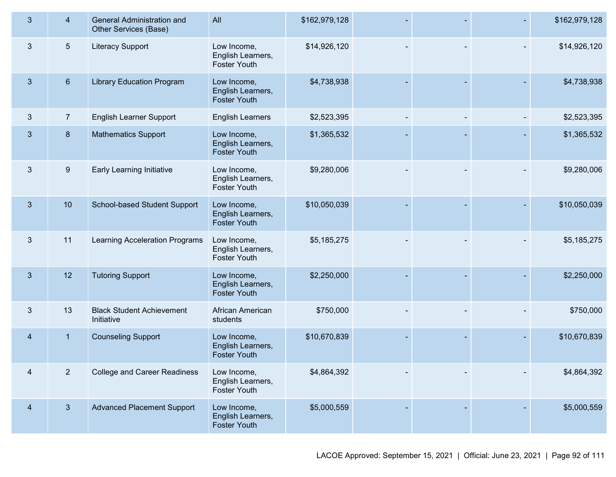| 3 <sup>2</sup> | $\overline{4}$  | General Administration and<br>Other Services (Base) | All                                                     | \$162,979,128 |  | \$162,979,128 |
|----------------|-----------------|-----------------------------------------------------|---------------------------------------------------------|---------------|--|---------------|
| 3              | $5\overline{)}$ | <b>Literacy Support</b>                             | Low Income,<br>English Learners,<br>Foster Youth        | \$14,926,120  |  | \$14,926,120  |
| 3 <sup>5</sup> | $6\phantom{1}$  | <b>Library Education Program</b>                    | Low Income,<br>English Learners,<br>Foster Youth        | \$4,738,938   |  | \$4,738,938   |
| $\mathfrak{Z}$ | $\overline{7}$  | <b>English Learner Support</b>                      | <b>English Learners</b>                                 | \$2,523,395   |  | \$2,523,395   |
| $\mathfrak{B}$ | 8               | <b>Mathematics Support</b>                          | Low Income,<br>English Learners,<br>Foster Youth        | \$1,365,532   |  | \$1,365,532   |
| 3              | $9\,$           | Early Learning Initiative                           | Low Income,<br>English Learners,<br>Foster Youth        | \$9,280,006   |  | \$9,280,006   |
| $\mathbf{3}$   | 10              | School-based Student Support                        | Low Income,<br>English Learners,<br>Foster Youth        | \$10,050,039  |  | \$10,050,039  |
| $\mathbf{3}$   | 11              | <b>Learning Acceleration Programs</b>               | Low Income,<br>English Learners,<br>Foster Youth        | \$5,185,275   |  | \$5,185,275   |
| $\mathbf{3}$   | 12              | <b>Tutoring Support</b>                             | Low Income,<br>English Learners,<br>Foster Youth        | \$2,250,000   |  | \$2,250,000   |
| 3              | 13              | <b>Black Student Achievement</b><br>Initiative      | African American<br>students                            | \$750,000     |  | \$750,000     |
| $\overline{4}$ | 1               | <b>Counseling Support</b>                           | Low Income,<br>English Learners,<br><b>Foster Youth</b> | \$10,670,839  |  | \$10,670,839  |
| 4              | $\overline{2}$  | <b>College and Career Readiness</b>                 | Low Income,<br>English Learners,<br>Foster Youth        | \$4,864,392   |  | \$4,864,392   |
| $\overline{4}$ | 3 <sup>5</sup>  | <b>Advanced Placement Support</b>                   | Low Income,<br>English Learners,<br>Foster Youth        | \$5,000,559   |  | \$5,000,559   |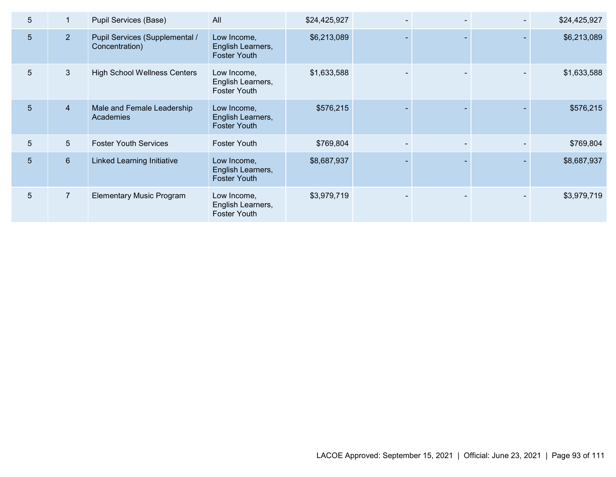| 5              |                 | Pupil Services (Base)                            | All                                                     | \$24,425,927 |  | \$24,425,927 |
|----------------|-----------------|--------------------------------------------------|---------------------------------------------------------|--------------|--|--------------|
| 5 <sup>5</sup> | 2 <sup>2</sup>  | Pupil Services (Supplemental /<br>Concentration) | Low Income,<br>English Learners,<br><b>Foster Youth</b> | \$6,213,089  |  | \$6,213,089  |
| 5              | $\mathbf{3}$    | <b>High School Wellness Centers</b>              | Low Income,<br>English Learners,<br><b>Foster Youth</b> | \$1,633,588  |  | \$1,633,588  |
| 5              | $\overline{4}$  | Male and Female Leadership<br>Academies          | Low Income,<br>English Learners,<br><b>Foster Youth</b> | \$576,215    |  | \$576,215    |
| 5              | 5 <sup>5</sup>  | <b>Foster Youth Services</b>                     | <b>Foster Youth</b>                                     | \$769,804    |  | \$769,804    |
| 5              | $6\overline{6}$ | Linked Learning Initiative                       | Low Income,<br>English Learners,<br>Foster Youth        | \$8,687,937  |  | \$8,687,937  |
| 5              | $\overline{7}$  | <b>Elementary Music Program</b>                  | Low Income,<br>English Learners,<br><b>Foster Youth</b> | \$3,979,719  |  | \$3,979,719  |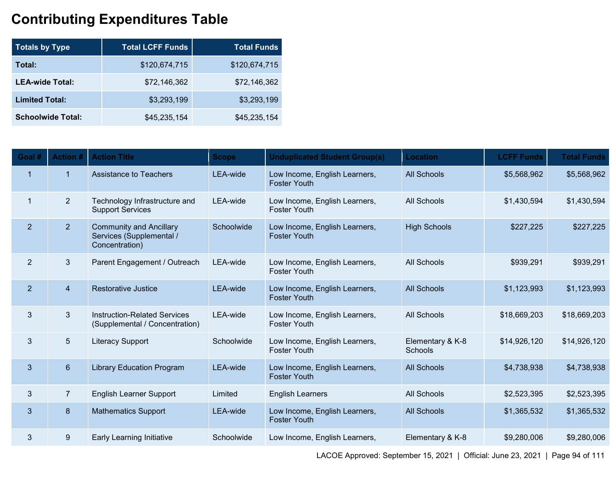# **Contributing Expenditures Table**

| <b>Totals by Type</b>    | <b>Total LCFF Funds</b> | <b>Total Funds</b> |
|--------------------------|-------------------------|--------------------|
| Total:                   | \$120,674,715           | \$120,674,715      |
| <b>LEA-wide Total:</b>   | \$72,146,362            | \$72,146,362       |
| <b>Limited Total:</b>    | \$3,293,199             | \$3,293,199        |
| <b>Schoolwide Total:</b> | \$45,235,154            | \$45,235,154       |

| Goal #         | <b>Action #</b>      | <b>Action Title</b>                                                          | <b>Scope</b> | <b>Unduplicated Student Group(s)</b>                 | <b>Location</b>                    | <b>LCFF Funds</b> | <b>Total Funds</b> |
|----------------|----------------------|------------------------------------------------------------------------------|--------------|------------------------------------------------------|------------------------------------|-------------------|--------------------|
| $\overline{1}$ | $\blacktriangleleft$ | <b>Assistance to Teachers</b>                                                | LEA-wide     | Low Income, English Learners,<br><b>Foster Youth</b> | <b>All Schools</b>                 | \$5,568,962       | \$5,568,962        |
| $\mathbf{1}$   | $\overline{2}$       | Technology Infrastructure and<br><b>Support Services</b>                     | LEA-wide     | Low Income, English Learners,<br><b>Foster Youth</b> | All Schools                        | \$1,430,594       | \$1,430,594        |
| $\overline{2}$ | 2 <sup>1</sup>       | <b>Community and Ancillary</b><br>Services (Supplemental /<br>Concentration) | Schoolwide   | Low Income, English Learners,<br><b>Foster Youth</b> | <b>High Schools</b>                | \$227,225         | \$227,225          |
| 2              | 3 <sup>5</sup>       | Parent Engagement / Outreach                                                 | LEA-wide     | Low Income, English Learners,<br><b>Foster Youth</b> | All Schools                        | \$939,291         | \$939,291          |
| $\overline{2}$ | $\overline{4}$       | <b>Restorative Justice</b>                                                   | LEA-wide     | Low Income, English Learners,<br><b>Foster Youth</b> | <b>All Schools</b>                 | \$1,123,993       | \$1,123,993        |
| 3              | 3                    | <b>Instruction-Related Services</b><br>(Supplemental / Concentration)        | LEA-wide     | Low Income, English Learners,<br><b>Foster Youth</b> | <b>All Schools</b>                 | \$18,669,203      | \$18,669,203       |
| 3              | 5                    | <b>Literacy Support</b>                                                      | Schoolwide   | Low Income, English Learners,<br><b>Foster Youth</b> | Elementary & K-8<br><b>Schools</b> | \$14,926,120      | \$14,926,120       |
| $\mathbf{3}$   | $6\phantom{1}$       | <b>Library Education Program</b>                                             | LEA-wide     | Low Income, English Learners,<br><b>Foster Youth</b> | <b>All Schools</b>                 | \$4,738,938       | \$4,738,938        |
| 3              | $\overline{7}$       | <b>English Learner Support</b>                                               | Limited      | <b>English Learners</b>                              | <b>All Schools</b>                 | \$2,523,395       | \$2,523,395        |
| 3              | 8                    | <b>Mathematics Support</b>                                                   | LEA-wide     | Low Income, English Learners,<br><b>Foster Youth</b> | <b>All Schools</b>                 | \$1,365,532       | \$1,365,532        |
| 3              | 9                    | Early Learning Initiative                                                    | Schoolwide   | Low Income, English Learners,                        | Elementary & K-8                   | \$9,280,006       | \$9,280,006        |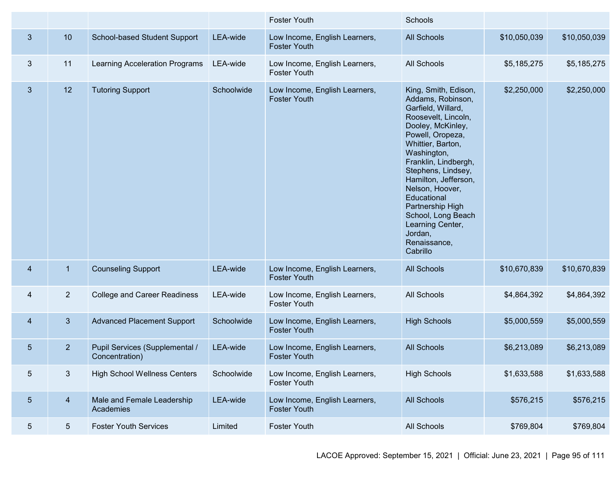|                |                 |                                                  |            | <b>Foster Youth</b>                                  | Schools                                                                                                                                                                                                                                                                                                                                                                          |              |              |
|----------------|-----------------|--------------------------------------------------|------------|------------------------------------------------------|----------------------------------------------------------------------------------------------------------------------------------------------------------------------------------------------------------------------------------------------------------------------------------------------------------------------------------------------------------------------------------|--------------|--------------|
| $\mathbf{3}$   | 10              | School-based Student Support                     | LEA-wide   | Low Income, English Learners,<br><b>Foster Youth</b> | <b>All Schools</b>                                                                                                                                                                                                                                                                                                                                                               | \$10,050,039 | \$10,050,039 |
| $\mathbf{3}$   | 11              | Learning Acceleration Programs                   | LEA-wide   | Low Income, English Learners,<br><b>Foster Youth</b> | All Schools                                                                                                                                                                                                                                                                                                                                                                      | \$5,185,275  | \$5,185,275  |
| $\mathbf{3}$   | 12              | <b>Tutoring Support</b>                          | Schoolwide | Low Income, English Learners,<br><b>Foster Youth</b> | King, Smith, Edison,<br>Addams, Robinson,<br>Garfield, Willard,<br>Roosevelt, Lincoln,<br>Dooley, McKinley,<br>Powell, Oropeza,<br>Whittier, Barton,<br>Washington,<br>Franklin, Lindbergh,<br>Stephens, Lindsey,<br>Hamilton, Jefferson,<br>Nelson, Hoover,<br>Educational<br>Partnership High<br>School, Long Beach<br>Learning Center,<br>Jordan,<br>Renaissance,<br>Cabrillo | \$2,250,000  | \$2,250,000  |
| 4              | $\mathbf{1}$    | <b>Counseling Support</b>                        | LEA-wide   | Low Income, English Learners,<br><b>Foster Youth</b> | <b>All Schools</b>                                                                                                                                                                                                                                                                                                                                                               | \$10,670,839 | \$10,670,839 |
| 4              | $\overline{2}$  | <b>College and Career Readiness</b>              | LEA-wide   | Low Income, English Learners,<br><b>Foster Youth</b> | All Schools                                                                                                                                                                                                                                                                                                                                                                      | \$4,864,392  | \$4,864,392  |
| 4              | 3 <sup>2</sup>  | <b>Advanced Placement Support</b>                | Schoolwide | Low Income, English Learners,<br><b>Foster Youth</b> | <b>High Schools</b>                                                                                                                                                                                                                                                                                                                                                              | \$5,000,559  | \$5,000,559  |
| 5              | $\overline{2}$  | Pupil Services (Supplemental /<br>Concentration) | LEA-wide   | Low Income, English Learners,<br><b>Foster Youth</b> | <b>All Schools</b>                                                                                                                                                                                                                                                                                                                                                               | \$6,213,089  | \$6,213,089  |
| 5              | $3\overline{3}$ | <b>High School Wellness Centers</b>              | Schoolwide | Low Income, English Learners,<br><b>Foster Youth</b> | <b>High Schools</b>                                                                                                                                                                                                                                                                                                                                                              | \$1,633,588  | \$1,633,588  |
| 5 <sub>5</sub> | $\overline{4}$  | Male and Female Leadership<br>Academies          | LEA-wide   | Low Income, English Learners,<br><b>Foster Youth</b> | <b>All Schools</b>                                                                                                                                                                                                                                                                                                                                                               | \$576,215    | \$576,215    |
| 5              | $\sqrt{5}$      | <b>Foster Youth Services</b>                     | Limited    | <b>Foster Youth</b>                                  | All Schools                                                                                                                                                                                                                                                                                                                                                                      | \$769,804    | \$769,804    |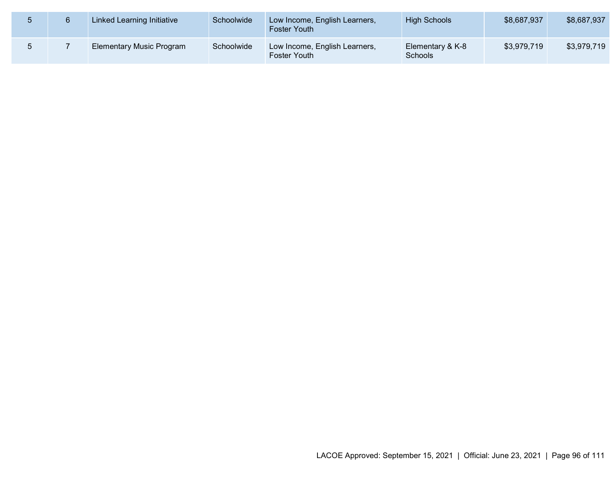|  | Linked Learning Initiative      | Schoolwide | Low Income, English Learners,<br><b>Foster Youth</b> | <b>High Schools</b>                | \$8,687,937 | \$8,687,937 |
|--|---------------------------------|------------|------------------------------------------------------|------------------------------------|-------------|-------------|
|  | <b>Elementary Music Program</b> | Schoolwide | Low Income, English Learners,<br>Foster Youth        | Elementary & K-8<br><b>Schools</b> | \$3,979,719 | \$3,979,719 |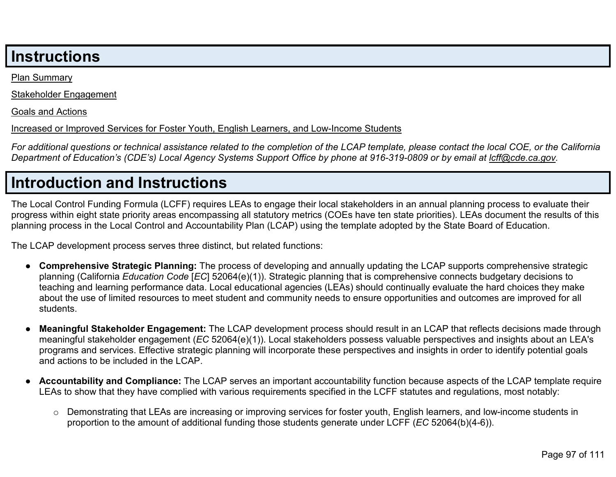## **Instructions**

[Plan Summary](#page-98-0)

[Stakeholder Engagement](#page-99-0)

[Goals and Actions](#page-101-0)

#### [Increased or Improved Services for Foster Youth, English Learners, and Low-Income Students](#page-105-0)

*For additional questions or technical assistance related to the completion of the LCAP template, please contact the local COE, or the California Department of Education's (CDE's) Local Agency Systems Support Office by phone at 916-319-0809 or by email at [lcff@cde.ca.gov.](mailto:lcff@cde.ca.gov)*

# **Introduction and Instructions**

The Local Control Funding Formula (LCFF) requires LEAs to engage their local stakeholders in an annual planning process to evaluate their progress within eight state priority areas encompassing all statutory metrics (COEs have ten state priorities). LEAs document the results of this planning process in the Local Control and Accountability Plan (LCAP) using the template adopted by the State Board of Education.

The LCAP development process serves three distinct, but related functions:

- **Comprehensive Strategic Planning:** The process of developing and annually updating the LCAP supports comprehensive strategic planning (California *Education Code* [*EC*] 52064(e)(1)). Strategic planning that is comprehensive connects budgetary decisions to teaching and learning performance data. Local educational agencies (LEAs) should continually evaluate the hard choices they make about the use of limited resources to meet student and community needs to ensure opportunities and outcomes are improved for all students.
- **Meaningful Stakeholder Engagement:** The LCAP development process should result in an LCAP that reflects decisions made through meaningful stakeholder engagement (*EC* 52064(e)(1)). Local stakeholders possess valuable perspectives and insights about an LEA's programs and services. Effective strategic planning will incorporate these perspectives and insights in order to identify potential goals and actions to be included in the LCAP.
- **Accountability and Compliance:** The LCAP serves an important accountability function because aspects of the LCAP template require LEAs to show that they have complied with various requirements specified in the LCFF statutes and regulations, most notably:
	- o Demonstrating that LEAs are increasing or improving services for foster youth, English learners, and low-income students in proportion to the amount of additional funding those students generate under LCFF (*EC* 52064(b)(4-6)).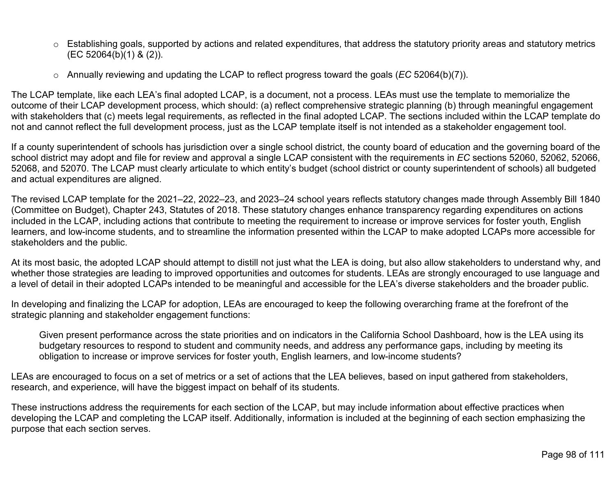- $\circ$  Establishing goals, supported by actions and related expenditures, that address the statutory priority areas and statutory metrics (EC 52064(b)(1) & (2)).
- o Annually reviewing and updating the LCAP to reflect progress toward the goals (*EC* 52064(b)(7)).

The LCAP template, like each LEA's final adopted LCAP, is a document, not a process. LEAs must use the template to memorialize the outcome of their LCAP development process, which should: (a) reflect comprehensive strategic planning (b) through meaningful engagement with stakeholders that (c) meets legal requirements, as reflected in the final adopted LCAP. The sections included within the LCAP template do not and cannot reflect the full development process, just as the LCAP template itself is not intended as a stakeholder engagement tool.

If a county superintendent of schools has jurisdiction over a single school district, the county board of education and the governing board of the school district may adopt and file for review and approval a single LCAP consistent with the requirements in *EC* sections 52060, 52062, 52066, 52068, and 52070. The LCAP must clearly articulate to which entity's budget (school district or county superintendent of schools) all budgeted and actual expenditures are aligned.

The revised LCAP template for the 2021–22, 2022–23, and 2023–24 school years reflects statutory changes made through Assembly Bill 1840 (Committee on Budget), Chapter 243, Statutes of 2018. These statutory changes enhance transparency regarding expenditures on actions included in the LCAP, including actions that contribute to meeting the requirement to increase or improve services for foster youth, English learners, and low-income students, and to streamline the information presented within the LCAP to make adopted LCAPs more accessible for stakeholders and the public.

At its most basic, the adopted LCAP should attempt to distill not just what the LEA is doing, but also allow stakeholders to understand why, and whether those strategies are leading to improved opportunities and outcomes for students. LEAs are strongly encouraged to use language and a level of detail in their adopted LCAPs intended to be meaningful and accessible for the LEA's diverse stakeholders and the broader public.

In developing and finalizing the LCAP for adoption, LEAs are encouraged to keep the following overarching frame at the forefront of the strategic planning and stakeholder engagement functions:

Given present performance across the state priorities and on indicators in the California School Dashboard, how is the LEA using its budgetary resources to respond to student and community needs, and address any performance gaps, including by meeting its obligation to increase or improve services for foster youth, English learners, and low-income students?

LEAs are encouraged to focus on a set of metrics or a set of actions that the LEA believes, based on input gathered from stakeholders, research, and experience, will have the biggest impact on behalf of its students.

These instructions address the requirements for each section of the LCAP, but may include information about effective practices when developing the LCAP and completing the LCAP itself. Additionally, information is included at the beginning of each section emphasizing the purpose that each section serves.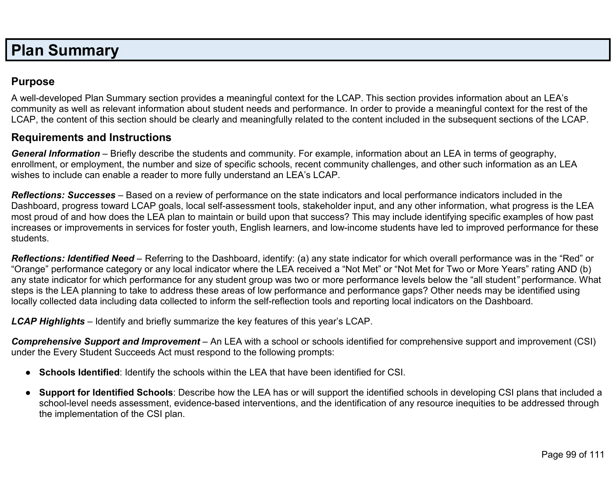# <span id="page-98-0"></span>**Plan Summary**

## **Purpose**

A well-developed Plan Summary section provides a meaningful context for the LCAP. This section provides information about an LEA's community as well as relevant information about student needs and performance. In order to provide a meaningful context for the rest of the LCAP, the content of this section should be clearly and meaningfully related to the content included in the subsequent sections of the LCAP.

### **Requirements and Instructions**

*General Information* – Briefly describe the students and community. For example, information about an LEA in terms of geography, enrollment, or employment, the number and size of specific schools, recent community challenges, and other such information as an LEA wishes to include can enable a reader to more fully understand an LEA's LCAP.

*Reflections: Successes* – Based on a review of performance on the state indicators and local performance indicators included in the Dashboard, progress toward LCAP goals, local self-assessment tools, stakeholder input, and any other information, what progress is the LEA most proud of and how does the LEA plan to maintain or build upon that success? This may include identifying specific examples of how past increases or improvements in services for foster youth, English learners, and low-income students have led to improved performance for these students.

*Reflections: Identified Need* – Referring to the Dashboard, identify: (a) any state indicator for which overall performance was in the "Red" or "Orange" performance category or any local indicator where the LEA received a "Not Met" or "Not Met for Two or More Years" rating AND (b) any state indicator for which performance for any student group was two or more performance levels below the "all student*"* performance. What steps is the LEA planning to take to address these areas of low performance and performance gaps? Other needs may be identified using locally collected data including data collected to inform the self-reflection tools and reporting local indicators on the Dashboard.

*LCAP Highlights* – Identify and briefly summarize the key features of this year's LCAP.

*Comprehensive Support and Improvement* – An LEA with a school or schools identified for comprehensive support and improvement (CSI) under the Every Student Succeeds Act must respond to the following prompts:

- **Schools Identified**: Identify the schools within the LEA that have been identified for CSI.
- **Support for Identified Schools**: Describe how the LEA has or will support the identified schools in developing CSI plans that included a school-level needs assessment, evidence-based interventions, and the identification of any resource inequities to be addressed through the implementation of the CSI plan.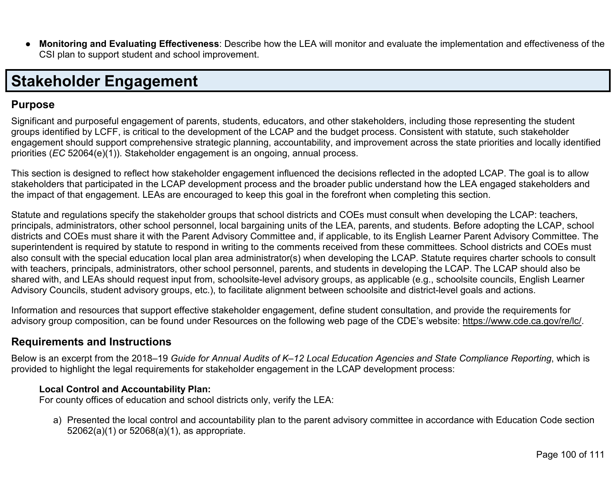● **Monitoring and Evaluating Effectiveness**: Describe how the LEA will monitor and evaluate the implementation and effectiveness of the CSI plan to support student and school improvement.

# <span id="page-99-0"></span>**Stakeholder Engagement**

## **Purpose**

Significant and purposeful engagement of parents, students, educators, and other stakeholders, including those representing the student groups identified by LCFF, is critical to the development of the LCAP and the budget process. Consistent with statute, such stakeholder engagement should support comprehensive strategic planning, accountability, and improvement across the state priorities and locally identified priorities (*EC* 52064(e)(1)). Stakeholder engagement is an ongoing, annual process.

This section is designed to reflect how stakeholder engagement influenced the decisions reflected in the adopted LCAP. The goal is to allow stakeholders that participated in the LCAP development process and the broader public understand how the LEA engaged stakeholders and the impact of that engagement. LEAs are encouraged to keep this goal in the forefront when completing this section.

Statute and regulations specify the stakeholder groups that school districts and COEs must consult when developing the LCAP: teachers, principals, administrators, other school personnel, local bargaining units of the LEA, parents, and students. Before adopting the LCAP, school districts and COEs must share it with the Parent Advisory Committee and, if applicable, to its English Learner Parent Advisory Committee. The superintendent is required by statute to respond in writing to the comments received from these committees. School districts and COEs must also consult with the special education local plan area administrator(s) when developing the LCAP. Statute requires charter schools to consult with teachers, principals, administrators, other school personnel, parents, and students in developing the LCAP. The LCAP should also be shared with, and LEAs should request input from, schoolsite-level advisory groups, as applicable (e.g., schoolsite councils, English Learner Advisory Councils, student advisory groups, etc.), to facilitate alignment between schoolsite and district-level goals and actions.

Information and resources that support effective stakeholder engagement, define student consultation, and provide the requirements for advisory group composition, can be found under Resources on the following web page of the CDE's website: [https://www.cde.ca.gov/re/lc/.](https://www.cde.ca.gov/re/lc/)

## **Requirements and Instructions**

Below is an excerpt from the 2018–19 *Guide for Annual Audits of K–12 Local Education Agencies and State Compliance Reporting*, which is provided to highlight the legal requirements for stakeholder engagement in the LCAP development process:

#### **Local Control and Accountability Plan:**

For county offices of education and school districts only, verify the LEA:

a) Presented the local control and accountability plan to the parent advisory committee in accordance with Education Code section 52062(a)(1) or 52068(a)(1), as appropriate.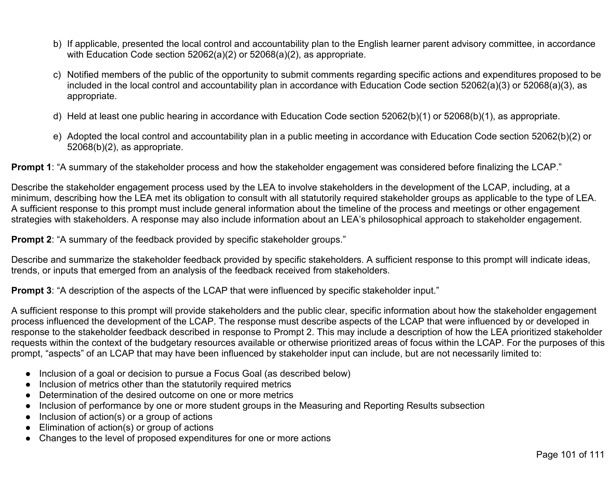- b) If applicable, presented the local control and accountability plan to the English learner parent advisory committee, in accordance with Education Code section 52062(a)(2) or 52068(a)(2), as appropriate.
- c) Notified members of the public of the opportunity to submit comments regarding specific actions and expenditures proposed to be included in the local control and accountability plan in accordance with Education Code section 52062(a)(3) or 52068(a)(3), as appropriate.
- d) Held at least one public hearing in accordance with Education Code section 52062(b)(1) or 52068(b)(1), as appropriate.
- e) Adopted the local control and accountability plan in a public meeting in accordance with Education Code section 52062(b)(2) or 52068(b)(2), as appropriate.

**Prompt 1**: "A summary of the stakeholder process and how the stakeholder engagement was considered before finalizing the LCAP."

Describe the stakeholder engagement process used by the LEA to involve stakeholders in the development of the LCAP, including, at a minimum, describing how the LEA met its obligation to consult with all statutorily required stakeholder groups as applicable to the type of LEA. A sufficient response to this prompt must include general information about the timeline of the process and meetings or other engagement strategies with stakeholders. A response may also include information about an LEA's philosophical approach to stakeholder engagement.

**Prompt 2:** "A summary of the feedback provided by specific stakeholder groups."

Describe and summarize the stakeholder feedback provided by specific stakeholders. A sufficient response to this prompt will indicate ideas, trends, or inputs that emerged from an analysis of the feedback received from stakeholders.

**Prompt 3:** "A description of the aspects of the LCAP that were influenced by specific stakeholder input."

A sufficient response to this prompt will provide stakeholders and the public clear, specific information about how the stakeholder engagement process influenced the development of the LCAP. The response must describe aspects of the LCAP that were influenced by or developed in response to the stakeholder feedback described in response to Prompt 2. This may include a description of how the LEA prioritized stakeholder requests within the context of the budgetary resources available or otherwise prioritized areas of focus within the LCAP. For the purposes of this prompt, "aspects" of an LCAP that may have been influenced by stakeholder input can include, but are not necessarily limited to:

- Inclusion of a goal or decision to pursue a Focus Goal (as described below)
- Inclusion of metrics other than the statutorily required metrics
- Determination of the desired outcome on one or more metrics
- Inclusion of performance by one or more student groups in the Measuring and Reporting Results subsection
- $\bullet$  Inclusion of action(s) or a group of actions
- Elimination of action(s) or group of actions
- Changes to the level of proposed expenditures for one or more actions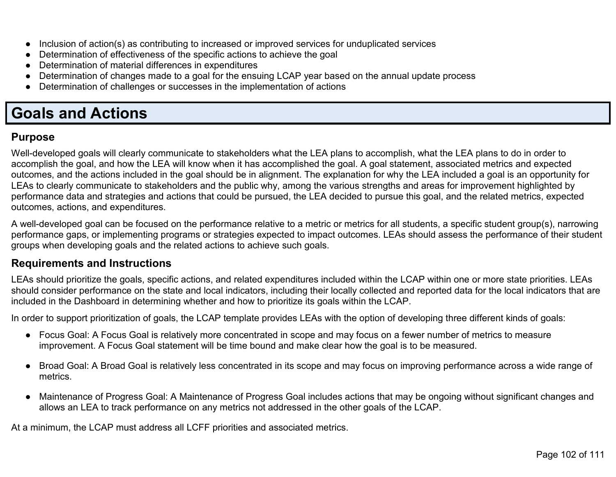- Inclusion of action(s) as contributing to increased or improved services for unduplicated services
- Determination of effectiveness of the specific actions to achieve the goal
- Determination of material differences in expenditures
- Determination of changes made to a goal for the ensuing LCAP year based on the annual update process
- Determination of challenges or successes in the implementation of actions

## <span id="page-101-0"></span>**Goals and Actions**

## **Purpose**

Well-developed goals will clearly communicate to stakeholders what the LEA plans to accomplish, what the LEA plans to do in order to accomplish the goal, and how the LEA will know when it has accomplished the goal. A goal statement, associated metrics and expected outcomes, and the actions included in the goal should be in alignment. The explanation for why the LEA included a goal is an opportunity for LEAs to clearly communicate to stakeholders and the public why, among the various strengths and areas for improvement highlighted by performance data and strategies and actions that could be pursued, the LEA decided to pursue this goal, and the related metrics, expected outcomes, actions, and expenditures.

A well-developed goal can be focused on the performance relative to a metric or metrics for all students, a specific student group(s), narrowing performance gaps, or implementing programs or strategies expected to impact outcomes. LEAs should assess the performance of their student groups when developing goals and the related actions to achieve such goals.

## **Requirements and Instructions**

LEAs should prioritize the goals, specific actions, and related expenditures included within the LCAP within one or more state priorities. LEAs should consider performance on the state and local indicators, including their locally collected and reported data for the local indicators that are included in the Dashboard in determining whether and how to prioritize its goals within the LCAP.

In order to support prioritization of goals, the LCAP template provides LEAs with the option of developing three different kinds of goals:

- Focus Goal: A Focus Goal is relatively more concentrated in scope and may focus on a fewer number of metrics to measure improvement. A Focus Goal statement will be time bound and make clear how the goal is to be measured.
- Broad Goal: A Broad Goal is relatively less concentrated in its scope and may focus on improving performance across a wide range of metrics.
- Maintenance of Progress Goal: A Maintenance of Progress Goal includes actions that may be ongoing without significant changes and allows an LEA to track performance on any metrics not addressed in the other goals of the LCAP.

At a minimum, the LCAP must address all LCFF priorities and associated metrics.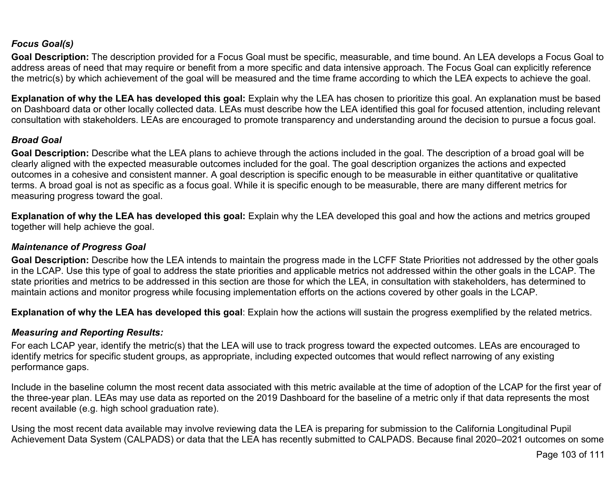#### *Focus Goal(s)*

**Goal Description:** The description provided for a Focus Goal must be specific, measurable, and time bound. An LEA develops a Focus Goal to address areas of need that may require or benefit from a more specific and data intensive approach. The Focus Goal can explicitly reference the metric(s) by which achievement of the goal will be measured and the time frame according to which the LEA expects to achieve the goal.

**Explanation of why the LEA has developed this goal:** Explain why the LEA has chosen to prioritize this goal. An explanation must be based on Dashboard data or other locally collected data. LEAs must describe how the LEA identified this goal for focused attention, including relevant consultation with stakeholders. LEAs are encouraged to promote transparency and understanding around the decision to pursue a focus goal.

#### *Broad Goal*

Goal Description: Describe what the LEA plans to achieve through the actions included in the goal. The description of a broad goal will be clearly aligned with the expected measurable outcomes included for the goal. The goal description organizes the actions and expected outcomes in a cohesive and consistent manner. A goal description is specific enough to be measurable in either quantitative or qualitative terms. A broad goal is not as specific as a focus goal. While it is specific enough to be measurable, there are many different metrics for measuring progress toward the goal.

**Explanation of why the LEA has developed this goal:** Explain why the LEA developed this goal and how the actions and metrics grouped together will help achieve the goal.

#### *Maintenance of Progress Goal*

**Goal Description:** Describe how the LEA intends to maintain the progress made in the LCFF State Priorities not addressed by the other goals in the LCAP. Use this type of goal to address the state priorities and applicable metrics not addressed within the other goals in the LCAP. The state priorities and metrics to be addressed in this section are those for which the LEA, in consultation with stakeholders, has determined to maintain actions and monitor progress while focusing implementation efforts on the actions covered by other goals in the LCAP.

**Explanation of why the LEA has developed this goal**: Explain how the actions will sustain the progress exemplified by the related metrics.

#### *Measuring and Reporting Results:*

For each LCAP year, identify the metric(s) that the LEA will use to track progress toward the expected outcomes. LEAs are encouraged to identify metrics for specific student groups, as appropriate, including expected outcomes that would reflect narrowing of any existing performance gaps.

Include in the baseline column the most recent data associated with this metric available at the time of adoption of the LCAP for the first year of the three-year plan. LEAs may use data as reported on the 2019 Dashboard for the baseline of a metric only if that data represents the most recent available (e.g. high school graduation rate).

Using the most recent data available may involve reviewing data the LEA is preparing for submission to the California Longitudinal Pupil Achievement Data System (CALPADS) or data that the LEA has recently submitted to CALPADS. Because final 2020–2021 outcomes on some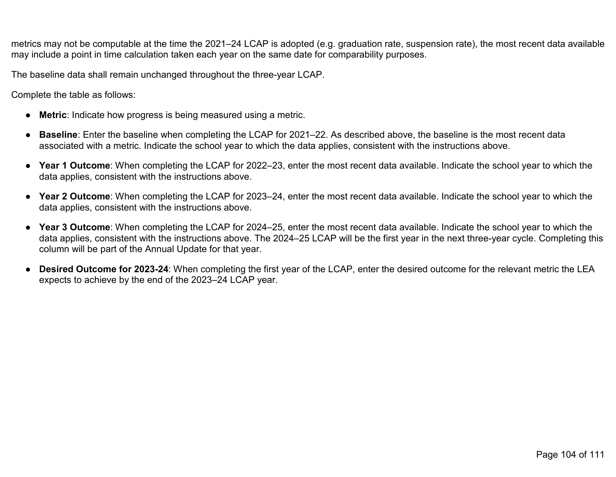metrics may not be computable at the time the 2021–24 LCAP is adopted (e.g. graduation rate, suspension rate), the most recent data available may include a point in time calculation taken each year on the same date for comparability purposes.

The baseline data shall remain unchanged throughout the three-year LCAP.

Complete the table as follows:

- **Metric**: Indicate how progress is being measured using a metric.
- **Baseline**: Enter the baseline when completing the LCAP for 2021–22. As described above, the baseline is the most recent data associated with a metric. Indicate the school year to which the data applies, consistent with the instructions above.
- **Year 1 Outcome**: When completing the LCAP for 2022–23, enter the most recent data available. Indicate the school year to which the data applies, consistent with the instructions above.
- **Year 2 Outcome**: When completing the LCAP for 2023–24, enter the most recent data available. Indicate the school year to which the data applies, consistent with the instructions above.
- **Year 3 Outcome**: When completing the LCAP for 2024–25, enter the most recent data available. Indicate the school year to which the data applies, consistent with the instructions above. The 2024–25 LCAP will be the first year in the next three-year cycle. Completing this column will be part of the Annual Update for that year.
- **Desired Outcome for 2023-24**: When completing the first year of the LCAP, enter the desired outcome for the relevant metric the LEA expects to achieve by the end of the 2023–24 LCAP year.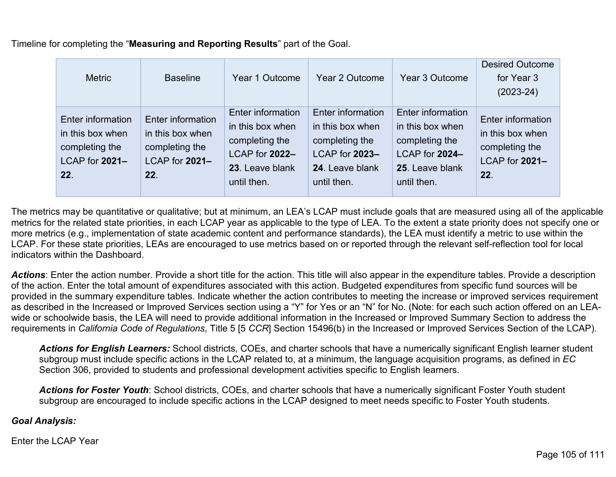Timeline for completing the "**Measuring and Reporting Results**" part of the Goal.

| <b>Metric</b>                                                                    | <b>Baseline</b>                                                                  | Year 1 Outcome                                                                                                     | <b>Year 2 Outcome</b>                                                                                       | <b>Year 3 Outcome</b>                                                                                              | <b>Desired Outcome</b><br>for Year 3<br>$(2023 - 24)$                            |
|----------------------------------------------------------------------------------|----------------------------------------------------------------------------------|--------------------------------------------------------------------------------------------------------------------|-------------------------------------------------------------------------------------------------------------|--------------------------------------------------------------------------------------------------------------------|----------------------------------------------------------------------------------|
| Enter information<br>in this box when<br>completing the<br>LCAP for 2021-<br>22. | Enter information<br>in this box when<br>completing the<br>LCAP for 2021-<br>22. | <b>Enter information</b><br>in this box when<br>completing the<br>LCAP for 2022-<br>23. Leave blank<br>until then. | Enter information<br>in this box when<br>completing the<br>LCAP for 2023-<br>24. Leave blank<br>until then. | <b>Enter information</b><br>in this box when<br>completing the<br>LCAP for 2024-<br>25. Leave blank<br>until then. | Enter information<br>in this box when<br>completing the<br>LCAP for 2021-<br>22. |

The metrics may be quantitative or qualitative; but at minimum, an LEA's LCAP must include goals that are measured using all of the applicable metrics for the related state priorities, in each LCAP year as applicable to the type of LEA. To the extent a state priority does not specify one or more metrics (e.g., implementation of state academic content and performance standards), the LEA must identify a metric to use within the LCAP. For these state priorities, LEAs are encouraged to use metrics based on or reported through the relevant self-reflection tool for local indicators within the Dashboard.

Actions: Enter the action number. Provide a short title for the action. This title will also appear in the expenditure tables. Provide a description of the action. Enter the total amount of expenditures associated with this action. Budgeted expenditures from specific fund sources will be provided in the summary expenditure tables. Indicate whether the action contributes to meeting the increase or improved services requirement as described in the Increased or Improved Services section using a "Y" for Yes or an "N" for No. (Note: for each such action offered on an LEAwide or schoolwide basis, the LEA will need to provide additional information in the Increased or Improved Summary Section to address the requirements in *California Code of Regulations*, Title 5 [5 *CCR*] Section 15496(b) in the Increased or Improved Services Section of the LCAP).

*Actions for English Learners:* School districts, COEs, and charter schools that have a numerically significant English learner student subgroup must include specific actions in the LCAP related to, at a minimum, the language acquisition programs, as defined in *EC* Section 306, provided to students and professional development activities specific to English learners.

*Actions for Foster Youth*: School districts, COEs, and charter schools that have a numerically significant Foster Youth student subgroup are encouraged to include specific actions in the LCAP designed to meet needs specific to Foster Youth students.

#### *Goal Analysis:*

Enter the LCAP Year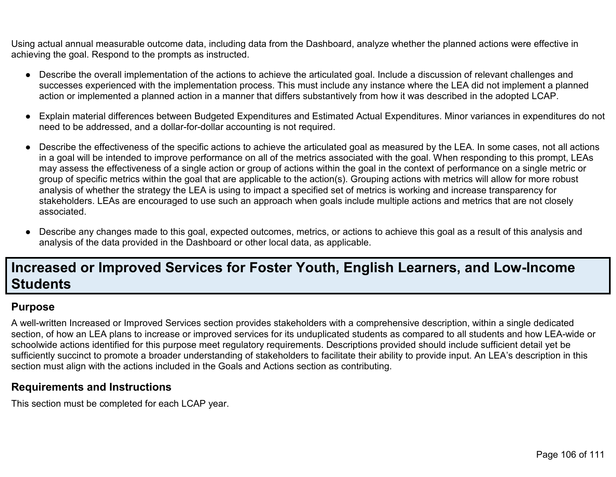Using actual annual measurable outcome data, including data from the Dashboard, analyze whether the planned actions were effective in achieving the goal. Respond to the prompts as instructed.

- Describe the overall implementation of the actions to achieve the articulated goal. Include a discussion of relevant challenges and successes experienced with the implementation process. This must include any instance where the LEA did not implement a planned action or implemented a planned action in a manner that differs substantively from how it was described in the adopted LCAP.
- Explain material differences between Budgeted Expenditures and Estimated Actual Expenditures. Minor variances in expenditures do not need to be addressed, and a dollar-for-dollar accounting is not required.
- Describe the effectiveness of the specific actions to achieve the articulated goal as measured by the LEA. In some cases, not all actions in a goal will be intended to improve performance on all of the metrics associated with the goal. When responding to this prompt, LEAs may assess the effectiveness of a single action or group of actions within the goal in the context of performance on a single metric or group of specific metrics within the goal that are applicable to the action(s). Grouping actions with metrics will allow for more robust analysis of whether the strategy the LEA is using to impact a specified set of metrics is working and increase transparency for stakeholders. LEAs are encouraged to use such an approach when goals include multiple actions and metrics that are not closely associated.
- Describe any changes made to this goal, expected outcomes, metrics, or actions to achieve this goal as a result of this analysis and analysis of the data provided in the Dashboard or other local data, as applicable.

## <span id="page-105-0"></span>**Increased or Improved Services for Foster Youth, English Learners, and Low-Income Students**

## **Purpose**

A well-written Increased or Improved Services section provides stakeholders with a comprehensive description, within a single dedicated section, of how an LEA plans to increase or improved services for its unduplicated students as compared to all students and how LEA-wide or schoolwide actions identified for this purpose meet regulatory requirements. Descriptions provided should include sufficient detail yet be sufficiently succinct to promote a broader understanding of stakeholders to facilitate their ability to provide input. An LEA's description in this section must align with the actions included in the Goals and Actions section as contributing.

## **Requirements and Instructions**

This section must be completed for each LCAP year.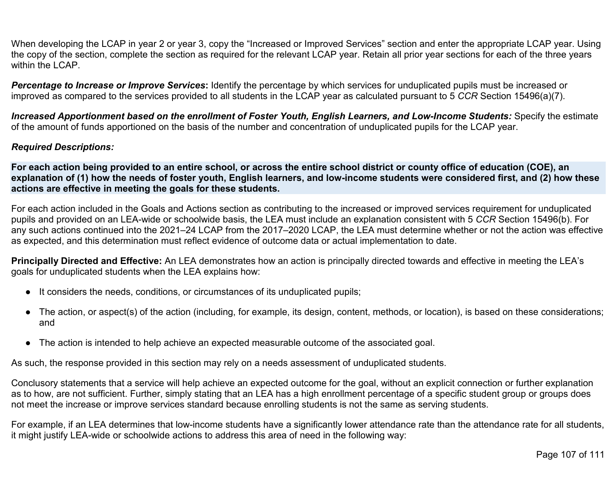When developing the LCAP in year 2 or year 3, copy the "Increased or Improved Services" section and enter the appropriate LCAP year. Using the copy of the section, complete the section as required for the relevant LCAP year. Retain all prior year sections for each of the three years within the LCAP

*Percentage to Increase or Improve Services***:** Identify the percentage by which services for unduplicated pupils must be increased or improved as compared to the services provided to all students in the LCAP year as calculated pursuant to 5 *CCR* Section 15496(a)(7).

*Increased Apportionment based on the enrollment of Foster Youth, English Learners, and Low-Income Students:* Specify the estimate of the amount of funds apportioned on the basis of the number and concentration of unduplicated pupils for the LCAP year.

#### *Required Descriptions:*

**For each action being provided to an entire school, or across the entire school district or county office of education (COE), an explanation of (1) how the needs of foster youth, English learners, and low-income students were considered first, and (2) how these actions are effective in meeting the goals for these students.**

For each action included in the Goals and Actions section as contributing to the increased or improved services requirement for unduplicated pupils and provided on an LEA-wide or schoolwide basis, the LEA must include an explanation consistent with 5 *CCR* Section 15496(b). For any such actions continued into the 2021–24 LCAP from the 2017–2020 LCAP, the LEA must determine whether or not the action was effective as expected, and this determination must reflect evidence of outcome data or actual implementation to date.

**Principally Directed and Effective:** An LEA demonstrates how an action is principally directed towards and effective in meeting the LEA's goals for unduplicated students when the LEA explains how:

- It considers the needs, conditions, or circumstances of its unduplicated pupils;
- The action, or aspect(s) of the action (including, for example, its design, content, methods, or location), is based on these considerations; and
- The action is intended to help achieve an expected measurable outcome of the associated goal.

As such, the response provided in this section may rely on a needs assessment of unduplicated students.

Conclusory statements that a service will help achieve an expected outcome for the goal, without an explicit connection or further explanation as to how, are not sufficient. Further, simply stating that an LEA has a high enrollment percentage of a specific student group or groups does not meet the increase or improve services standard because enrolling students is not the same as serving students.

For example, if an LEA determines that low-income students have a significantly lower attendance rate than the attendance rate for all students, it might justify LEA-wide or schoolwide actions to address this area of need in the following way: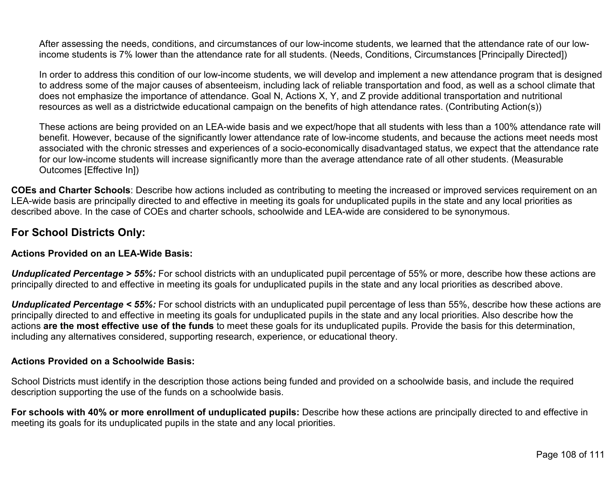After assessing the needs, conditions, and circumstances of our low-income students, we learned that the attendance rate of our lowincome students is 7% lower than the attendance rate for all students. (Needs, Conditions, Circumstances [Principally Directed])

In order to address this condition of our low-income students, we will develop and implement a new attendance program that is designed to address some of the major causes of absenteeism, including lack of reliable transportation and food, as well as a school climate that does not emphasize the importance of attendance. Goal N, Actions X, Y, and Z provide additional transportation and nutritional resources as well as a districtwide educational campaign on the benefits of high attendance rates. (Contributing Action(s))

These actions are being provided on an LEA-wide basis and we expect/hope that all students with less than a 100% attendance rate will benefit. However, because of the significantly lower attendance rate of low-income students, and because the actions meet needs most associated with the chronic stresses and experiences of a socio-economically disadvantaged status, we expect that the attendance rate for our low-income students will increase significantly more than the average attendance rate of all other students. (Measurable Outcomes [Effective In])

**COEs and Charter Schools**: Describe how actions included as contributing to meeting the increased or improved services requirement on an LEA-wide basis are principally directed to and effective in meeting its goals for unduplicated pupils in the state and any local priorities as described above. In the case of COEs and charter schools, schoolwide and LEA-wide are considered to be synonymous.

## **For School Districts Only:**

#### **Actions Provided on an LEA-Wide Basis:**

*Unduplicated Percentage > 55%:* For school districts with an unduplicated pupil percentage of 55% or more, describe how these actions are principally directed to and effective in meeting its goals for unduplicated pupils in the state and any local priorities as described above.

*Unduplicated Percentage < 55%:* For school districts with an unduplicated pupil percentage of less than 55%, describe how these actions are principally directed to and effective in meeting its goals for unduplicated pupils in the state and any local priorities. Also describe how the actions **are the most effective use of the funds** to meet these goals for its unduplicated pupils. Provide the basis for this determination, including any alternatives considered, supporting research, experience, or educational theory.

#### **Actions Provided on a Schoolwide Basis:**

School Districts must identify in the description those actions being funded and provided on a schoolwide basis, and include the required description supporting the use of the funds on a schoolwide basis.

**For schools with 40% or more enrollment of unduplicated pupils:** Describe how these actions are principally directed to and effective in meeting its goals for its unduplicated pupils in the state and any local priorities.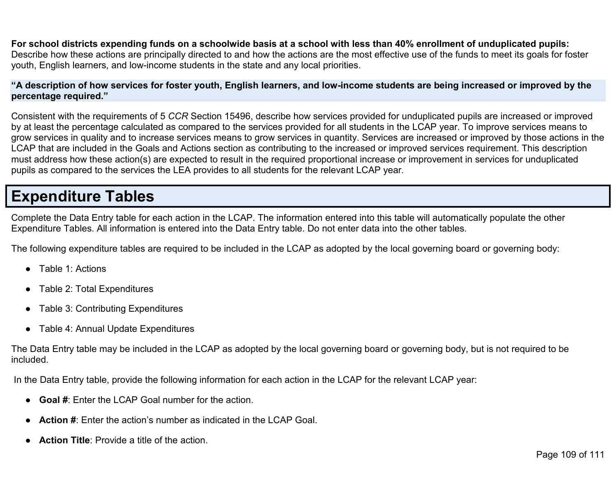**For school districts expending funds on a schoolwide basis at a school with less than 40% enrollment of unduplicated pupils:** Describe how these actions are principally directed to and how the actions are the most effective use of the funds to meet its goals for foster youth, English learners, and low-income students in the state and any local priorities.

## **"A description of how services for foster youth, English learners, and low-income students are being increased or improved by the percentage required."**

Consistent with the requirements of 5 *CCR* Section 15496, describe how services provided for unduplicated pupils are increased or improved by at least the percentage calculated as compared to the services provided for all students in the LCAP year. To improve services means to grow services in quality and to increase services means to grow services in quantity. Services are increased or improved by those actions in the LCAP that are included in the Goals and Actions section as contributing to the increased or improved services requirement. This description must address how these action(s) are expected to result in the required proportional increase or improvement in services for unduplicated pupils as compared to the services the LEA provides to all students for the relevant LCAP year.

## **Expenditure Tables**

Complete the Data Entry table for each action in the LCAP. The information entered into this table will automatically populate the other Expenditure Tables. All information is entered into the Data Entry table. Do not enter data into the other tables.

The following expenditure tables are required to be included in the LCAP as adopted by the local governing board or governing body:

- Table 1: Actions
- Table 2: Total Expenditures
- Table 3: Contributing Expenditures
- Table 4: Annual Update Expenditures

The Data Entry table may be included in the LCAP as adopted by the local governing board or governing body, but is not required to be included.

In the Data Entry table, provide the following information for each action in the LCAP for the relevant LCAP year:

- **Goal #**: Enter the LCAP Goal number for the action.
- **Action #:** Enter the action's number as indicated in the LCAP Goal.
- **Action Title:** Provide a title of the action.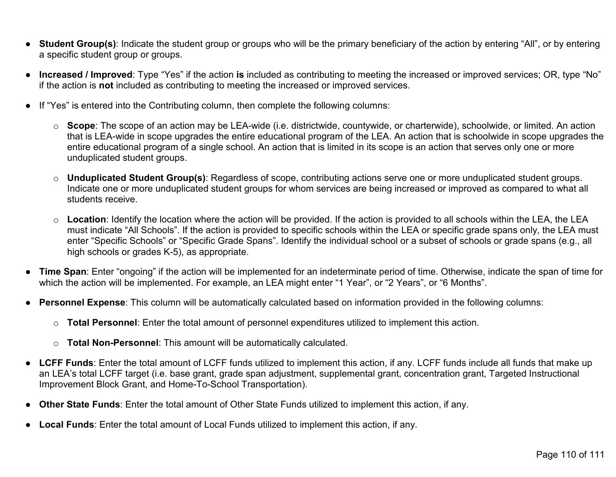- **Student Group(s)**: Indicate the student group or groups who will be the primary beneficiary of the action by entering "All", or by entering a specific student group or groups.
- **Increased / Improved**: Type "Yes" if the action **is** included as contributing to meeting the increased or improved services; OR, type "No" if the action is **not** included as contributing to meeting the increased or improved services.
- If "Yes" is entered into the Contributing column, then complete the following columns:
	- o **Scope**: The scope of an action may be LEA-wide (i.e. districtwide, countywide, or charterwide), schoolwide, or limited. An action that is LEA-wide in scope upgrades the entire educational program of the LEA. An action that is schoolwide in scope upgrades the entire educational program of a single school. An action that is limited in its scope is an action that serves only one or more unduplicated student groups.
	- o **Unduplicated Student Group(s)**: Regardless of scope, contributing actions serve one or more unduplicated student groups. Indicate one or more unduplicated student groups for whom services are being increased or improved as compared to what all students receive.
	- o **Location**: Identify the location where the action will be provided. If the action is provided to all schools within the LEA, the LEA must indicate "All Schools". If the action is provided to specific schools within the LEA or specific grade spans only, the LEA must enter "Specific Schools" or "Specific Grade Spans". Identify the individual school or a subset of schools or grade spans (e.g., all high schools or grades K-5), as appropriate.
- **Time Span**: Enter "ongoing" if the action will be implemented for an indeterminate period of time. Otherwise, indicate the span of time for which the action will be implemented. For example, an LEA might enter "1 Year", or "2 Years", or "6 Months".
- **Personnel Expense**: This column will be automatically calculated based on information provided in the following columns:
	- o **Total Personnel**: Enter the total amount of personnel expenditures utilized to implement this action.
	- o **Total Non-Personnel**: This amount will be automatically calculated.
- **LCFF Funds**: Enter the total amount of LCFF funds utilized to implement this action, if any. LCFF funds include all funds that make up an LEA's total LCFF target (i.e. base grant, grade span adjustment, supplemental grant, concentration grant, Targeted Instructional Improvement Block Grant, and Home-To-School Transportation).
- **Other State Funds**: Enter the total amount of Other State Funds utilized to implement this action, if any.
- **Local Funds**: Enter the total amount of Local Funds utilized to implement this action, if any.